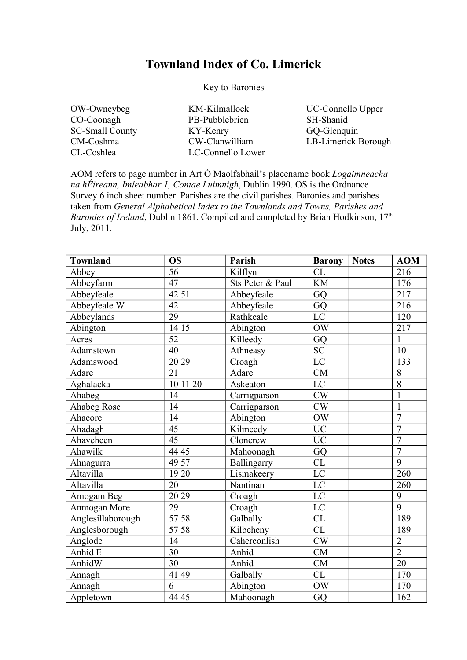## **Townland Index of Co. Limerick**

Key to Baronies

| OW-Owneybeg            |
|------------------------|
| CO-Coonagh             |
| <b>SC-Small County</b> |
| CM-Coshma              |
| CL-Coshlea             |

KM-Kilmallock PB-Pubblebrien KY-Kenry CW-Clanwilliam LC-Connello Lower

UC-Connello Upper SH-Shanid GQ-Glenquin LB-Limerick Borough

AOM refers to page number in Art Ó Maolfabhail's placename book *Logaimneacha na hÉireann, Imleabhar 1, Contae Luimnigh*, Dublin 1990. OS is the Ordnance Survey 6 inch sheet number. Parishes are the civil parishes. Baronies and parishes taken from *General Alphabetical Index to the Townlands and Towns, Parishes and Baronies of Ireland*, Dublin 1861. Compiled and completed by Brian Hodkinson, 17<sup>th</sup> July, 2011.

| <b>Townland</b>   | <b>OS</b>       | Parish           | <b>Barony</b> | <b>Notes</b> | <b>AOM</b>       |
|-------------------|-----------------|------------------|---------------|--------------|------------------|
| Abbey             | 56              | Kilflyn          | CL            |              | 216              |
| Abbeyfarm         | 47              | Sts Peter & Paul | <b>KM</b>     |              | 176              |
| Abbeyfeale        | 42 51           | Abbeyfeale       | GQ            |              | 217              |
| Abbeyfeale W      | 42              | Abbeyfeale       | GQ            |              | 216              |
| Abbeylands        | 29              | Rathkeale        | LC            |              | 120              |
| Abington          | 14 15           | Abington         | OW            |              | 217              |
| Acres             | $\overline{52}$ | Killeedy         | GQ            |              | $\mathbf{1}$     |
| Adamstown         | 40              | Athneasy         | <b>SC</b>     |              | 10               |
| Adamswood         | 20 29           | Croagh           | LC            |              | 133              |
| Adare             | 21              | Adare            | CM            |              | 8                |
| Aghalacka         | 10 11 20        | Askeaton         | LC            |              | $\overline{8}$   |
| Ahabeg            | 14              | Carrigparson     | CW            |              | $\mathbf{1}$     |
| Ahabeg Rose       | 14              | Carrigparson     | CW            |              | $\mathbf{1}$     |
| Ahacore           | 14              | Abington         | OW            |              | $\overline{7}$   |
| Ahadagh           | 45              | Kilmeedy         | <b>UC</b>     |              | $\overline{7}$   |
| Ahaveheen         | 45              | Cloncrew         | <b>UC</b>     |              | $\overline{7}$   |
| Ahawilk           | 44 45           | Mahoonagh        | GQ            |              | $\overline{7}$   |
| Ahnagurra         | 49 57           | Ballingarry      | CL            |              | 9                |
| Altavilla         | 19 20           | Lismakeery       | LC            |              | $\overline{260}$ |
| Altavilla         | 20              | Nantinan         | LC            |              | 260              |
| Amogam Beg        | 20 29           | Croagh           | LC            |              | 9                |
| Anmogan More      | 29              | Croagh           | LC            |              | $\overline{9}$   |
| Anglesillaborough | 57 58           | Galbally         | CL            |              | 189              |
| Anglesborough     | 57 58           | Kilbeheny        | CL            |              | 189              |
| Anglode           | 14              | Caherconlish     | CW            |              | $\overline{2}$   |
| Anhid E           | $\overline{30}$ | Anhid            | CM            |              | $\overline{2}$   |
| AnhidW            | 30              | Anhid            | CM            |              | $\overline{20}$  |
| Annagh            | 41 49           | Galbally         | CL            |              | 170              |
| Annagh            | 6               | Abington         | OW            |              | 170              |
| Appletown         | 44 45           | Mahoonagh        | GQ            |              | 162              |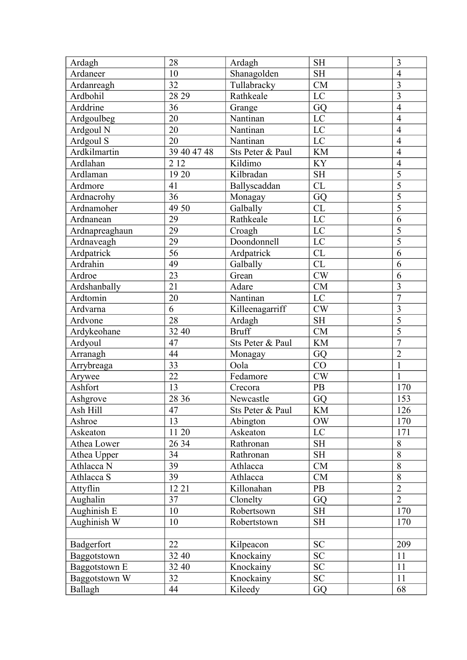| Shanagolden<br>10<br><b>SH</b><br>Ardaneer<br>$\overline{4}$<br>CM<br>$\overline{3}$<br>32<br>Tullabracky<br>Ardanreagh<br>$\overline{3}$<br>LC<br>Ardbohil<br>28 29<br>Rathkeale<br>Arddrine<br>36<br>$\overline{4}$<br>GQ<br>Grange<br>20<br>Nantinan<br>LC<br>$\overline{4}$<br>Ardgoulbeg<br>20<br>Nantinan<br>LC<br>Ardgoul N<br>$\overline{4}$<br>$\mathbf{LC}$<br>20<br>$\overline{4}$<br>Ardgoul S<br>Nantinan<br>Ardkilmartin<br>39 40 47 48<br>Sts Peter & Paul<br><b>KM</b><br>$\overline{4}$<br>2 1 2<br>Ardlahan<br>Kildimo<br><b>KY</b><br>$\overline{4}$<br>$\overline{5}$<br>19 20<br>Kilbradan<br><b>SH</b><br>Ardlaman<br>$\overline{5}$<br>CL<br>41<br>Ardmore<br>Ballyscaddan<br>$\overline{5}$<br>36<br>GQ<br>Ardnacrohy<br>Monagay<br>$\overline{5}$<br>Galbally<br>Ardnamoher<br>49 50<br>CL<br>29<br>6<br>Rathkeale<br>LC<br>Ardnanean<br>5<br>29<br>LC<br>Ardnapreaghaun<br>Croagh<br>$\overline{5}$<br>29<br>Doondonnell<br>$\rm LC$<br>Ardnaveagh<br>56<br>Ardpatrick<br>CL<br>Ardpatrick<br>6<br>CL<br>Ardrahin<br>49<br>Galbally<br>6<br>23<br>CW<br>Ardroe<br>Grean<br>6<br>21<br>$\overline{\mathbf{3}}$<br>CM<br>Ardshanbally<br>Adare<br>Ardtomin<br>Nantinan<br>$\overline{7}$<br>20<br>LC<br>6<br>$\overline{3}$<br>Killeenagarriff<br>CW<br>Ardvarna<br>$\overline{5}$<br>28<br><b>SH</b><br>Ardvone<br>Ardagh<br>$\overline{5}$<br>32 40<br><b>Bruff</b><br><b>CM</b><br>Ardykeohane<br>$\overline{7}$<br>47<br><b>KM</b><br>Ardyoul<br>Sts Peter & Paul<br>$\overline{2}$<br>44<br>Arranagh<br>GQ<br>Monagay<br>33<br>CO<br>Oola<br>$\mathbf{1}$<br>Arrybreaga<br>22<br>CW<br>Fedamore<br>$\mathbf{1}$<br>Arywee<br>Ashfort<br>PB<br>170<br>13<br>Crecora<br>28 36<br>GQ<br>153<br>Ashgrove<br>Newcastle<br>47<br>126<br>Ash Hill<br>$\mathop{\rm KM}\nolimits$<br>Sts Peter & Paul<br>13<br><b>OW</b><br>170<br>Ashroe<br>Abington<br>LC<br>11 20<br>Askeaton<br>171<br>Askeaton<br>26 34<br><b>SH</b><br>8<br>Athea Lower<br>Rathronan<br>$\overline{8}$<br>34<br>SH<br>Athea Upper<br>Rathronan<br>8<br>39<br>Athlacca N<br>CM<br>Athlacca<br>$\overline{8}$<br>39<br>CM<br>Athlacca S<br>Athlacca<br>$\overline{2}$<br>12 21<br>Attyflin<br>Killonahan<br><b>PB</b><br>$\overline{2}$<br>Aughalin<br>37<br>Clonelty<br>GQ<br>170<br>10<br>Aughinish E<br>Robertsown<br><b>SH</b><br>170<br>Aughinish W<br>10<br><b>SH</b><br>Robertstown<br>22<br>${\rm SC}$<br>209<br>Badgerfort<br>Kilpeacon<br><b>SC</b><br>11<br>Baggotstown<br>32 40<br>Knockainy<br><b>SC</b><br>11<br>32 40<br>Knockainy<br>Baggotstown E<br>32<br><b>SC</b><br>11<br>Baggotstown W<br>Knockainy<br>Ballagh<br>68<br>44<br>Kileedy<br>GQ | Ardagh | 28 | Ardagh | <b>SH</b> | $\overline{3}$ |
|-----------------------------------------------------------------------------------------------------------------------------------------------------------------------------------------------------------------------------------------------------------------------------------------------------------------------------------------------------------------------------------------------------------------------------------------------------------------------------------------------------------------------------------------------------------------------------------------------------------------------------------------------------------------------------------------------------------------------------------------------------------------------------------------------------------------------------------------------------------------------------------------------------------------------------------------------------------------------------------------------------------------------------------------------------------------------------------------------------------------------------------------------------------------------------------------------------------------------------------------------------------------------------------------------------------------------------------------------------------------------------------------------------------------------------------------------------------------------------------------------------------------------------------------------------------------------------------------------------------------------------------------------------------------------------------------------------------------------------------------------------------------------------------------------------------------------------------------------------------------------------------------------------------------------------------------------------------------------------------------------------------------------------------------------------------------------------------------------------------------------------------------------------------------------------------------------------------------------------------------------------------------------------------------------------------------------------------------------------------------------------------------------------------------------------------------------------------------------------------------------------------------------------------------------------------------------------------------------------------------------------------------------------------|--------|----|--------|-----------|----------------|
|                                                                                                                                                                                                                                                                                                                                                                                                                                                                                                                                                                                                                                                                                                                                                                                                                                                                                                                                                                                                                                                                                                                                                                                                                                                                                                                                                                                                                                                                                                                                                                                                                                                                                                                                                                                                                                                                                                                                                                                                                                                                                                                                                                                                                                                                                                                                                                                                                                                                                                                                                                                                                                                           |        |    |        |           |                |
|                                                                                                                                                                                                                                                                                                                                                                                                                                                                                                                                                                                                                                                                                                                                                                                                                                                                                                                                                                                                                                                                                                                                                                                                                                                                                                                                                                                                                                                                                                                                                                                                                                                                                                                                                                                                                                                                                                                                                                                                                                                                                                                                                                                                                                                                                                                                                                                                                                                                                                                                                                                                                                                           |        |    |        |           |                |
|                                                                                                                                                                                                                                                                                                                                                                                                                                                                                                                                                                                                                                                                                                                                                                                                                                                                                                                                                                                                                                                                                                                                                                                                                                                                                                                                                                                                                                                                                                                                                                                                                                                                                                                                                                                                                                                                                                                                                                                                                                                                                                                                                                                                                                                                                                                                                                                                                                                                                                                                                                                                                                                           |        |    |        |           |                |
|                                                                                                                                                                                                                                                                                                                                                                                                                                                                                                                                                                                                                                                                                                                                                                                                                                                                                                                                                                                                                                                                                                                                                                                                                                                                                                                                                                                                                                                                                                                                                                                                                                                                                                                                                                                                                                                                                                                                                                                                                                                                                                                                                                                                                                                                                                                                                                                                                                                                                                                                                                                                                                                           |        |    |        |           |                |
|                                                                                                                                                                                                                                                                                                                                                                                                                                                                                                                                                                                                                                                                                                                                                                                                                                                                                                                                                                                                                                                                                                                                                                                                                                                                                                                                                                                                                                                                                                                                                                                                                                                                                                                                                                                                                                                                                                                                                                                                                                                                                                                                                                                                                                                                                                                                                                                                                                                                                                                                                                                                                                                           |        |    |        |           |                |
|                                                                                                                                                                                                                                                                                                                                                                                                                                                                                                                                                                                                                                                                                                                                                                                                                                                                                                                                                                                                                                                                                                                                                                                                                                                                                                                                                                                                                                                                                                                                                                                                                                                                                                                                                                                                                                                                                                                                                                                                                                                                                                                                                                                                                                                                                                                                                                                                                                                                                                                                                                                                                                                           |        |    |        |           |                |
|                                                                                                                                                                                                                                                                                                                                                                                                                                                                                                                                                                                                                                                                                                                                                                                                                                                                                                                                                                                                                                                                                                                                                                                                                                                                                                                                                                                                                                                                                                                                                                                                                                                                                                                                                                                                                                                                                                                                                                                                                                                                                                                                                                                                                                                                                                                                                                                                                                                                                                                                                                                                                                                           |        |    |        |           |                |
|                                                                                                                                                                                                                                                                                                                                                                                                                                                                                                                                                                                                                                                                                                                                                                                                                                                                                                                                                                                                                                                                                                                                                                                                                                                                                                                                                                                                                                                                                                                                                                                                                                                                                                                                                                                                                                                                                                                                                                                                                                                                                                                                                                                                                                                                                                                                                                                                                                                                                                                                                                                                                                                           |        |    |        |           |                |
|                                                                                                                                                                                                                                                                                                                                                                                                                                                                                                                                                                                                                                                                                                                                                                                                                                                                                                                                                                                                                                                                                                                                                                                                                                                                                                                                                                                                                                                                                                                                                                                                                                                                                                                                                                                                                                                                                                                                                                                                                                                                                                                                                                                                                                                                                                                                                                                                                                                                                                                                                                                                                                                           |        |    |        |           |                |
|                                                                                                                                                                                                                                                                                                                                                                                                                                                                                                                                                                                                                                                                                                                                                                                                                                                                                                                                                                                                                                                                                                                                                                                                                                                                                                                                                                                                                                                                                                                                                                                                                                                                                                                                                                                                                                                                                                                                                                                                                                                                                                                                                                                                                                                                                                                                                                                                                                                                                                                                                                                                                                                           |        |    |        |           |                |
|                                                                                                                                                                                                                                                                                                                                                                                                                                                                                                                                                                                                                                                                                                                                                                                                                                                                                                                                                                                                                                                                                                                                                                                                                                                                                                                                                                                                                                                                                                                                                                                                                                                                                                                                                                                                                                                                                                                                                                                                                                                                                                                                                                                                                                                                                                                                                                                                                                                                                                                                                                                                                                                           |        |    |        |           |                |
|                                                                                                                                                                                                                                                                                                                                                                                                                                                                                                                                                                                                                                                                                                                                                                                                                                                                                                                                                                                                                                                                                                                                                                                                                                                                                                                                                                                                                                                                                                                                                                                                                                                                                                                                                                                                                                                                                                                                                                                                                                                                                                                                                                                                                                                                                                                                                                                                                                                                                                                                                                                                                                                           |        |    |        |           |                |
|                                                                                                                                                                                                                                                                                                                                                                                                                                                                                                                                                                                                                                                                                                                                                                                                                                                                                                                                                                                                                                                                                                                                                                                                                                                                                                                                                                                                                                                                                                                                                                                                                                                                                                                                                                                                                                                                                                                                                                                                                                                                                                                                                                                                                                                                                                                                                                                                                                                                                                                                                                                                                                                           |        |    |        |           |                |
|                                                                                                                                                                                                                                                                                                                                                                                                                                                                                                                                                                                                                                                                                                                                                                                                                                                                                                                                                                                                                                                                                                                                                                                                                                                                                                                                                                                                                                                                                                                                                                                                                                                                                                                                                                                                                                                                                                                                                                                                                                                                                                                                                                                                                                                                                                                                                                                                                                                                                                                                                                                                                                                           |        |    |        |           |                |
|                                                                                                                                                                                                                                                                                                                                                                                                                                                                                                                                                                                                                                                                                                                                                                                                                                                                                                                                                                                                                                                                                                                                                                                                                                                                                                                                                                                                                                                                                                                                                                                                                                                                                                                                                                                                                                                                                                                                                                                                                                                                                                                                                                                                                                                                                                                                                                                                                                                                                                                                                                                                                                                           |        |    |        |           |                |
|                                                                                                                                                                                                                                                                                                                                                                                                                                                                                                                                                                                                                                                                                                                                                                                                                                                                                                                                                                                                                                                                                                                                                                                                                                                                                                                                                                                                                                                                                                                                                                                                                                                                                                                                                                                                                                                                                                                                                                                                                                                                                                                                                                                                                                                                                                                                                                                                                                                                                                                                                                                                                                                           |        |    |        |           |                |
|                                                                                                                                                                                                                                                                                                                                                                                                                                                                                                                                                                                                                                                                                                                                                                                                                                                                                                                                                                                                                                                                                                                                                                                                                                                                                                                                                                                                                                                                                                                                                                                                                                                                                                                                                                                                                                                                                                                                                                                                                                                                                                                                                                                                                                                                                                                                                                                                                                                                                                                                                                                                                                                           |        |    |        |           |                |
|                                                                                                                                                                                                                                                                                                                                                                                                                                                                                                                                                                                                                                                                                                                                                                                                                                                                                                                                                                                                                                                                                                                                                                                                                                                                                                                                                                                                                                                                                                                                                                                                                                                                                                                                                                                                                                                                                                                                                                                                                                                                                                                                                                                                                                                                                                                                                                                                                                                                                                                                                                                                                                                           |        |    |        |           |                |
|                                                                                                                                                                                                                                                                                                                                                                                                                                                                                                                                                                                                                                                                                                                                                                                                                                                                                                                                                                                                                                                                                                                                                                                                                                                                                                                                                                                                                                                                                                                                                                                                                                                                                                                                                                                                                                                                                                                                                                                                                                                                                                                                                                                                                                                                                                                                                                                                                                                                                                                                                                                                                                                           |        |    |        |           |                |
|                                                                                                                                                                                                                                                                                                                                                                                                                                                                                                                                                                                                                                                                                                                                                                                                                                                                                                                                                                                                                                                                                                                                                                                                                                                                                                                                                                                                                                                                                                                                                                                                                                                                                                                                                                                                                                                                                                                                                                                                                                                                                                                                                                                                                                                                                                                                                                                                                                                                                                                                                                                                                                                           |        |    |        |           |                |
|                                                                                                                                                                                                                                                                                                                                                                                                                                                                                                                                                                                                                                                                                                                                                                                                                                                                                                                                                                                                                                                                                                                                                                                                                                                                                                                                                                                                                                                                                                                                                                                                                                                                                                                                                                                                                                                                                                                                                                                                                                                                                                                                                                                                                                                                                                                                                                                                                                                                                                                                                                                                                                                           |        |    |        |           |                |
|                                                                                                                                                                                                                                                                                                                                                                                                                                                                                                                                                                                                                                                                                                                                                                                                                                                                                                                                                                                                                                                                                                                                                                                                                                                                                                                                                                                                                                                                                                                                                                                                                                                                                                                                                                                                                                                                                                                                                                                                                                                                                                                                                                                                                                                                                                                                                                                                                                                                                                                                                                                                                                                           |        |    |        |           |                |
|                                                                                                                                                                                                                                                                                                                                                                                                                                                                                                                                                                                                                                                                                                                                                                                                                                                                                                                                                                                                                                                                                                                                                                                                                                                                                                                                                                                                                                                                                                                                                                                                                                                                                                                                                                                                                                                                                                                                                                                                                                                                                                                                                                                                                                                                                                                                                                                                                                                                                                                                                                                                                                                           |        |    |        |           |                |
|                                                                                                                                                                                                                                                                                                                                                                                                                                                                                                                                                                                                                                                                                                                                                                                                                                                                                                                                                                                                                                                                                                                                                                                                                                                                                                                                                                                                                                                                                                                                                                                                                                                                                                                                                                                                                                                                                                                                                                                                                                                                                                                                                                                                                                                                                                                                                                                                                                                                                                                                                                                                                                                           |        |    |        |           |                |
|                                                                                                                                                                                                                                                                                                                                                                                                                                                                                                                                                                                                                                                                                                                                                                                                                                                                                                                                                                                                                                                                                                                                                                                                                                                                                                                                                                                                                                                                                                                                                                                                                                                                                                                                                                                                                                                                                                                                                                                                                                                                                                                                                                                                                                                                                                                                                                                                                                                                                                                                                                                                                                                           |        |    |        |           |                |
|                                                                                                                                                                                                                                                                                                                                                                                                                                                                                                                                                                                                                                                                                                                                                                                                                                                                                                                                                                                                                                                                                                                                                                                                                                                                                                                                                                                                                                                                                                                                                                                                                                                                                                                                                                                                                                                                                                                                                                                                                                                                                                                                                                                                                                                                                                                                                                                                                                                                                                                                                                                                                                                           |        |    |        |           |                |
|                                                                                                                                                                                                                                                                                                                                                                                                                                                                                                                                                                                                                                                                                                                                                                                                                                                                                                                                                                                                                                                                                                                                                                                                                                                                                                                                                                                                                                                                                                                                                                                                                                                                                                                                                                                                                                                                                                                                                                                                                                                                                                                                                                                                                                                                                                                                                                                                                                                                                                                                                                                                                                                           |        |    |        |           |                |
|                                                                                                                                                                                                                                                                                                                                                                                                                                                                                                                                                                                                                                                                                                                                                                                                                                                                                                                                                                                                                                                                                                                                                                                                                                                                                                                                                                                                                                                                                                                                                                                                                                                                                                                                                                                                                                                                                                                                                                                                                                                                                                                                                                                                                                                                                                                                                                                                                                                                                                                                                                                                                                                           |        |    |        |           |                |
|                                                                                                                                                                                                                                                                                                                                                                                                                                                                                                                                                                                                                                                                                                                                                                                                                                                                                                                                                                                                                                                                                                                                                                                                                                                                                                                                                                                                                                                                                                                                                                                                                                                                                                                                                                                                                                                                                                                                                                                                                                                                                                                                                                                                                                                                                                                                                                                                                                                                                                                                                                                                                                                           |        |    |        |           |                |
|                                                                                                                                                                                                                                                                                                                                                                                                                                                                                                                                                                                                                                                                                                                                                                                                                                                                                                                                                                                                                                                                                                                                                                                                                                                                                                                                                                                                                                                                                                                                                                                                                                                                                                                                                                                                                                                                                                                                                                                                                                                                                                                                                                                                                                                                                                                                                                                                                                                                                                                                                                                                                                                           |        |    |        |           |                |
|                                                                                                                                                                                                                                                                                                                                                                                                                                                                                                                                                                                                                                                                                                                                                                                                                                                                                                                                                                                                                                                                                                                                                                                                                                                                                                                                                                                                                                                                                                                                                                                                                                                                                                                                                                                                                                                                                                                                                                                                                                                                                                                                                                                                                                                                                                                                                                                                                                                                                                                                                                                                                                                           |        |    |        |           |                |
|                                                                                                                                                                                                                                                                                                                                                                                                                                                                                                                                                                                                                                                                                                                                                                                                                                                                                                                                                                                                                                                                                                                                                                                                                                                                                                                                                                                                                                                                                                                                                                                                                                                                                                                                                                                                                                                                                                                                                                                                                                                                                                                                                                                                                                                                                                                                                                                                                                                                                                                                                                                                                                                           |        |    |        |           |                |
|                                                                                                                                                                                                                                                                                                                                                                                                                                                                                                                                                                                                                                                                                                                                                                                                                                                                                                                                                                                                                                                                                                                                                                                                                                                                                                                                                                                                                                                                                                                                                                                                                                                                                                                                                                                                                                                                                                                                                                                                                                                                                                                                                                                                                                                                                                                                                                                                                                                                                                                                                                                                                                                           |        |    |        |           |                |
|                                                                                                                                                                                                                                                                                                                                                                                                                                                                                                                                                                                                                                                                                                                                                                                                                                                                                                                                                                                                                                                                                                                                                                                                                                                                                                                                                                                                                                                                                                                                                                                                                                                                                                                                                                                                                                                                                                                                                                                                                                                                                                                                                                                                                                                                                                                                                                                                                                                                                                                                                                                                                                                           |        |    |        |           |                |
|                                                                                                                                                                                                                                                                                                                                                                                                                                                                                                                                                                                                                                                                                                                                                                                                                                                                                                                                                                                                                                                                                                                                                                                                                                                                                                                                                                                                                                                                                                                                                                                                                                                                                                                                                                                                                                                                                                                                                                                                                                                                                                                                                                                                                                                                                                                                                                                                                                                                                                                                                                                                                                                           |        |    |        |           |                |
|                                                                                                                                                                                                                                                                                                                                                                                                                                                                                                                                                                                                                                                                                                                                                                                                                                                                                                                                                                                                                                                                                                                                                                                                                                                                                                                                                                                                                                                                                                                                                                                                                                                                                                                                                                                                                                                                                                                                                                                                                                                                                                                                                                                                                                                                                                                                                                                                                                                                                                                                                                                                                                                           |        |    |        |           |                |
|                                                                                                                                                                                                                                                                                                                                                                                                                                                                                                                                                                                                                                                                                                                                                                                                                                                                                                                                                                                                                                                                                                                                                                                                                                                                                                                                                                                                                                                                                                                                                                                                                                                                                                                                                                                                                                                                                                                                                                                                                                                                                                                                                                                                                                                                                                                                                                                                                                                                                                                                                                                                                                                           |        |    |        |           |                |
|                                                                                                                                                                                                                                                                                                                                                                                                                                                                                                                                                                                                                                                                                                                                                                                                                                                                                                                                                                                                                                                                                                                                                                                                                                                                                                                                                                                                                                                                                                                                                                                                                                                                                                                                                                                                                                                                                                                                                                                                                                                                                                                                                                                                                                                                                                                                                                                                                                                                                                                                                                                                                                                           |        |    |        |           |                |
|                                                                                                                                                                                                                                                                                                                                                                                                                                                                                                                                                                                                                                                                                                                                                                                                                                                                                                                                                                                                                                                                                                                                                                                                                                                                                                                                                                                                                                                                                                                                                                                                                                                                                                                                                                                                                                                                                                                                                                                                                                                                                                                                                                                                                                                                                                                                                                                                                                                                                                                                                                                                                                                           |        |    |        |           |                |
|                                                                                                                                                                                                                                                                                                                                                                                                                                                                                                                                                                                                                                                                                                                                                                                                                                                                                                                                                                                                                                                                                                                                                                                                                                                                                                                                                                                                                                                                                                                                                                                                                                                                                                                                                                                                                                                                                                                                                                                                                                                                                                                                                                                                                                                                                                                                                                                                                                                                                                                                                                                                                                                           |        |    |        |           |                |
|                                                                                                                                                                                                                                                                                                                                                                                                                                                                                                                                                                                                                                                                                                                                                                                                                                                                                                                                                                                                                                                                                                                                                                                                                                                                                                                                                                                                                                                                                                                                                                                                                                                                                                                                                                                                                                                                                                                                                                                                                                                                                                                                                                                                                                                                                                                                                                                                                                                                                                                                                                                                                                                           |        |    |        |           |                |
|                                                                                                                                                                                                                                                                                                                                                                                                                                                                                                                                                                                                                                                                                                                                                                                                                                                                                                                                                                                                                                                                                                                                                                                                                                                                                                                                                                                                                                                                                                                                                                                                                                                                                                                                                                                                                                                                                                                                                                                                                                                                                                                                                                                                                                                                                                                                                                                                                                                                                                                                                                                                                                                           |        |    |        |           |                |
|                                                                                                                                                                                                                                                                                                                                                                                                                                                                                                                                                                                                                                                                                                                                                                                                                                                                                                                                                                                                                                                                                                                                                                                                                                                                                                                                                                                                                                                                                                                                                                                                                                                                                                                                                                                                                                                                                                                                                                                                                                                                                                                                                                                                                                                                                                                                                                                                                                                                                                                                                                                                                                                           |        |    |        |           |                |
|                                                                                                                                                                                                                                                                                                                                                                                                                                                                                                                                                                                                                                                                                                                                                                                                                                                                                                                                                                                                                                                                                                                                                                                                                                                                                                                                                                                                                                                                                                                                                                                                                                                                                                                                                                                                                                                                                                                                                                                                                                                                                                                                                                                                                                                                                                                                                                                                                                                                                                                                                                                                                                                           |        |    |        |           |                |
|                                                                                                                                                                                                                                                                                                                                                                                                                                                                                                                                                                                                                                                                                                                                                                                                                                                                                                                                                                                                                                                                                                                                                                                                                                                                                                                                                                                                                                                                                                                                                                                                                                                                                                                                                                                                                                                                                                                                                                                                                                                                                                                                                                                                                                                                                                                                                                                                                                                                                                                                                                                                                                                           |        |    |        |           |                |
|                                                                                                                                                                                                                                                                                                                                                                                                                                                                                                                                                                                                                                                                                                                                                                                                                                                                                                                                                                                                                                                                                                                                                                                                                                                                                                                                                                                                                                                                                                                                                                                                                                                                                                                                                                                                                                                                                                                                                                                                                                                                                                                                                                                                                                                                                                                                                                                                                                                                                                                                                                                                                                                           |        |    |        |           |                |
|                                                                                                                                                                                                                                                                                                                                                                                                                                                                                                                                                                                                                                                                                                                                                                                                                                                                                                                                                                                                                                                                                                                                                                                                                                                                                                                                                                                                                                                                                                                                                                                                                                                                                                                                                                                                                                                                                                                                                                                                                                                                                                                                                                                                                                                                                                                                                                                                                                                                                                                                                                                                                                                           |        |    |        |           |                |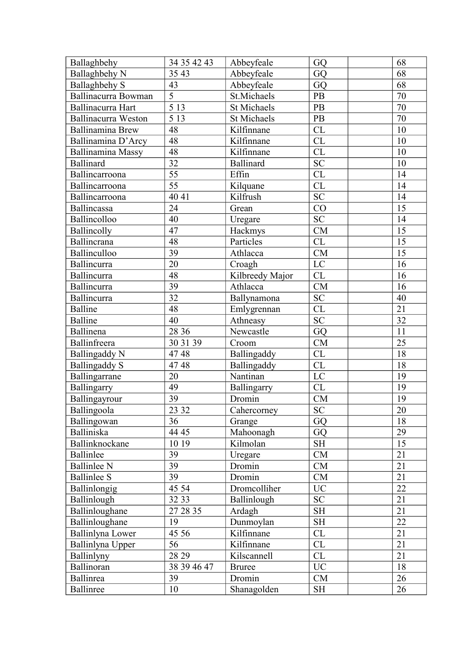| Ballaghbehy                | 34 35 42 43       | Abbeyfeale         | GQ              | 68              |
|----------------------------|-------------------|--------------------|-----------------|-----------------|
| Ballaghbehy N              | 35 43             | Abbeyfeale         | GQ              | 68              |
| <b>Ballaghbehy S</b>       | 43                | Abbeyfeale         | GQ              | 68              |
| Ballinacurra Bowman        | $\overline{5}$    | St.Michaels        | PB              | 70              |
| Ballinacurra Hart          | $\overline{513}$  | <b>St Michaels</b> | PB              | 70              |
| <b>Ballinacurra Weston</b> | $\overline{513}$  | <b>St Michaels</b> | PB              | 70              |
| <b>Ballinamina Brew</b>    | 48                | Kilfinnane         | CL              | 10              |
| Ballinamina D'Arcy         | 48                | Kilfinnane         | CL              | 10              |
| Ballinamina Massy          | 48                | Kilfinnane         | <b>CL</b>       | 10              |
| Ballinard                  | 32                | <b>Ballinard</b>   | <b>SC</b>       | 10              |
| Ballincarroona             | 55                | Effin              | CL              | 14              |
| Ballincarroona             | 55                | Kilquane           | CL              | 14              |
| Ballincarroona             | 40 41             | Kilfrush           | $\overline{SC}$ | 14              |
| Ballincassa                | 24                | Grean              | CO              | 15              |
| Ballincolloo               | 40                | Uregare            | <b>SC</b>       | 14              |
| Ballincolly                | 47                | Hackmys            | CM              | 15              |
| Ballincrana                | 48                | Particles          | CL              | 15              |
| Ballinculloo               | 39                | Athlacca           | CM              | 15              |
| Ballincurra                | 20                | Croagh             | LC              | 16              |
| Ballincurra                | 48                | Kilbreedy Major    | CL              | 16              |
| Ballincurra                | 39                | Athlacca           | CM              | 16              |
| Ballincurra                | 32                | Ballynamona        | <b>SC</b>       | 40              |
| <b>Balline</b>             | 48                | Emlygrennan        | CL              | 21              |
| <b>Balline</b>             | 40                | Athneasy           | <b>SC</b>       | 32              |
| Ballinena                  | 28 36             | Newcastle          | GQ              | 11              |
| Ballinfreera               | 30 31 39          | Croom              | <b>CM</b>       | 25              |
| <b>Ballingaddy N</b>       | 4748              | Ballingaddy        | CL              | 18              |
| <b>Ballingaddy S</b>       | 4748              | Ballingaddy        | CL              | 18              |
| Ballingarrane              | 20                | Nantinan           | LC              | 19              |
| Ballingarry                | 49                | Ballingarry        | CL              | 19              |
| Ballingayrour              | 39                | Dromin             | CM              | 19              |
| Ballingoola                | $\overline{2332}$ | Cahercorney        | SC              | $\overline{20}$ |
| Ballingowan                | 36                | Grange             | GQ              | 18              |
| Balliniska                 | 44 45             | Mahoonagh          | GQ              | 29              |
| Ballinknockane             | 10 19             | Kilmolan           | <b>SH</b>       | 15              |
| Ballinlee                  | 39                | Uregare            | CM              | 21              |
| <b>Ballinlee N</b>         | 39                | Dromin             | CM              | 21              |
| <b>Ballinlee S</b>         | 39                | Dromin             | CM              | 21              |
| Ballinlongig               | 45 54             | Dromcolliher       | UC              | 22              |
| Ballinlough                | 32 33             | Ballinlough        | SC              | 21              |
| Ballinloughane             | 27 28 35          | Ardagh             | SH              | 21              |
| Ballinloughane             | 19                | Dunmoylan          | <b>SH</b>       | 22              |
| Ballinlyna Lower           | 45 56             | Kilfinnane         | CL              | 21              |
| Ballinlyna Upper           | 56                | Kilfinnane         | CL              | 21              |
| Ballinlyny                 | 28 29             | Kilscannell        | CL              | 21              |
| Ballinoran                 | 38 39 46 47       | <b>Bruree</b>      | <b>UC</b>       | 18              |
| Ballinrea                  | 39                | Dromin             | CM              | 26              |
| <b>Ballinree</b>           | 10                | Shanagolden        | <b>SH</b>       | 26              |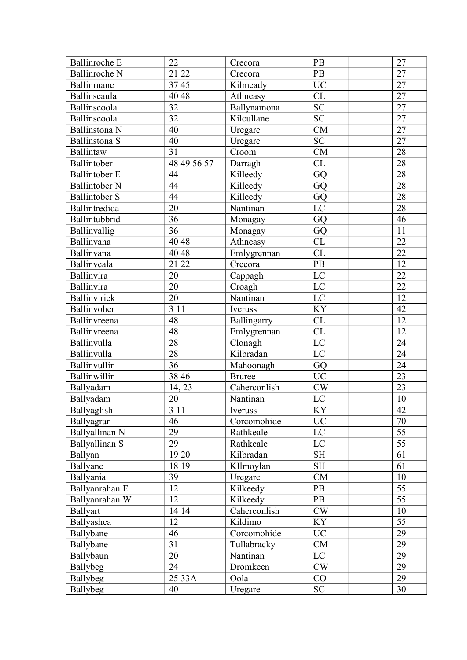| <b>Ballinroche E</b> | 22               | Crecora        | PB                  | 27              |
|----------------------|------------------|----------------|---------------------|-----------------|
| <b>Ballinroche N</b> | 21 22            | Crecora        | PB                  | 27              |
| Ballinruane          | 3745             | Kilmeady       | <b>UC</b>           | 27              |
| Ballinscaula         | 40 48            | Athneasy       | CL                  | 27              |
| Ballinscoola         | 32               | Ballynamona    | <b>SC</b>           | $\overline{27}$ |
| Ballinscoola         | 32               | Kilcullane     | <b>SC</b>           | 27              |
| <b>Ballinstona N</b> | 40               | Uregare        | CM                  | 27              |
| Ballinstona S        | 40               | Uregare        | <b>SC</b>           | $\overline{27}$ |
| Ballintaw            | 31               | Croom          | CM                  | 28              |
| Ballintober          | 48 49 56 57      | Darragh        | <b>CL</b>           | 28              |
| <b>Ballintober E</b> | 44               | Killeedy       | GQ                  | 28              |
| <b>Ballintober N</b> | 44               | Killeedy       | GQ                  | 28              |
| <b>Ballintober S</b> | 44               | Killeedy       | GQ                  | $\overline{28}$ |
| Ballintredida        | 20               | Nantinan       | LC                  | 28              |
| Ballintubbrid        | 36               | Monagay        | GQ                  | 46              |
| Ballinvallig         | 36               | Monagay        | GQ                  | 11              |
| Ballinvana           | 40 48            | Athneasy       | CL                  | 22              |
| Ballinvana           | 40 48            | Emlygrennan    | CL                  | 22              |
| Ballinveala          | 21 22            | Crecora        | PB                  | 12              |
| Ballinvira           | 20               | Cappagh        | LC                  | 22              |
| Ballinvira           | 20               | Croagh         | $\mathbf{LC}$       | $\overline{22}$ |
| <b>Ballinvirick</b>  | 20               | Nantinan       | LC                  | 12              |
| Ballinvoher          | 3 1 1            | Iveruss        | <b>KY</b>           | 42              |
| Ballinvreena         | 48               | Ballingarry    | CL                  | 12              |
| Ballinvreena         | 48               | Emlygrennan    | CL                  | 12              |
| Ballinvulla          | 28               | Clonagh        | LC                  | 24              |
| Ballinvulla          | 28               | Kilbradan      | LC                  | 24              |
| Ballinvullin         | 36               | Mahoonagh      | GQ                  | 24              |
| Ballinwillin         | 38 46            | <b>Bruree</b>  | $\overline{UC}$     | 23              |
| Ballyadam            | 14, 23           | Caherconlish   | $\mathrm{CW}$       | 23              |
| Ballyadam            | 20               | Nantinan       | LC                  | $10\,$          |
| Ballyaglish          | $\overline{311}$ | <b>Iveruss</b> | KY                  | 42              |
| Ballyagran           | 46               | Corcomohide    | <b>UC</b>           | 70              |
| Ballyallinan N       | 29               | Rathkeale      | LC                  | 55              |
| Ballyallinan S       | 29               | Rathkeale      | LC                  | 55              |
| Ballyan              | 19 20            | Kilbradan      | $\operatorname{SH}$ | 61              |
| Ballyane             | 18 19            | KIlmoylan      | <b>SH</b>           | 61              |
| Ballyania            | 39               | Uregare        | CM                  | 10              |
| Ballyanrahan E       | 12               | Kilkeedy       | PB                  | 55              |
| Ballyanrahan W       | 12               | Kilkeedy       | <b>PB</b>           | $\overline{55}$ |
| <b>Ballyart</b>      | 14 14            | Caherconlish   | CW                  | $10\,$          |
| Ballyashea           | 12               | Kildimo        | KY                  | $\overline{55}$ |
| Ballybane            | 46               | Corcomohide    | <b>UC</b>           | 29              |
| Ballybane            | 31               | Tullabracky    | CM                  | 29              |
| Ballybaun            | 20               | Nantinan       | LC                  | 29              |
| Ballybeg             | 24               | Dromkeen       | CW                  | 29              |
| Ballybeg             | 25 33A           | Oola           | CO                  | 29              |
| <b>Ballybeg</b>      | 40               | Uregare        | SC                  | 30              |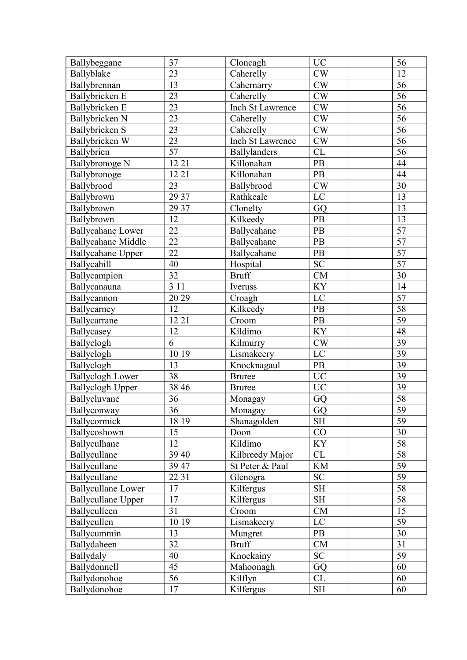| Ballybeggane              | 37              | Cloncagh         | <b>UC</b>     | 56              |
|---------------------------|-----------------|------------------|---------------|-----------------|
| Ballyblake                | 23              | Caherelly        | CW            | 12              |
| Ballybrennan              | 13              | Cahernarry       | CW            | 56              |
| Ballybricken E            | 23              | Caherelly        | CW            | 56              |
| Ballybricken E            | 23              | Inch St Lawrence | CW            | $\overline{56}$ |
| Ballybricken N            | 23              | Caherelly        | CW            | 56              |
| Ballybricken S            | 23              | Caherelly        | $\mathrm{CW}$ | 56              |
| Ballybricken W            | 23              | Inch St Lawrence | CW            | 56              |
| Ballybrien                | 57              | Ballylanders     | CL            | 56              |
| <b>Ballybronoge N</b>     | 12 21           | Killonahan       | PB            | 44              |
| Ballybronoge              | 12 21           | Killonahan       | PB            | 44              |
| Ballybrood                | 23              | Ballybrood       | CW            | 30              |
| Ballybrown                | 29 37           | Rathkeale        | LC            | 13              |
| Ballybrown                | 29 37           | Clonelty         | GQ            | 13              |
| Ballybrown                | 12              | Kilkeedy         | PB            | 13              |
| <b>Ballycahane Lower</b>  | 22              | Ballycahane      | PB            | 57              |
| <b>Ballycahane Middle</b> | 22              | Ballycahane      | PB            | 57              |
| <b>Ballycahane Upper</b>  | 22              | Ballycahane      | PB            | 57              |
| Ballycahill               | 40              | Hospital         | <b>SC</b>     | 57              |
| Ballycampion              | 32              | <b>Bruff</b>     | CM            | 30              |
| Ballycanauna              | 3 1 1           | Iveruss          | KY            | 14              |
| Ballycannon               | 20 29           | Croagh           | LC            | 57              |
| Ballycarney               | 12              | Kilkeedy         | $\mathbf{PB}$ | 58              |
| Ballycarrane              | 12 21           | Croom            | PB            | 59              |
| Ballycasey                | 12              | Kildimo          | <b>KY</b>     | 48              |
| Ballyclogh                | 6               | Kilmurry         | CW            | 39              |
| Ballyclogh                | 10 19           | Lismakeery       | LC            | 39              |
| Ballyclogh                | 13              | Knocknagaul      | PB            | 39              |
| <b>Ballyclogh Lower</b>   | 38              | <b>Bruree</b>    | <b>UC</b>     | 39              |
| <b>Ballyclogh Upper</b>   | 38 46           | <b>Bruree</b>    | <b>UC</b>     | 39              |
| Ballycluvane              | 36              | Monagay          | GQ            | 58              |
| Ballyconway               | $\overline{36}$ | Monagay          | GQ            | 59              |
| Ballycormick              | 18 19           | Shanagolden      | <b>SH</b>     | 59              |
| Ballycoshown              | 15              | Doon             | CO            | 30              |
| Ballyculhane              | 12              | Kildimo          | <b>KY</b>     | 58              |
| Ballycullane              | 39 40           | Kilbreedy Major  | CL            | 58              |
| Ballycullane              | 39 47           | St Peter & Paul  | KM            | 59              |
| Ballycullane              | 22 31           | Glenogra         | <b>SC</b>     | 59              |
| <b>Ballycullane Lower</b> | 17              | Kilfergus        | SH            | 58              |
| <b>Ballycullane Upper</b> | 17              | Kilfergus        | <b>SH</b>     | 58              |
| Ballyculleen              | 31              | Croom            | CM            | 15              |
| Ballycullen               | 10 19           | Lismakeery       | LC            | 59              |
| Ballycummin               | 13              | Mungret          | <b>PB</b>     | 30              |
| Ballydaheen               | 32              | <b>Bruff</b>     | CM            | 31              |
| Ballydaly                 | 40              | Knockainy        | <b>SC</b>     | 59              |
| Ballydonnell              | 45              | Mahoonagh        | GQ            | 60              |
| Ballydonohoe              | 56              | Kilflyn          | CL            | 60              |
| Ballydonohoe              | 17              | Kilfergus        | <b>SH</b>     | 60              |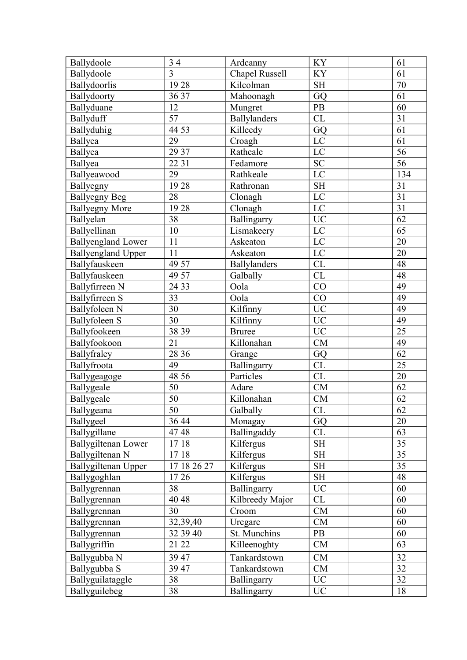| Ballydoole                | 34              | Ardcanny              | <b>KY</b>           | 61              |
|---------------------------|-----------------|-----------------------|---------------------|-----------------|
| Ballydoole                | $\overline{3}$  | <b>Chapel Russell</b> | <b>KY</b>           | 61              |
| Ballydoorlis              | 1928            | Kilcolman             | <b>SH</b>           | 70              |
| Ballydoorty               | 36 37           | Mahoonagh             | GQ                  | 61              |
| Ballyduane                | 12              | Mungret               | PB                  | 60              |
| Ballyduff                 | 57              | Ballylanders          | CL                  | 31              |
| Ballyduhig                | 44 53           | Killeedy              | GQ                  | 61              |
| Ballyea                   | 29              | Croagh                | $\mathbf{LC}$       | 61              |
| Ballyea                   | 29 37           | Ratheale              | LC                  | 56              |
| Ballyea                   | 22 31           | Fedamore              | <b>SC</b>           | $\overline{56}$ |
| Ballyeawood               | 29              | Rathkeale             | LC                  | 134             |
| Ballyegny                 | 1928            | Rathronan             | $\operatorname{SH}$ | 31              |
| <b>Ballyegny Beg</b>      | 28              | Clonagh               | LC                  | 31              |
| <b>Ballyegny More</b>     | 1928            | Clonagh               | LC                  | $\overline{31}$ |
| Ballyelan                 | 38              | Ballingarry           | <b>UC</b>           | 62              |
| Ballyellinan              | 10              | Lismakeery            | LC                  | 65              |
| <b>Ballyengland Lower</b> | 11              | Askeaton              | LC                  | 20              |
| <b>Ballyengland Upper</b> | 11              | Askeaton              | LC                  | 20              |
| Ballyfauskeen             | 49 57           | <b>Ballylanders</b>   | CL                  | 48              |
| Ballyfauskeen             | 49 57           | Galbally              | CL                  | 48              |
| Ballyfirreen N            | 24 33           | Oola                  | CO                  | 49              |
| Ballyfirreen S            | 33              | Oola                  | CO                  | 49              |
| Ballyfoleen N             | 30              | Kilfinny              | UC                  | 49              |
| <b>Ballyfoleen S</b>      | 30              | Kilfinny              | $\rm UC$            | 49              |
| Ballyfookeen              | 38 39           | <b>Bruree</b>         | <b>UC</b>           | 25              |
| Ballyfookoon              | 21              | Killonahan            | CM                  | 49              |
| Ballyfraley               | 28 36           | Grange                | GQ                  | 62              |
| Ballyfroota               | 49              | Ballingarry           | CL                  | 25              |
| Ballygeagoge              | 48 56           | Particles             | CL                  | 20              |
| Ballygeale                | 50              | Adare                 | CM                  | 62              |
| Ballygeale                | 50              | Killonahan            | CM                  | 62              |
| Ballygeana                | $\overline{50}$ | Galbally              | CL                  | $\overline{62}$ |
| Ballygeel                 | 36 44           | Monagay               | GQ                  | 20              |
| Ballygillane              | 4748            | Ballingaddy           | CL                  | 63              |
| Ballygiltenan Lower       | 1718            | Kilfergus             | <b>SH</b>           | 35              |
| Ballygiltenan N           | 1718            | Kilfergus             | <b>SH</b>           | 35              |
| Ballygiltenan Upper       | 17 18 26 27     | Kilfergus             | <b>SH</b>           | 35              |
| Ballygoghlan              | 1726            | Kilfergus             | <b>SH</b>           | 48              |
| Ballygrennan              | 38              | Ballingarry           | <b>UC</b>           | 60              |
| Ballygrennan              | 40 48           | Kilbreedy Major       | CL                  | 60              |
| Ballygrennan              | 30              | Croom                 | CM                  | 60              |
| Ballygrennan              | 32,39,40        | Uregare               | CM                  | 60              |
| Ballygrennan              | 32 39 40        | St. Munchins          | PB                  | 60              |
| Ballygriffin              | 21 22           | Killeenoghty          | CM                  | 63              |
| Ballygubba N              | 39 47           | Tankardstown          | ${\rm CM}$          | 32              |
| Ballygubba S              | 39 47           | Tankardstown          | CM                  | 32              |
| Ballyguilataggle          | 38              | Ballingarry           | <b>UC</b>           | 32              |
| Ballyguilebeg             | 38              | Ballingarry           | <b>UC</b>           | 18              |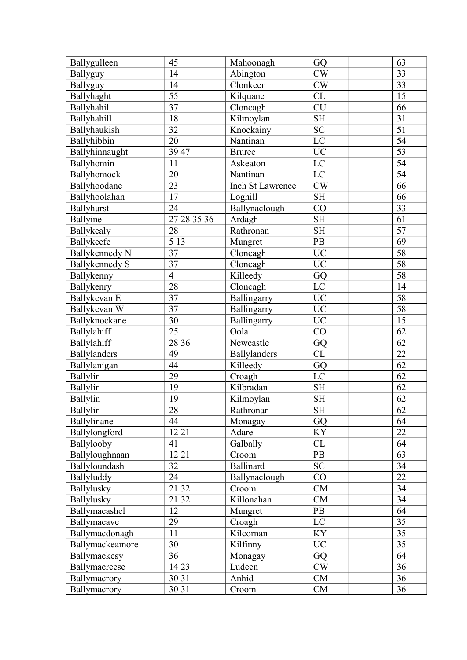| Ballygulleen        | 45             | Mahoonagh        | GQ                                | 63              |
|---------------------|----------------|------------------|-----------------------------------|-----------------|
| Ballyguy            | 14             | Abington         | CW                                | 33              |
| Ballyguy            | 14             | Clonkeen         | $\mathrm{CW}$                     | 33              |
| Ballyhaght          | 55             | Kilquane         | CL                                | 15              |
| Ballyhahil          | 37             | Cloncagh         | <b>CU</b>                         | 66              |
| Ballyhahill         | 18             | Kilmoylan        | $\operatorname{SH}$               | 31              |
| Ballyhaukish        | 32             | Knockainy        | ${\rm SC}$                        | $\overline{51}$ |
| Ballyhibbin         | 20             | Nantinan         | $\rm LC$                          | 54              |
| Ballyhinnaught      | 39 47          | <b>Bruree</b>    | <b>UC</b>                         | 53              |
| Ballyhomin          | 11             | Askeaton         | LC                                | 54              |
| Ballyhomock         | 20             | Nantinan         | $\rm LC$                          | 54              |
| Ballyhoodane        | 23             | Inch St Lawrence | CW                                | 66              |
| Ballyhoolahan       | 17             | Loghill          | <b>SH</b>                         | 66              |
| Ballyhurst          | 24             | Ballynaclough    | CO                                | 33              |
| Ballyine            | 27 28 35 36    | Ardagh           | <b>SH</b>                         | 61              |
| Ballykealy          | 28             | Rathronan        | <b>SH</b>                         | 57              |
| Ballykeefe          | 5 1 3          | Mungret          | PB                                | 69              |
| Ballykennedy N      | 37             | Cloncagh         | $\rm UC$                          | 58              |
| Ballykennedy S      | 37             | Cloncagh         | <b>UC</b>                         | $\overline{58}$ |
| Ballykenny          | $\overline{4}$ | Killeedy         | GQ                                | 58              |
| Ballykenry          | 28             | Cloncagh         | $\rm LC$                          | 14              |
| Ballykevan E        | 37             | Ballingarry      | <b>UC</b>                         | 58              |
| Ballykevan W        | 37             | Ballingarry      | <b>UC</b>                         | 58              |
| Ballyknockane       | 30             | Ballingarry      | <b>UC</b>                         | 15              |
| Ballylahiff         | 25             | Oola             | CO                                | 62              |
| Ballylahiff         | 28 36          | Newcastle        | GQ                                | 62              |
| <b>Ballylanders</b> | 49             | Ballylanders     | CL                                | 22              |
| Ballylanigan        | 44             | Killeedy         | GQ                                | 62              |
| Ballylin            | 29             | Croagh           | LC                                | 62              |
| Ballylin            | 19             | Kilbradan        | <b>SH</b>                         | 62              |
| Ballylin            | 19             | Kilmoylan        | $\operatorname{SH}$               | 62              |
| Ballylin            | 28             | Rathronan        | $\ensuremath{\mathrm{SH}}\xspace$ | $\overline{62}$ |
| Ballylinane         | 44             | Monagay          | GQ                                | 64              |
| Ballylongford       | 12 21          | Adare            | <b>KY</b>                         | 22              |
| Ballylooby          | 41             | Galbally         | CL                                | 64              |
| Ballyloughnaan      | 12 21          | Croom            | PB                                | 63              |
| Ballyloundash       | 32             | Ballinard        | <b>SC</b>                         | 34              |
| Ballyluddy          | 24             | Ballynaclough    | CO                                | 22              |
| Ballylusky          | 21 32          | Croom            | CM                                | 34              |
| Ballylusky          | 21 32          | Killonahan       | CM                                | 34              |
| Ballymacashel       | 12             | Mungret          | PB                                | 64              |
| Ballymacave         | 29             | Croagh           | $\mathbf{LC}$                     | $\overline{35}$ |
| Ballymacdonagh      | 11             | Kilcornan        | KY                                | 35              |
| Ballymackeamore     | 30             | Kilfinny         | <b>UC</b>                         | 35              |
| Ballymackesy        | 36             | Monagay          | GQ                                | 64              |
| Ballymacreese       | 14 23          | Ludeen           | CW                                | 36              |
| Ballymacrory        | 30 31          | Anhid            | CM                                | 36              |
| Ballymacrory        | 30 31          | Croom            | CM                                | 36              |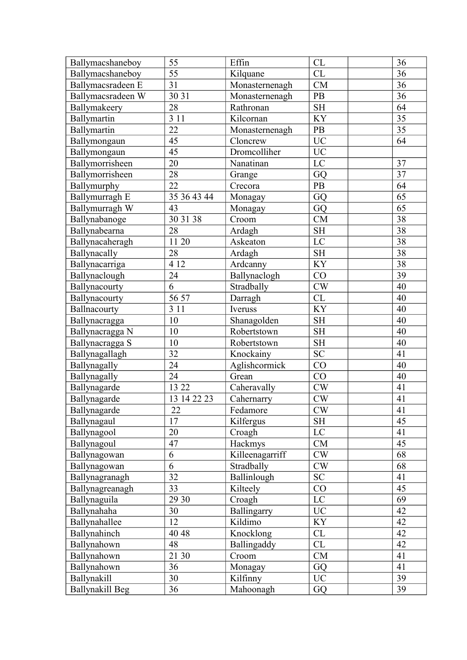| Ballymacshaneboy  | 55          | Effin           | CL                  | 36 |
|-------------------|-------------|-----------------|---------------------|----|
| Ballymacshaneboy  | 55          | Kilquane        | CL                  | 36 |
| Ballymacsradeen E | 31          | Monasternenagh  | <b>CM</b>           | 36 |
| Ballymacsradeen W | 30 31       | Monasternenagh  | PB                  | 36 |
| Ballymakeery      | 28          | Rathronan       | <b>SH</b>           | 64 |
| Ballymartin       | 3 1 1       | Kilcornan       | <b>KY</b>           | 35 |
| Ballymartin       | 22          | Monasternenagh  | PB                  | 35 |
| Ballymongaun      | 45          | Cloncrew        | $\overline{UC}$     | 64 |
| Ballymongaun      | 45          | Dromcolliher    | <b>UC</b>           |    |
| Ballymorrisheen   | 20          | Nanatinan       | LC                  | 37 |
| Ballymorrisheen   | 28          | Grange          | GQ                  | 37 |
| Ballymurphy       | 22          | Crecora         | <b>PB</b>           | 64 |
| Ballymurragh E    | 35 36 43 44 | Monagay         | GQ                  | 65 |
| Ballymurragh W    | 43          | Monagay         | GQ                  | 65 |
| Ballynabanoge     | 30 31 38    | Croom           | <b>CM</b>           | 38 |
| Ballynabearna     | 28          | Ardagh          | <b>SH</b>           | 38 |
| Ballynacaheragh   | 11 20       | Askeaton        | LC                  | 38 |
| Ballynacally      | 28          | Ardagh          | <b>SH</b>           | 38 |
| Ballynacarriga    | 4 1 2       | Ardcanny        | <b>KY</b>           | 38 |
| Ballynaclough     | 24          | Ballynaclogh    | CO                  | 39 |
| Ballynacourty     | 6           | Stradbally      | $\mathrm{CW}$       | 40 |
| Ballynacourty     | 56 57       | Darragh         | CL                  | 40 |
| Ballnacourty      | 3 1 1       | Iveruss         | KY                  | 40 |
| Ballynacragga     | 10          | Shanagolden     | <b>SH</b>           | 40 |
| Ballynacragga N   | 10          | Robertstown     | <b>SH</b>           | 40 |
| Ballynacragga S   | 10          | Robertstown     | $\operatorname{SH}$ | 40 |
| Ballynagallagh    | 32          | Knockainy       | <b>SC</b>           | 41 |
| Ballynagally      | 24          | Aglishcormick   | CO                  | 40 |
| Ballynagally      | 24          | Grean           | CO                  | 40 |
| Ballynagarde      | 13 22       | Caheravally     | CW                  | 41 |
| Ballynagarde      | 13 14 22 23 | Cahernarry      | $\mathrm{CW}$       | 41 |
| Ballynagarde      | 22          | Fedamore        | CW                  | 41 |
| Ballynagaul       | 17          | Kilfergus       | <b>SH</b>           | 45 |
| Ballynagool       | 20          | Croagh          | $\rm LC$            | 41 |
| Ballynagoul       | 47          | Hackmys         | CM                  | 45 |
| Ballynagowan      | 6           | Killeenagarriff | CW                  | 68 |
| Ballynagowan      | 6           | Stradbally      | CW                  | 68 |
| Ballynagranagh    | 32          | Ballinlough     | SC                  | 41 |
| Ballynagreanagh   | 33          | Kilteely        | CO                  | 45 |
| Ballynaguila      | 29 30       | Croagh          | LC                  | 69 |
| Ballynahaha       | 30          | Ballingarry     | $\rm UC$            | 42 |
| Ballynahallee     | 12          | Kildimo         | KY                  | 42 |
| Ballynahinch      | 40 48       | Knocklong       | CL                  | 42 |
| Ballynahown       | 48          | Ballingaddy     | CL                  | 42 |
| Ballynahown       | 21 30       | Croom           | CM                  | 41 |
| Ballynahown       | 36          | Monagay         | GQ                  | 41 |
| Ballynakill       | 30          | Kilfinny        | $\rm UC$            | 39 |
| Ballynakill Beg   | 36          | Mahoonagh       | GQ                  | 39 |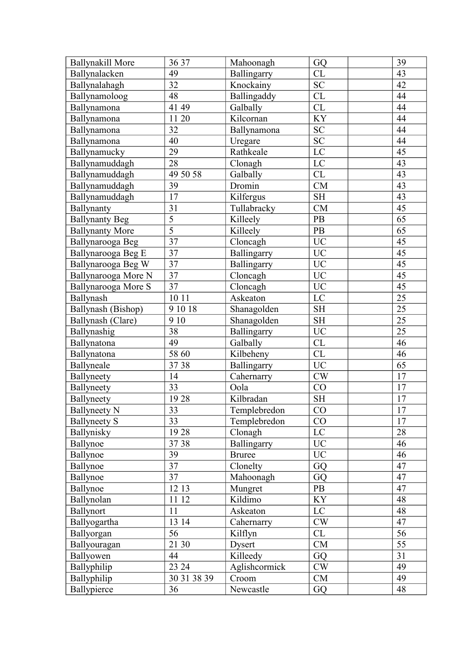| <b>Ballynakill More</b> | 36 37           | Mahoonagh     | GQ                  | 39              |
|-------------------------|-----------------|---------------|---------------------|-----------------|
| Ballynalacken           | 49              | Ballingarry   | CL                  | 43              |
| Ballynalahagh           | 32              | Knockainy     | SC                  | 42              |
| Ballynamoloog           | 48              | Ballingaddy   | ${\rm CL}$          | 44              |
| Ballynamona             | 41 49           | Galbally      | CL                  | 44              |
| Ballynamona             | 11 20           | Kilcornan     | <b>KY</b>           | 44              |
| Ballynamona             | 32              | Ballynamona   | ${\rm SC}$          | 44              |
| Ballynamona             | 40              | Uregare       | SC                  | 44              |
| Ballynamucky            | 29              | Rathkeale     | $\mathbf{LC}$       | 45              |
| Ballynamuddagh          | 28              | Clonagh       | $\rm LC$            | 43              |
| Ballynamuddagh          | 49 50 58        | Galbally      | CL                  | 43              |
| Ballynamuddagh          | 39              | Dromin        | CM                  | 43              |
| Ballynamuddagh          | 17              | Kilfergus     | $\operatorname{SH}$ | 43              |
| Ballynanty              | 31              | Tullabracky   | CM                  | 45              |
| <b>Ballynanty Beg</b>   | $\overline{5}$  | Killeely      | PB                  | 65              |
| <b>Ballynanty More</b>  | $\overline{5}$  | Killeely      | PB                  | 65              |
| Ballynarooga Beg        | 37              | Cloncagh      | <b>UC</b>           | 45              |
| Ballynarooga Beg E      | 37              | Ballingarry   | $\overline{UC}$     | 45              |
| Ballynarooga Beg W      | 37              | Ballingarry   | <b>UC</b>           | 45              |
| Ballynarooga More N     | 37              | Cloncagh      | $\rm UC$            | 45              |
| Ballynarooga More S     | 37              | Cloncagh      | $\rm UC$            | 45              |
| Ballynash               | 10 11           | Askeaton      | LC                  | 25              |
| Ballynash (Bishop)      | 9 10 18         | Shanagolden   | $\operatorname{SH}$ | 25              |
| Ballynash (Clare)       | 9 10            | Shanagolden   | <b>SH</b>           | 25              |
| Ballynashig             | 38              | Ballingarry   | <b>UC</b>           | 25              |
| Ballynatona             | 49              | Galbally      | ${\rm CL}$          | 46              |
| Ballynatona             | 58 60           | Kilbeheny     | CL                  | 46              |
| Ballyneale              | 3738            | Ballingarry   | <b>UC</b>           | 65              |
| Ballyneety              | 14              | Cahernarry    | CW                  | 17              |
| Ballyneety              | 33              | Oola          | CO                  | 17              |
| Ballyneety              | 1928            | Kilbradan     | $\operatorname{SH}$ | $17$            |
| <b>Ballyneety N</b>     | $\overline{33}$ | Templebredon  | CO                  | $\overline{17}$ |
| <b>Ballyneety S</b>     | 33              | Templebredon  | CO                  | 17              |
| Ballynisky              | 1928            | Clonagh       | $\mathbf{LC}$       | 28              |
| Ballynoe                | 37 38           | Ballingarry   | <b>UC</b>           | 46              |
| Ballynoe                | 39              | <b>Bruree</b> | $\rm UC$            | 46              |
| Ballynoe                | 37              | Clonelty      | GQ                  | 47              |
| Ballynoe                | 37              | Mahoonagh     | GQ                  | 47              |
| Ballynoe                | 1213            | Mungret       | PB                  | 47              |
| Ballynolan              | 11 12           | Kildimo       | <b>KY</b>           | 48              |
| Ballynort               | 11              | Askeaton      | LC                  | 48              |
| Ballyogartha            | 13 14           | Cahernarry    | $\mathrm{CW}$       | 47              |
| Ballyorgan              | 56              | Kilflyn       | CL                  | 56              |
| Ballyouragan            | 21 30           | Dysert        | CM                  | 55              |
| Ballyowen               | 44              | Killeedy      | GQ                  | 31              |
| Ballyphilip             | 23 24           | Aglishcormick | $\mathrm{CW}$       | 49              |
| Ballyphilip             | 30 31 38 39     | Croom         | CM                  | 49              |
| Ballypierce             | 36              | Newcastle     | GQ                  | 48              |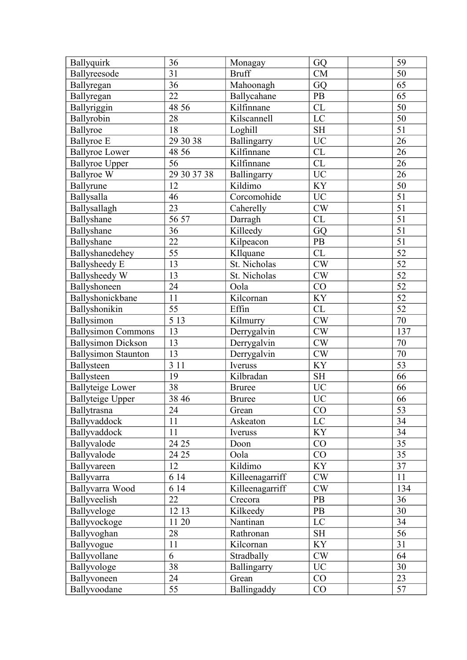| Ballyquirk                 | 36               | Monagay         | GQ                  | 59              |
|----------------------------|------------------|-----------------|---------------------|-----------------|
| Ballyreesode               | 31               | <b>Bruff</b>    | CM                  | 50              |
| Ballyregan                 | 36               | Mahoonagh       | GQ                  | 65              |
| Ballyregan                 | 22               | Ballycahane     | PB                  | 65              |
| Ballyriggin                | 48 56            | Kilfinnane      | CL                  | 50              |
| Ballyrobin                 | 28               | Kilscannell     | LC                  | 50              |
| Ballyroe                   | 18               | Loghill         | <b>SH</b>           | $\overline{51}$ |
| <b>Ballyroe</b> E          | 29 30 38         | Ballingarry     | <b>UC</b>           | 26              |
| <b>Ballyroe Lower</b>      | 48 56            | Kilfinnane      | ${\rm CL}$          | 26              |
| <b>Ballyroe Upper</b>      | 56               | Kilfinnane      | CL                  | 26              |
| <b>Ballyroe W</b>          | 29 30 37 38      | Ballingarry     | $\rm UC$            | 26              |
| Ballyrune                  | 12               | Kildimo         | KY                  | 50              |
| Ballysalla                 | 46               | Corcomohide     | $\rm UC$            | $\overline{51}$ |
| Ballysallagh               | 23               | Caherelly       | CW                  | $\overline{51}$ |
| Ballyshane                 | 56 57            | Darragh         | CL                  | $\overline{51}$ |
| Ballyshane                 | 36               | Killeedy        | GQ                  | 51              |
| Ballyshane                 | 22               | Kilpeacon       | <b>PB</b>           | 51              |
| Ballyshanedehey            | 55               | KIlquane        | CL                  | $\overline{52}$ |
| <b>Ballysheedy E</b>       | 13               | St. Nicholas    | CW                  | 52              |
| Ballysheedy W              | 13               | St. Nicholas    | CW                  | 52              |
| Ballyshoneen               | 24               | Oola            | $\rm CO$            | $\overline{52}$ |
| Ballyshonickbane           | 11               | Kilcornan       | <b>KY</b>           | $\overline{52}$ |
| Ballyshonikin              | 55               | Effin           | CL                  | $\overline{52}$ |
| Ballysimon                 | $\overline{5}13$ | Kilmurry        | $\mathrm{CW}$       | 70              |
| <b>Ballysimon Commons</b>  | 13               | Derrygalvin     | CW                  | 137             |
| <b>Ballysimon Dickson</b>  | 13               | Derrygalvin     | $\mathrm{CW}$       | $70\,$          |
| <b>Ballysimon Staunton</b> | 13               | Derrygalvin     | CW                  | $\overline{70}$ |
| Ballysteen                 | 3 1 1            | Iveruss         | <b>KY</b>           | 53              |
| Ballysteen                 | 19               | Kilbradan       | $\operatorname{SH}$ | 66              |
| <b>Ballyteige Lower</b>    | 38               | <b>Bruree</b>   | <b>UC</b>           | 66              |
| <b>Ballyteige Upper</b>    | 38 46            | <b>Bruree</b>   | <b>UC</b>           | 66              |
| Ballytrasna                | 24               | Grean           | CO                  | $\overline{53}$ |
| Ballyvaddock               | 11               | Askeaton        | LC                  | 34              |
| Ballyvaddock               | 11               | Iveruss         | <b>KY</b>           | 34              |
| Ballyvalode                | 24 25            | Doon            | CO                  | 35              |
| Ballyvalode                | 24 25            | Oola            | CO                  | 35              |
| Ballyvareen                | 12               | Kildimo         | KY                  | 37              |
| Ballyvarra                 | 6 14             | Killeenagarriff | CW                  | 11              |
| Ballyvarra Wood            | 6 14             | Killeenagarriff | CW                  | 134             |
| Ballyveelish               | 22               | Crecora         | <b>PB</b>           | 36              |
| Ballyveloge                | 12 13            | Kilkeedy        | PB                  | 30              |
| Ballyvockoge               | 11 20            | Nantinan        | $\mathbf{LC}$       | 34              |
| Ballyvoghan                | 28               | Rathronan       | <b>SH</b>           | 56              |
| Ballyvogue                 | 11               | Kilcornan       | <b>KY</b>           | 31              |
| Ballyvollane               | 6                | Stradbally      | <b>CW</b>           | 64              |
| Ballyvologe                | 38               | Ballingarry     | <b>UC</b>           | 30              |
| Ballyvoneen                | 24               | Grean           | CO                  | 23              |
|                            | 55               | Ballingaddy     | CO                  | 57              |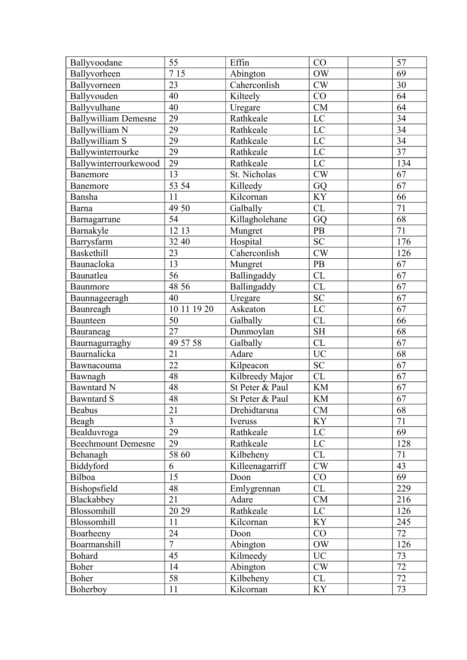| Ballyvoodane                | 55                | Effin           | CO                     | 57              |
|-----------------------------|-------------------|-----------------|------------------------|-----------------|
| Ballyvorheen                | $\overline{7}$ 15 | Abington        | <b>OW</b>              | 69              |
| Ballyvorneen                | 23                | Caherconlish    | $\mathrm{CW}$          | 30              |
| Ballyvouden                 | 40                | Kilteely        | CO                     | 64              |
| Ballyvulhane                | 40                | Uregare         | <b>CM</b>              | 64              |
| <b>Ballywilliam Demesne</b> | 29                | Rathkeale       | LC                     | 34              |
| Ballywilliam N              | 29                | Rathkeale       | LC                     | 34              |
| Ballywilliam S              | 29                | Rathkeale       | $L\overline{C}$        | 34              |
| Ballywinterrourke           | 29                | Rathkeale       | LC                     | 37              |
| Ballywinterrourkewood       | 29                | Rathkeale       | LC                     | 134             |
| Banemore                    | 13                | St. Nicholas    | CW                     | 67              |
| Banemore                    | 53 54             | Killeedy        | GQ                     | 67              |
| Bansha                      | 11                | Kilcornan       | KY                     | 66              |
| Barna                       | 49 50             | Galbally        | CL                     | 71              |
| Barnagarrane                | $\overline{54}$   | Killagholehane  | GQ                     | 68              |
| Barnakyle                   | 12 13             | Mungret         | PB                     | 71              |
| Barrysfarm                  | 32 40             | Hospital        | <b>SC</b>              | 176             |
| Baskethill                  | 23                | Caherconlish    | CW                     | 126             |
| Baunacloka                  | 13                | Mungret         | PB                     | 67              |
| Baunatlea                   | 56                | Ballingaddy     | CL                     | 67              |
| Baunmore                    | 48 56             | Ballingaddy     | $\overline{\text{CL}}$ | 67              |
| Baunnageeragh               | 40                | Uregare         | <b>SC</b>              | 67              |
| Baunreagh                   | 10 11 19 20       | Askeaton        | LC                     | 67              |
| Baunteen                    | 50                | Galbally        | CL                     | 66              |
| Bauraneag                   | 27                | Dunmoylan       | <b>SH</b>              | 68              |
| Baurnagurraghy              | 49 57 58          | Galbally        | CL                     | 67              |
| Baurnalicka                 | 21                | Adare           | <b>UC</b>              | 68              |
| Bawnacouma                  | 22                | Kilpeacon       | <b>SC</b>              | 67              |
| Bawnagh                     | 48                | Kilbreedy Major | CL                     | 67              |
| <b>Bawntard N</b>           | 48                | St Peter & Paul | <b>KM</b>              | 67              |
| <b>Bawntard S</b>           | 48                | St Peter & Paul | <b>KM</b>              | 67              |
| <b>Beabus</b>               | $\overline{21}$   | Drehidtarsna    | CM                     | 68              |
| Beagh                       | $\overline{3}$    | Iveruss         | <b>KY</b>              | 71              |
| Bealduvroga                 | 29                | Rathkeale       | $\mathbf{LC}$          | 69              |
| <b>Beechmount Demesne</b>   | 29                | Rathkeale       | LC                     | 128             |
| Behanagh                    | 58 60             | Kilbeheny       | CL                     | 71              |
| Biddyford                   | 6                 | Killeenagarriff | CW                     | 43              |
| Bilboa                      | 15                | Doon            | CO                     | 69              |
| Bishopsfield                | 48                | Emlygrennan     | CL                     | 229             |
| Blackabbey                  | 21                | Adare           | ${\rm CM}$             | 216             |
| Blossomhill                 | 20 29             | Rathkeale       | LC                     | 126             |
| Blossomhill                 | 11                | Kilcornan       | KY                     | 245             |
| Boarheeny                   | 24                | Doon            | CO                     | 72              |
| Boarmanshill                | $\overline{7}$    | Abington        | OW                     | 126             |
| <b>Bohard</b>               | 45                | Kilmeedy        | <b>UC</b>              | 73              |
| Boher                       | 14                | Abington        | $\mathrm{CW}$          | $\overline{72}$ |
| Boher                       | 58                | Kilbeheny       | CL                     | $\overline{72}$ |
| Boherboy                    | 11                | Kilcornan       | <b>KY</b>              | 73              |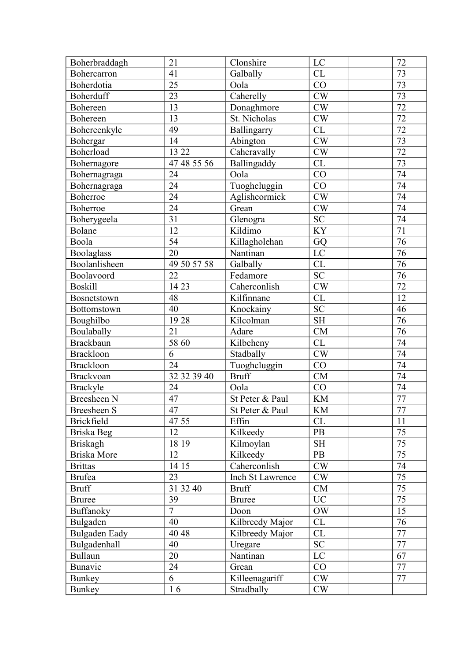| Boherbraddagh     | 21              | Clonshire        | LC                         | 72              |
|-------------------|-----------------|------------------|----------------------------|-----------------|
| Bohercarron       | 41              | Galbally         | CL                         | 73              |
| Boherdotia        | 25              | Oola             | CO                         | 73              |
| Boherduff         | 23              | Caherelly        | CW                         | 73              |
| Bohereen          | 13              | Donaghmore       | CW                         | $\overline{72}$ |
| Bohereen          | 13              | St. Nicholas     | ${\rm\bf CW}$              | $\overline{72}$ |
| Bohereenkyle      | 49              | Ballingarry      | CL                         | $\overline{72}$ |
| Bohergar          | 14              | Abington         | CW                         | 73              |
| Boherload         | 13 22           | Caheravally      | CW                         | $\overline{72}$ |
| Bohernagore       | 47 48 55 56     | Ballingaddy      | $\overline{\text{CL}}$     | $\overline{73}$ |
| Bohernagraga      | 24              | Oola             | $\overline{CO}$            | $\overline{74}$ |
| Bohernagraga      | 24              | Tuoghcluggin     | CO                         | $\overline{74}$ |
| Boherroe          | 24              | Aglishcormick    | CW                         | $\overline{74}$ |
| Boherroe          | 24              | Grean            | $\mathrm{CW}$              | 74              |
| Boherygeela       | 31              | Glenogra         | <b>SC</b>                  | $\overline{74}$ |
| Bolane            | 12              | Kildimo          | <b>KY</b>                  | 71              |
| Boola             | 54              | Killagholehan    | GQ                         | 76              |
| Boolaglass        | 20              | Nantinan         | LC                         | $\overline{76}$ |
| Boolanlisheen     | 49 50 57 58     | Galbally         | CL                         | $\overline{76}$ |
| Boolavoord        | 22              | Fedamore         | <b>SC</b>                  | $\overline{76}$ |
| <b>Boskill</b>    | 14 23           | Caherconlish     | $\overline{\text{CW}}$     | $\overline{72}$ |
| Bosnetstown       | 48              | Kilfinnane       | CL                         | 12              |
| Bottomstown       | 40              | Knockainy        | <b>SC</b>                  | 46              |
| Boughilbo         | 1928            | Kilcolman        | <b>SH</b>                  | $\overline{76}$ |
| Boulabally        | 21              | Adare            | CM                         | 76              |
| <b>Brackbaun</b>  | 58 60           | Kilbeheny        | CL                         | 74              |
| <b>Brackloon</b>  | 6               | Stadbally        | CW                         | $\overline{74}$ |
| <b>Brackloon</b>  | 24              | Tuoghcluggin     | CO                         | $\overline{74}$ |
| <b>Brackvoan</b>  | 32 32 39 40     | <b>Bruff</b>     | CM                         | 74              |
| <b>Brackyle</b>   | 24              | Oola             | CO                         | 74              |
| Breesheen N       | 47              | St Peter & Paul  | $\mathop{\rm KM}\nolimits$ | $\overline{77}$ |
| Breesheen S       | $\overline{47}$ | St Peter & Paul  | $\mathop{\rm KM}\nolimits$ | $\overline{77}$ |
| <b>Brickfield</b> | 47 55           | Effin            | CL                         | 11              |
| Briska Beg        | 12              | Kilkeedy         | PB                         | $\overline{75}$ |
| <b>Briskagh</b>   | 18 19           | Kilmoylan        | <b>SH</b>                  | $\overline{75}$ |
| Briska More       | 12              | Kilkeedy         | PB                         | $\overline{75}$ |
| <b>Brittas</b>    | 14 15           | Caherconlish     | CW                         | 74              |
| <b>Brufea</b>     | 23              | Inch St Lawrence | <b>CW</b>                  | 75              |
| <b>Bruff</b>      | 31 32 40        | <b>Bruff</b>     | CM                         | 75              |
| <b>Bruree</b>     | 39              | <b>Bruree</b>    | <b>UC</b>                  | $\overline{75}$ |
| Buffanoky         | $\overline{7}$  | Doon             | OW                         | 15              |
| Bulgaden          | 40              | Kilbreedy Major  | CL                         | 76              |
| Bulgaden Eady     | 40 48           | Kilbreedy Major  | CL                         | 77              |
| Bulgadenhall      | 40              | Uregare          | <b>SC</b>                  | 77              |
| <b>Bullaun</b>    | 20              | Nantinan         | LC                         | 67              |
| Bunavie           | 24              | Grean            | CO                         | 77              |
| Bunkey            | 6               | Killeenagariff   | <b>CW</b>                  | 77              |
| <b>Bunkey</b>     | 16              | Stradbally       | CW                         |                 |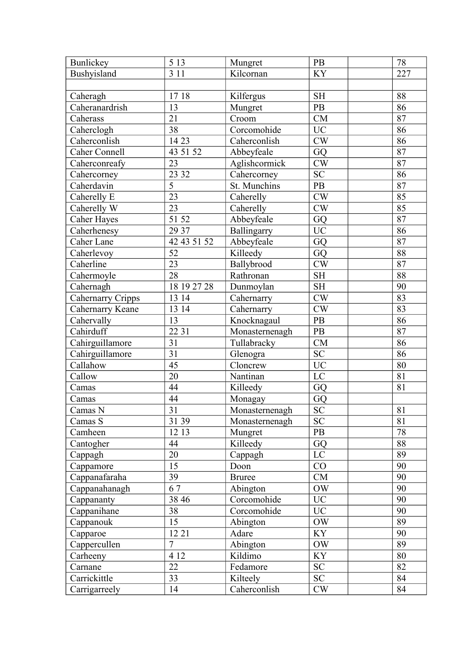| Bunlickey          | 5 1 3           | Mungret        | PB                                | 78              |
|--------------------|-----------------|----------------|-----------------------------------|-----------------|
| Bushyisland        | 3 1 1           | Kilcornan      | <b>KY</b>                         | 227             |
|                    |                 |                |                                   |                 |
| Caheragh           | 1718            | Kilfergus      | $\ensuremath{\mathrm{SH}}\xspace$ | 88              |
| Caheranardrish     | 13              | Mungret        | PB                                | 86              |
| Caherass           | $\overline{21}$ | Croom          | CM                                | 87              |
| Caherclogh         | 38              | Corcomohide    | <b>UC</b>                         | 86              |
| Caherconlish       | 14 23           | Caherconlish   | $\mathrm{CW}$                     | 86              |
| Caher Connell      | 43 51 52        | Abbeyfeale     | GQ                                | 87              |
| Caherconreafy      | 23              | Aglishcormick  | CW                                | 87              |
| Cahercorney        | 23 32           | Cahercorney    | <b>SC</b>                         | 86              |
| Caherdavin         | 5               | St. Munchins   | PB                                | 87              |
| Caherelly E        | $\overline{23}$ | Caherelly      | $\mathrm{CW}$                     | 85              |
| Caherelly W        | 23              | Caherelly      | CW                                | 85              |
| <b>Caher Hayes</b> | 51 52           | Abbeyfeale     | GQ                                | $\overline{87}$ |
| Caherhenesy        | 29 37           | Ballingarry    | $\rm UC$                          | 86              |
| Caher Lane         | 42 43 51 52     | Abbeyfeale     | GQ                                | 87              |
| Caherlevoy         | 52              | Killeedy       | GQ                                | 88              |
| Caherline          | 23              | Ballybrood     | $\mathrm{CW}$                     | $\overline{87}$ |
| Cahermoyle         | 28              | Rathronan      | $\operatorname{SH}$               | 88              |
| Cahernagh          | 18 19 27 28     | Dunmoylan      | $\operatorname{SH}$               | 90              |
| Cahernarry Cripps  | 13 14           | Cahernarry     | CW                                | 83              |
|                    | 13 14           |                |                                   | 83              |
| Cahernarry Keane   |                 | Cahernarry     | $\mathrm{CW}$                     |                 |
| Cahervally         | 13              | Knocknagaul    | PB                                | 86              |
| Cahirduff          | 22 31           | Monasternenagh | PB                                | 87              |
| Cahirguillamore    | 31              | Tullabracky    | ${\rm CM}$                        | 86              |
| Cahirguillamore    | 31              | Glenogra       | <b>SC</b>                         | 86              |
| Callahow           | 45              | Cloncrew       | $\overline{UC}$                   | 80              |
| Callow             | 20              | Nantinan       | LC                                | 81              |
| Camas              | 44              | Killeedy       | GQ                                | 81              |
| Camas              | 44              | Monagay        | GQ                                |                 |
| Camas N            | $\overline{31}$ | Monasternenagh | <b>SC</b>                         | 81              |
| Camas S            | 31 39           | Monasternenagh | <b>SC</b>                         | 81              |
| Camheen            | 12 13           | Mungret        | PB                                | 78              |
| Cantogher          | 44              | Killeedy       | GQ                                | 88              |
| Cappagh            | 20              | Cappagh        | $\rm LC$                          | 89              |
| Cappamore          | 15              | Doon           | CO                                | 90              |
| Cappanafaraha      | 39              | <b>Bruree</b>  | CM                                | 90              |
| Cappanahanagh      | 67              | Abington       | <b>OW</b>                         | 90              |
| Cappananty         | 38 46           | Corcomohide    | <b>UC</b>                         | 90              |
| Cappanihane        | 38              | Corcomohide    | UC                                | 90              |
| Cappanouk          | 15              | Abington       | OW                                | 89              |
| Capparoe           | 12 21           | Adare          | <b>KY</b>                         | 90              |
| Cappercullen       | $\overline{7}$  | Abington       | <b>OW</b>                         | 89              |
| Carheeny           | 4 12            | Kildimo        | <b>KY</b>                         | 80              |
| Carnane            | 22              | Fedamore       | SC                                | 82              |
| Carrickittle       | 33              | Kilteely       | ${\rm SC}$                        | 84              |
| Carrigarreely      | 14              | Caherconlish   | <b>CW</b>                         | 84              |
|                    |                 |                |                                   |                 |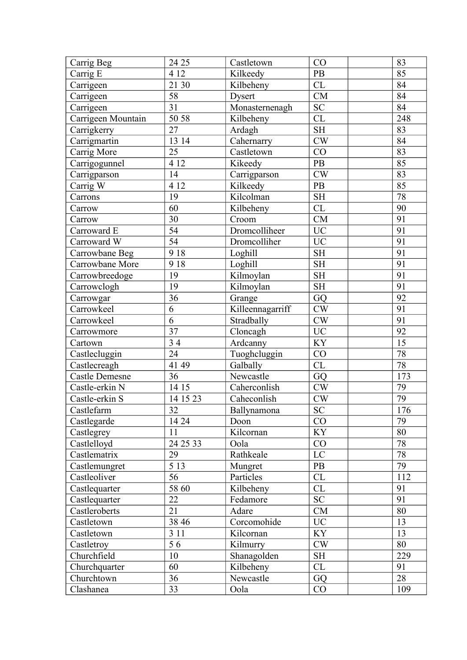| Carrig Beg            | 24 25           | Castletown       | CO                  | 83              |
|-----------------------|-----------------|------------------|---------------------|-----------------|
| Carrig E              | 4 12            | Kilkeedy         | PB                  | 85              |
| Carrigeen             | 21 30           | Kilbeheny        | CL                  | 84              |
| Carrigeen             | 58              | Dysert           | ${\rm CM}$          | 84              |
| Carrigeen             | 31              | Monasternenagh   | <b>SC</b>           | 84              |
| Carrigeen Mountain    | 50 58           | Kilbeheny        | CL                  | 248             |
| Carrigkerry           | 27              | Ardagh           | <b>SH</b>           | 83              |
| Carrigmartin          | 13 14           | Cahernarry       | $\mathrm{CW}$       | 84              |
| Carrig More           | 25              | Castletown       | CO                  | 83              |
| Carrigogunnel         | 4 1 2           | Kikeedy          | PB                  | 85              |
| Carrigparson          | 14              | Carrigparson     | CW                  | 83              |
| Carrig W              | 4 1 2           | Kilkeedy         | PB                  | 85              |
| Carrons               | 19              | Kilcolman        | $\operatorname{SH}$ | 78              |
| Carrow                | 60              | Kilbeheny        | CL                  | 90              |
| Carrow                | 30              | Croom            | CM                  | $\overline{91}$ |
| Carroward E           | 54              | Dromcolliheer    | <b>UC</b>           | 91              |
| Carroward W           | 54              | Dromcolliher     | <b>UC</b>           | 91              |
| Carrowbane Beg        | 9 1 8           | Loghill          | $\operatorname{SH}$ | 91              |
| Carrowbane More       | 9 1 8           | Loghill          | <b>SH</b>           | $\overline{91}$ |
| Carrowbreedoge        | 19              | Kilmoylan        | <b>SH</b>           | 91              |
| Carrowclogh           | 19              | Kilmoylan        | SH                  | $\overline{91}$ |
| Carrowgar             | 36              | Grange           | GQ                  | 92              |
| Carrowkeel            | 6               | Killeennagarriff | CW                  | 91              |
| Carrowkeel            | 6               | Stradbally       | CW                  | 91              |
| Carrowmore            | 37              | Cloncagh         | <b>UC</b>           | 92              |
| Cartown               | 34              | Ardcanny         | <b>KY</b>           | 15              |
| Castlecluggin         | 24              | Tuoghcluggin     | CO                  | 78              |
| Castlecreagh          | 41 49           | Galbally         | CL                  | $\overline{78}$ |
| <b>Castle Demesne</b> | 36              | Newcastle        | GQ                  | 173             |
| Castle-erkin N        | 14 15           | Caherconlish     | $\mathrm{CW}$       | 79              |
| Castle-erkin S        | 14 15 23        | Caheconlish      | $\mathrm{CW}$       | 79              |
| Castlefarm            | $\overline{32}$ | Ballynamona      | <b>SC</b>           | 176             |
| Castlegarde           | 14 24           | Doon             | CO                  | 79              |
| Castlegrey            | 11              | Kilcornan        | KY                  | 80              |
| Castlelloyd           | 24 25 33        | Oola             | CO                  | 78              |
| Castlematrix          | 29              | Rathkeale        | LC                  | $\overline{78}$ |
| Castlemungret         | 5 1 3           | Mungret          | PB                  | 79              |
| Castleoliver          | 56              | Particles        | CL                  | 112             |
| Castlequarter         | 58 60           | Kilbeheny        | CL                  | 91              |
| Castlequarter         | 22              | Fedamore         | SC                  | 91              |
| Castleroberts         | 21              | Adare            | CM                  | 80              |
| Castletown            | 38 46           | Corcomohide      | $\rm UC$            | 13              |
| Castletown            | 3 1 1           | Kilcornan        | <b>KY</b>           | 13              |
| Castletroy            | 56              | Kilmurry         | CW                  | 80              |
| Churchfield           | 10              | Shanagolden      | <b>SH</b>           | 229             |
| Churchquarter         | 60              | Kilbeheny        | CL                  | 91              |
| Churchtown            | 36              | Newcastle        | GQ                  | 28              |
| Clashanea             | 33              | Oola             | CO                  | 109             |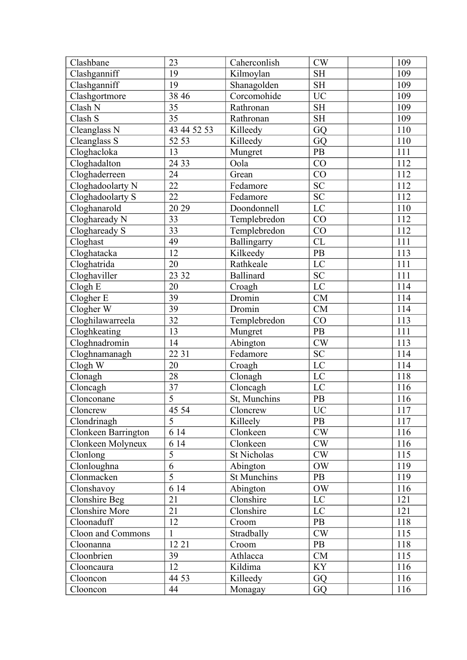| Clashbane           | 23             | Caherconlish     | CW             | 109 |
|---------------------|----------------|------------------|----------------|-----|
| Clashganniff        | 19             | Kilmoylan        | <b>SH</b>      | 109 |
| Clashganniff        | 19             | Shanagolden      | <b>SH</b>      | 109 |
| Clashgortmore       | 38 46          | Corcomohide      | <b>UC</b>      | 109 |
| Clash N             | 35             | Rathronan        | <b>SH</b>      | 109 |
| Clash S             | 35             | Rathronan        | <b>SH</b>      | 109 |
| Cleanglass N        | 43 44 52 53    | Killeedy         | GQ             | 110 |
| Cleanglass S        | 52 53          | Killeedy         | GQ             | 110 |
| Cloghacloka         | 13             | Mungret          | PB             | 111 |
| Cloghadalton        | 24 33          | Oola             | CO             | 112 |
| Cloghaderreen       | 24             | Grean            | CO             | 112 |
| Cloghadoolarty N    | 22             | Fedamore         | ${\rm SC}$     | 112 |
| Cloghadoolarty S    | 22             | Fedamore         | <b>SC</b>      | 112 |
| Cloghanarold        | 20 29          | Doondonnell      | LC             | 110 |
| Cloghaready N       | 33             | Templebredon     | CO             | 112 |
| Cloghaready S       | 33             | Templebredon     | CO             | 112 |
| Cloghast            | 49             | Ballingarry      | CL             | 111 |
| Cloghatacka         | 12             | Kilkeedy         | PB             | 113 |
| Cloghatrida         | 20             | Rathkeale        | LC             | 111 |
| Cloghaviller        | 23 32          | <b>Ballinard</b> | <b>SC</b>      | 111 |
| Clogh E             | 20             | Croagh           | $\rm LC$       | 114 |
| Clogher E           | 39             | Dromin           | CM             | 114 |
| Clogher W           | 39             | Dromin           | <b>CM</b>      | 114 |
| Cloghilawarreela    | 32             | Templebredon     | CO             | 113 |
| Cloghkeating        | 13             | Mungret          | PB             | 111 |
| Cloghnadromin       | 14             | Abington         | CW             | 113 |
| Cloghnamanagh       | 22 31          | Fedamore         | <b>SC</b>      | 114 |
| Clogh W             | 20             | Croagh           | LC             | 114 |
| Clonagh             | 28             | Clonagh          | $\rm LC$       | 118 |
| Cloncagh            | 37             | Cloncagh         | LC             | 116 |
| Clonconane          | $\overline{5}$ | St, Munchins     | PB             | 116 |
| Cloncrew            | 45 54          | Cloncrew         | <b>UC</b>      | 117 |
| Clondrinagh         | 5              | Killeely         | PB             | 117 |
| Clonkeen Barrington | 6 14           | Clonkeen         | CW             | 116 |
| Clonkeen Molyneux   | 6 14           | Clonkeen         | CW             | 116 |
| Clonlong            | 5              | St Nicholas      | CW             | 115 |
| Clonloughna         | 6              | Abington         | OW             | 119 |
| Clonmacken          | 5              | St Munchins      | PB             | 119 |
| Clonshavoy          | 6 14           | Abington         | <b>OW</b>      | 116 |
| Clonshire Beg       | 21             | Clonshire        | LC             | 121 |
| Clonshire More      | 21             | Clonshire        | LC             | 121 |
| Cloonaduff          | 12             | Croom            | PB             | 118 |
| Cloon and Commons   | $\mathbf{1}$   | Stradbally       | CW             | 115 |
| Cloonanna           | 12 21          | Croom            | PB             | 118 |
| Cloonbrien          | 39             | Athlacca         | CM             | 115 |
| Clooncaura          | 12             | Kildima          | KY <sup></sup> | 116 |
| Clooncon            | 44 53          | Killeedy         | GQ             | 116 |
| Clooncon            | 44             | Monagay          | GQ             | 116 |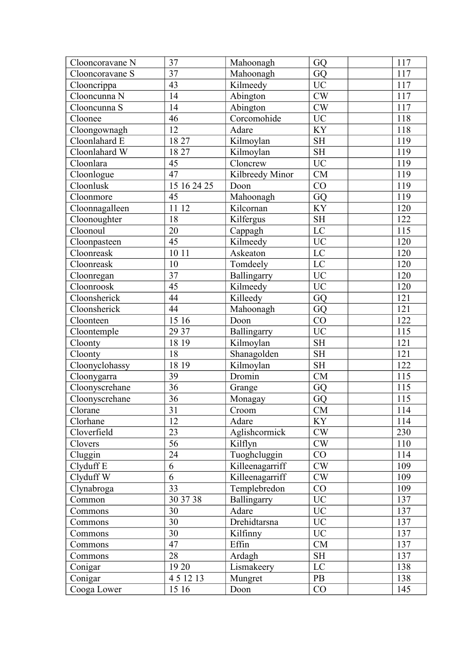| Clooncoravane N | 37              | Mahoonagh       | GQ              | 117            |
|-----------------|-----------------|-----------------|-----------------|----------------|
| Clooncoravane S | 37              | Mahoonagh       | GQ              | 117            |
| Clooncrippa     | 43              | Kilmeedy        | <b>UC</b>       | 117            |
| Clooncunna N    | 14              | Abington        | $\mathrm{CW}$   | 117            |
| Clooncunna S    | 14              | Abington        | CW              | 117            |
| Cloonee         | 46              | Corcomohide     | <b>UC</b>       | 118            |
| Cloongownagh    | 12              | Adare           | KY              | 118            |
| Cloonlahard E   | 18 27           | Kilmoylan       | <b>SH</b>       | <sup>119</sup> |
| Cloonlahard W   | 18 27           | Kilmoylan       | <b>SH</b>       | 119            |
| Cloonlara       | 45              | Cloncrew        | <b>UC</b>       | 119            |
| Cloonlogue      | 47              | Kilbreedy Minor | CM              | 119            |
| Cloonlusk       | 15 16 24 25     | Doon            | CO              | 119            |
| Cloonmore       | 45              | Mahoonagh       | GQ              | 119            |
| Cloonnagalleen  | 11 12           | Kilcornan       | KY              | 120            |
| Cloonoughter    | 18              | Kilfergus       | <b>SH</b>       | 122            |
| Cloonoul        | 20              | Cappagh         | $\rm LC$        | 115            |
| Cloonpasteen    | 45              | Kilmeedy        | <b>UC</b>       | 120            |
| Cloonreask      | 10 11           | Askeaton        | $\rm LC$        | 120            |
| Cloonreask      | 10              | Tomdeely        | LC              | 120            |
| Cloonregan      | 37              | Ballingarry     | <b>UC</b>       | 120            |
| Cloonroosk      | 45              | Kilmeedy        | $\overline{UC}$ | 120            |
| Cloonsherick    | 44              | Killeedy        | GQ              | 121            |
| Cloonsherick    | 44              | Mahoonagh       | GQ              | 121            |
| Cloonteen       | 15 16           | Doon            | CO              | 122            |
| Cloontemple     | 29 37           | Ballingarry     | <b>UC</b>       | 115            |
| Cloonty         | 18 19           | Kilmoylan       | <b>SH</b>       | 121            |
| Cloonty         | 18              | Shanagolden     | <b>SH</b>       | 121            |
| Cloonyclohassy  | 18 19           | Kilmoylan       | <b>SH</b>       | 122            |
| Cloonygarra     | 39              | Dromin          | CM              | 115            |
| Cloonyscrehane  | 36              | Grange          | GQ              | 115            |
| Cloonyscrehane  | 36              | Monagay         | GQ              | 115            |
| Clorane         | $\overline{31}$ | Croom           | CM              | 114            |
| Clorhane        | 12              | Adare           | <b>KY</b>       | 114            |
| Cloverfield     | 23              | Aglishcormick   | CW              | 230            |
| Clovers         | 56              | Kilflyn         | CW              | 110            |
| Cluggin         | 24              | Tuoghcluggin    | CO              | 114            |
| Clyduff E       | 6               | Killeenagarriff | CW              | 109            |
| Clyduff W       | 6               | Killeenagarriff | CW              | 109            |
| Clynabroga      | 33              | Templebredon    | CO              | 109            |
| Common          | 30 37 38        | Ballingarry     | <b>UC</b>       | 137            |
| Commons         | 30              | Adare           | <b>UC</b>       | 137            |
| Commons         | 30              | Drehidtarsna    | UC              | 137            |
| Commons         | 30              | Kilfinny        | $\rm UC$        | 137            |
| Commons         | 47              | Effin           | CM              | 137            |
| Commons         | 28              | Ardagh          | <b>SH</b>       | 137            |
| Conigar         | 19 20           | Lismakeery      | LC              | 138            |
| Conigar         | 451213          | Mungret         | PB              | 138            |
| Cooga Lower     | 15 16           | Doon            | CO              | 145            |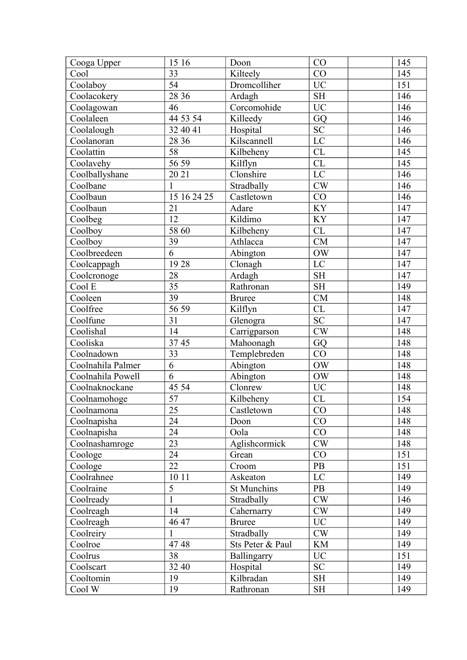| Cooga Upper       | 15 16           | Doon             | CO              | 145 |
|-------------------|-----------------|------------------|-----------------|-----|
| Cool              | 33              | Kilteely         | CO              | 145 |
| Coolaboy          | 54              | Dromcolliher     | <b>UC</b>       | 151 |
| Coolacokery       | 28 36           | Ardagh           | <b>SH</b>       | 146 |
| Coolagowan        | 46              | Corcomohide      | <b>UC</b>       | 146 |
| Coolaleen         | 44 53 54        | Killeedy         | GQ              | 146 |
| Coolalough        | 32 40 41        | Hospital         | <b>SC</b>       | 146 |
| Coolanoran        | 28 36           | Kilscannell      | $\overline{LC}$ | 146 |
| Coolattin         | 58              | Kilbeheny        | CL              | 145 |
| Coolavehy         | 56 59           | Kilflyn          | CL              | 145 |
| Coolballyshane    | 20 21           | Clonshire        | LC              | 146 |
| Coolbane          | $\mathbf{1}$    | Stradbally       | CW              | 146 |
| Coolbaun          | 15 16 24 25     | Castletown       | CO              | 146 |
| Coolbaun          | 21              | Adare            | KY              | 147 |
| Coolbeg           | 12              | Kildimo          | KY              | 147 |
| Coolboy           | 58 60           | Kilbeheny        | CL              | 147 |
| Coolboy           | 39              | Athlacca         | <b>CM</b>       | 147 |
| Coolbreedeen      | 6               | Abington         | <b>OW</b>       | 147 |
| Coolcappagh       | 1928            | Clonagh          | LC              | 147 |
| Coolcronoge       | 28              | Ardagh           | <b>SH</b>       | 147 |
| Cool E            | $\overline{35}$ | Rathronan        | <b>SH</b>       | 149 |
| Cooleen           | 39              | <b>Bruree</b>    | CM              | 148 |
| Coolfree          | 56 59           | Kilflyn          | CL              | 147 |
| Coolfune          | 31              | Glenogra         | <b>SC</b>       | 147 |
| Coolishal         | 14              | Carrigparson     | CW              | 148 |
| Cooliska          | 3745            | Mahoonagh        | GQ              | 148 |
| Coolnadown        | 33              | Templebreden     | CO              | 148 |
| Coolnahila Palmer | 6               | Abington         | OW              | 148 |
| Coolnahila Powell | 6               | Abington         | OW              | 148 |
| Coolnaknockane    | 45 54           | Clonrew          | <b>UC</b>       | 148 |
| Coolnamohoge      | 57              | Kilbeheny        | CL              | 154 |
| Coolnamona        | $\overline{25}$ | Castletown       | $\overline{CO}$ | 148 |
| Coolnapisha       | 24              | Doon             | CO              | 148 |
| Coolnapisha       | 24              | Oola             | CO              | 148 |
| Coolnashamroge    | 23              | Aglishcormick    | CW              | 148 |
| Coologe           | 24              | Grean            | CO              | 151 |
| Coologe           | 22              | Croom            | PB              | 151 |
| Coolrahnee        | 10 11           | Askeaton         | LC              | 149 |
| Coolraine         | 5               | St Munchins      | PB              | 149 |
| Coolready         | $\mathbf{1}$    | Stradbally       | CW              | 146 |
| Coolreagh         | 14              | Cahernarry       | CW              | 149 |
| Coolreagh         | 46 47           | <b>Bruree</b>    | <b>UC</b>       | 149 |
| Coolreiry         | 1               | Stradbally       | CW              | 149 |
| Coolroe           | 4748            | Sts Peter & Paul | <b>KM</b>       | 149 |
| Coolrus           | 38              | Ballingarry      | <b>UC</b>       | 151 |
| Coolscart         | 32 40           | Hospital         | <b>SC</b>       | 149 |
| Cooltomin         | 19              | Kilbradan        | <b>SH</b>       | 149 |
| Cool W            | 19              | Rathronan        | <b>SH</b>       | 149 |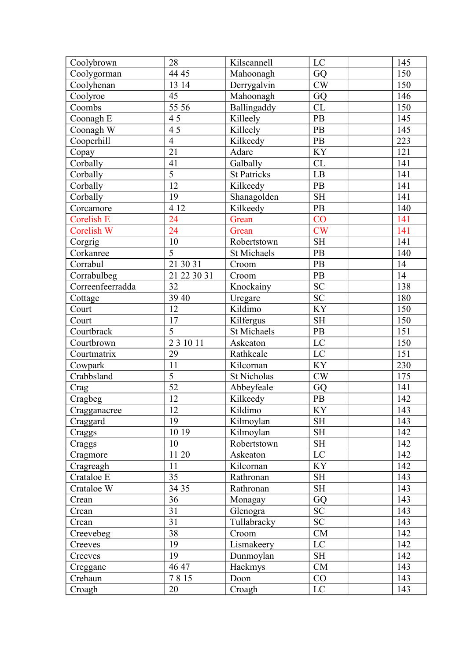| Coolybrown        | 28              | Kilscannell        | LC              | 145              |
|-------------------|-----------------|--------------------|-----------------|------------------|
| Coolygorman       | 44 45           | Mahoonagh          | GQ              | 150              |
| Coolyhenan        | 13 14           | Derrygalvin        | CW              | 150              |
| Coolyroe          | 45              | Mahoonagh          | GQ              | 146              |
| Coombs            | 55 56           | Ballingaddy        | CL              | 150              |
| Coonagh E         | 45              | Killeely           | PB              | 145              |
| Coonagh W         | $\overline{45}$ | Killeely           | PB              | 145              |
| Cooperhill        | $\overline{4}$  | Kilkeedy           | $\mathbf{PB}$   | 223              |
| Copay             | 21              | Adare              | KY              | 121              |
| Corbally          | 41              | Galbally           | CL              | 141              |
| Corbally          | $\overline{5}$  | <b>St Patricks</b> | LB              | 141              |
| Corbally          | 12              | Kilkeedy           | PB              | 141              |
| Corbally          | 19              | Shanagolden        | <b>SH</b>       | 141              |
| Corcamore         | 4 1 2           | Kilkeedy           | PB              | 140              |
| <b>Corelish E</b> | 24              | Grean              | CO              | 141              |
| Corelish W        | 24              | Grean              | CW              | 141              |
| Corgrig           | $10\,$          | Robertstown        | <b>SH</b>       | 141              |
| Corkanree         | $\overline{5}$  | <b>St Michaels</b> | PB              | 140              |
| Corrabul          | 21 30 31        | Croom              | PB              | 14               |
| Corrabulbeg       | 21 22 30 31     | Croom              | PB              | 14               |
| Correenfeerradda  | 32              | Knockainy          | <b>SC</b>       | 138              |
| Cottage           | 39 40           | Uregare            | <b>SC</b>       | 180              |
| Court             | 12              | Kildimo            | KY              | 150              |
| Court             | 17              | Kilfergus          | <b>SH</b>       | 150              |
| Courtbrack        | $\overline{5}$  | <b>St Michaels</b> | PB              | 151              |
| Courtbrown        | 2 3 10 11       | Askeaton           | $\mathbf{LC}$   | 150              |
| Courtmatrix       | 29              | Rathkeale          | LC              | 151              |
| Cowpark           | 11              | Kilcornan          | KY              | 230              |
| Crabbsland        | $\overline{5}$  | <b>St Nicholas</b> | $\mathrm{CW}$   | 175              |
| Crag              | 52              | Abbeyfeale         | GQ              | 141              |
| Cragbeg           | 12              | Kilkeedy           | PB              | 142              |
| Cragganacree      | $\overline{12}$ | Kildimo            | $\overline{KY}$ | $\overline{143}$ |
| Craggard          | 19              | Kilmoylan          | <b>SH</b>       | 143              |
| Craggs            | 10 19           | Kilmoylan          | <b>SH</b>       | 142              |
| Craggs            | 10              | Robertstown        | <b>SH</b>       | 142              |
| Cragmore          | 1120            | Askeaton           | $\rm LC$        | 142              |
| Cragreagh         | 11              | Kilcornan          | KY              | 142              |
| Crataloe E        | 35              | Rathronan          | <b>SH</b>       | 143              |
| Crataloe W        | 34 35           | Rathronan          | <b>SH</b>       | 143              |
| Crean             | 36              | Monagay            | GQ              | 143              |
| Crean             | 31              | Glenogra           | ${\rm SC}$      | 143              |
| Crean             | 31              | Tullabracky        | $\overline{SC}$ | 143              |
| Creevebeg         | 38              | Croom              | CM              | 142              |
| Creeves           | 19              | Lismakeery         | LC              | 142              |
| Creeves           | 19              | Dunmoylan          | <b>SH</b>       | 142              |
| Creggane          | 46 47           | Hackmys            | CM              | 143              |
| Crehaun           | 7815            | Doon               | CO              | 143              |
| Croagh            | 20              | Croagh             | LC              | 143              |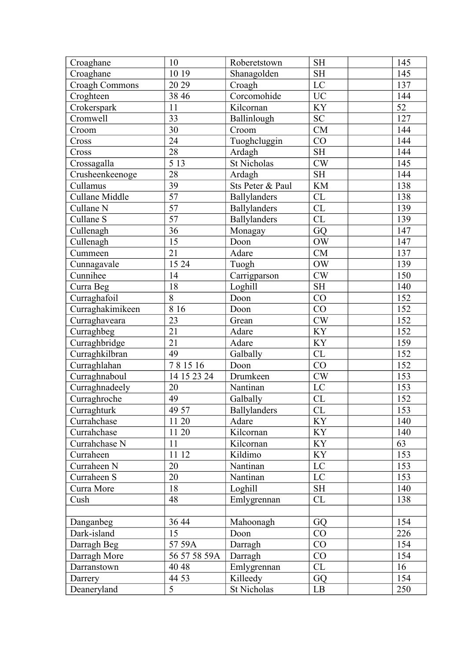| <b>SH</b><br>145<br>10 19<br>Shanagolden<br>Croaghane<br>LC<br>20 29<br>137<br><b>Croagh Commons</b><br>Croagh<br>Corcomohide<br>Croghteen<br><b>UC</b><br>38 46<br>144<br>KY<br>52<br>11<br>Crokerspark<br>Kilcornan<br>33<br>${\rm SC}$<br>127<br>Cromwell<br>Ballinlough<br>30<br><b>CM</b><br>144<br>Croom<br>Croom<br>Tuoghcluggin<br>24<br>CO<br>144<br>Cross<br>28<br>Cross<br>Ardagh<br><b>SH</b><br>144<br>$\overline{513}$<br>St Nicholas<br>CW<br>145<br>Crossagalla<br>28<br>$\operatorname{SH}$<br>144<br>Crusheenkeenoge<br>Ardagh<br>39<br>Sts Peter & Paul<br>$\mathbf{KM}$<br>Cullamus<br>138<br>$\overline{57}$<br>Cullane Middle<br>CL<br>138<br>Ballylanders<br>$\overline{57}$<br>CL<br>Cullane N<br><b>Ballylanders</b><br>139<br>57<br>Ballylanders<br>CL<br>Cullane S<br>139<br>36<br>GQ<br>147<br>Cullenagh<br>Monagay<br>15<br><b>OW</b><br>Cullenagh<br>Doon<br>147<br>21<br>Adare<br><b>CM</b><br>137<br>Cummeen<br>15 24<br><b>OW</b><br>Cunnagavale<br>Tuogh<br>139<br>Cunnihee<br>$\mathrm{CW}$<br>14<br>150<br>Carrigparson<br>18<br><b>SH</b><br>140<br>Loghill<br>Curra Beg<br>8<br>Curraghafoil<br>Doon<br>CO<br>152<br>8 1 6<br>CO<br>152<br>Curraghakimikeen<br>Doon<br>CW<br>Curraghaveara<br>23<br>152<br>Grean<br>21<br>KY<br>Curraghbeg<br>152<br>Adare<br>21<br>KY<br>159<br>Curraghbridge<br>Adare<br>Curraghkilbran<br>49<br><b>CL</b><br>Galbally<br>152<br>781516<br>CO<br>152<br>Curraghlahan<br>Doon<br>CW<br>Curraghnaboul<br>14 15 23 24<br>Drumkeen<br>153<br>Curraghnadeely<br>Nantinan<br>20<br>LC<br>153<br>49<br>CL<br>152<br>Curraghroche<br>Galbally<br>$\overline{153}$<br>49 57<br><b>Ballylanders</b><br>CL<br>Curraghturk<br><b>KY</b><br>140<br>Currahchase<br>11 20<br>Adare<br>KY<br>11 20<br>Currahchase<br>Kilcornan<br>140<br><b>KY</b><br>Currahchase N<br>11<br>Kilcornan<br>63<br>11 12<br>KY<br>153<br>Kildimo<br>Curraheen<br>$\rm LC$<br>Nantinan<br>153<br>Curraheen N<br>20<br>Curraheen S<br>20<br>Nantinan<br>LC<br>153<br>18<br><b>SH</b><br>140<br>Curra More<br>Loghill<br>48<br>Emlygrennan<br>CL<br>138<br>Cush<br>GQ<br>154<br>36 44<br>Danganbeg<br>Mahoonagh<br>Dark-island<br>CO<br>226<br>15<br>Doon<br>154<br>57 59A<br>CO<br>Darragh Beg<br>Darragh<br>Darragh More<br>56 57 58 59A<br>Darragh<br>CO<br>154<br>CL<br>40 48<br>16<br>Darranstown<br>Emlygrennan<br>154<br>44 53<br>Killeedy<br>GQ<br>Darrery<br>$\overline{5}$<br>St Nicholas<br>Deaneryland<br>LB<br>250 | Croaghane | 10 | Roberetstown | <b>SH</b> | 145 |
|-------------------------------------------------------------------------------------------------------------------------------------------------------------------------------------------------------------------------------------------------------------------------------------------------------------------------------------------------------------------------------------------------------------------------------------------------------------------------------------------------------------------------------------------------------------------------------------------------------------------------------------------------------------------------------------------------------------------------------------------------------------------------------------------------------------------------------------------------------------------------------------------------------------------------------------------------------------------------------------------------------------------------------------------------------------------------------------------------------------------------------------------------------------------------------------------------------------------------------------------------------------------------------------------------------------------------------------------------------------------------------------------------------------------------------------------------------------------------------------------------------------------------------------------------------------------------------------------------------------------------------------------------------------------------------------------------------------------------------------------------------------------------------------------------------------------------------------------------------------------------------------------------------------------------------------------------------------------------------------------------------------------------------------------------------------------------------------------------------------------------------------------------------------------------------------------------------------------------------------------------------------------------------------------------------------------------------------------------------------------------------------------------------------------------------------------------------------------|-----------|----|--------------|-----------|-----|
|                                                                                                                                                                                                                                                                                                                                                                                                                                                                                                                                                                                                                                                                                                                                                                                                                                                                                                                                                                                                                                                                                                                                                                                                                                                                                                                                                                                                                                                                                                                                                                                                                                                                                                                                                                                                                                                                                                                                                                                                                                                                                                                                                                                                                                                                                                                                                                                                                                                                   |           |    |              |           |     |
|                                                                                                                                                                                                                                                                                                                                                                                                                                                                                                                                                                                                                                                                                                                                                                                                                                                                                                                                                                                                                                                                                                                                                                                                                                                                                                                                                                                                                                                                                                                                                                                                                                                                                                                                                                                                                                                                                                                                                                                                                                                                                                                                                                                                                                                                                                                                                                                                                                                                   |           |    |              |           |     |
|                                                                                                                                                                                                                                                                                                                                                                                                                                                                                                                                                                                                                                                                                                                                                                                                                                                                                                                                                                                                                                                                                                                                                                                                                                                                                                                                                                                                                                                                                                                                                                                                                                                                                                                                                                                                                                                                                                                                                                                                                                                                                                                                                                                                                                                                                                                                                                                                                                                                   |           |    |              |           |     |
|                                                                                                                                                                                                                                                                                                                                                                                                                                                                                                                                                                                                                                                                                                                                                                                                                                                                                                                                                                                                                                                                                                                                                                                                                                                                                                                                                                                                                                                                                                                                                                                                                                                                                                                                                                                                                                                                                                                                                                                                                                                                                                                                                                                                                                                                                                                                                                                                                                                                   |           |    |              |           |     |
|                                                                                                                                                                                                                                                                                                                                                                                                                                                                                                                                                                                                                                                                                                                                                                                                                                                                                                                                                                                                                                                                                                                                                                                                                                                                                                                                                                                                                                                                                                                                                                                                                                                                                                                                                                                                                                                                                                                                                                                                                                                                                                                                                                                                                                                                                                                                                                                                                                                                   |           |    |              |           |     |
|                                                                                                                                                                                                                                                                                                                                                                                                                                                                                                                                                                                                                                                                                                                                                                                                                                                                                                                                                                                                                                                                                                                                                                                                                                                                                                                                                                                                                                                                                                                                                                                                                                                                                                                                                                                                                                                                                                                                                                                                                                                                                                                                                                                                                                                                                                                                                                                                                                                                   |           |    |              |           |     |
|                                                                                                                                                                                                                                                                                                                                                                                                                                                                                                                                                                                                                                                                                                                                                                                                                                                                                                                                                                                                                                                                                                                                                                                                                                                                                                                                                                                                                                                                                                                                                                                                                                                                                                                                                                                                                                                                                                                                                                                                                                                                                                                                                                                                                                                                                                                                                                                                                                                                   |           |    |              |           |     |
|                                                                                                                                                                                                                                                                                                                                                                                                                                                                                                                                                                                                                                                                                                                                                                                                                                                                                                                                                                                                                                                                                                                                                                                                                                                                                                                                                                                                                                                                                                                                                                                                                                                                                                                                                                                                                                                                                                                                                                                                                                                                                                                                                                                                                                                                                                                                                                                                                                                                   |           |    |              |           |     |
|                                                                                                                                                                                                                                                                                                                                                                                                                                                                                                                                                                                                                                                                                                                                                                                                                                                                                                                                                                                                                                                                                                                                                                                                                                                                                                                                                                                                                                                                                                                                                                                                                                                                                                                                                                                                                                                                                                                                                                                                                                                                                                                                                                                                                                                                                                                                                                                                                                                                   |           |    |              |           |     |
|                                                                                                                                                                                                                                                                                                                                                                                                                                                                                                                                                                                                                                                                                                                                                                                                                                                                                                                                                                                                                                                                                                                                                                                                                                                                                                                                                                                                                                                                                                                                                                                                                                                                                                                                                                                                                                                                                                                                                                                                                                                                                                                                                                                                                                                                                                                                                                                                                                                                   |           |    |              |           |     |
|                                                                                                                                                                                                                                                                                                                                                                                                                                                                                                                                                                                                                                                                                                                                                                                                                                                                                                                                                                                                                                                                                                                                                                                                                                                                                                                                                                                                                                                                                                                                                                                                                                                                                                                                                                                                                                                                                                                                                                                                                                                                                                                                                                                                                                                                                                                                                                                                                                                                   |           |    |              |           |     |
|                                                                                                                                                                                                                                                                                                                                                                                                                                                                                                                                                                                                                                                                                                                                                                                                                                                                                                                                                                                                                                                                                                                                                                                                                                                                                                                                                                                                                                                                                                                                                                                                                                                                                                                                                                                                                                                                                                                                                                                                                                                                                                                                                                                                                                                                                                                                                                                                                                                                   |           |    |              |           |     |
|                                                                                                                                                                                                                                                                                                                                                                                                                                                                                                                                                                                                                                                                                                                                                                                                                                                                                                                                                                                                                                                                                                                                                                                                                                                                                                                                                                                                                                                                                                                                                                                                                                                                                                                                                                                                                                                                                                                                                                                                                                                                                                                                                                                                                                                                                                                                                                                                                                                                   |           |    |              |           |     |
|                                                                                                                                                                                                                                                                                                                                                                                                                                                                                                                                                                                                                                                                                                                                                                                                                                                                                                                                                                                                                                                                                                                                                                                                                                                                                                                                                                                                                                                                                                                                                                                                                                                                                                                                                                                                                                                                                                                                                                                                                                                                                                                                                                                                                                                                                                                                                                                                                                                                   |           |    |              |           |     |
|                                                                                                                                                                                                                                                                                                                                                                                                                                                                                                                                                                                                                                                                                                                                                                                                                                                                                                                                                                                                                                                                                                                                                                                                                                                                                                                                                                                                                                                                                                                                                                                                                                                                                                                                                                                                                                                                                                                                                                                                                                                                                                                                                                                                                                                                                                                                                                                                                                                                   |           |    |              |           |     |
|                                                                                                                                                                                                                                                                                                                                                                                                                                                                                                                                                                                                                                                                                                                                                                                                                                                                                                                                                                                                                                                                                                                                                                                                                                                                                                                                                                                                                                                                                                                                                                                                                                                                                                                                                                                                                                                                                                                                                                                                                                                                                                                                                                                                                                                                                                                                                                                                                                                                   |           |    |              |           |     |
|                                                                                                                                                                                                                                                                                                                                                                                                                                                                                                                                                                                                                                                                                                                                                                                                                                                                                                                                                                                                                                                                                                                                                                                                                                                                                                                                                                                                                                                                                                                                                                                                                                                                                                                                                                                                                                                                                                                                                                                                                                                                                                                                                                                                                                                                                                                                                                                                                                                                   |           |    |              |           |     |
|                                                                                                                                                                                                                                                                                                                                                                                                                                                                                                                                                                                                                                                                                                                                                                                                                                                                                                                                                                                                                                                                                                                                                                                                                                                                                                                                                                                                                                                                                                                                                                                                                                                                                                                                                                                                                                                                                                                                                                                                                                                                                                                                                                                                                                                                                                                                                                                                                                                                   |           |    |              |           |     |
|                                                                                                                                                                                                                                                                                                                                                                                                                                                                                                                                                                                                                                                                                                                                                                                                                                                                                                                                                                                                                                                                                                                                                                                                                                                                                                                                                                                                                                                                                                                                                                                                                                                                                                                                                                                                                                                                                                                                                                                                                                                                                                                                                                                                                                                                                                                                                                                                                                                                   |           |    |              |           |     |
|                                                                                                                                                                                                                                                                                                                                                                                                                                                                                                                                                                                                                                                                                                                                                                                                                                                                                                                                                                                                                                                                                                                                                                                                                                                                                                                                                                                                                                                                                                                                                                                                                                                                                                                                                                                                                                                                                                                                                                                                                                                                                                                                                                                                                                                                                                                                                                                                                                                                   |           |    |              |           |     |
|                                                                                                                                                                                                                                                                                                                                                                                                                                                                                                                                                                                                                                                                                                                                                                                                                                                                                                                                                                                                                                                                                                                                                                                                                                                                                                                                                                                                                                                                                                                                                                                                                                                                                                                                                                                                                                                                                                                                                                                                                                                                                                                                                                                                                                                                                                                                                                                                                                                                   |           |    |              |           |     |
|                                                                                                                                                                                                                                                                                                                                                                                                                                                                                                                                                                                                                                                                                                                                                                                                                                                                                                                                                                                                                                                                                                                                                                                                                                                                                                                                                                                                                                                                                                                                                                                                                                                                                                                                                                                                                                                                                                                                                                                                                                                                                                                                                                                                                                                                                                                                                                                                                                                                   |           |    |              |           |     |
|                                                                                                                                                                                                                                                                                                                                                                                                                                                                                                                                                                                                                                                                                                                                                                                                                                                                                                                                                                                                                                                                                                                                                                                                                                                                                                                                                                                                                                                                                                                                                                                                                                                                                                                                                                                                                                                                                                                                                                                                                                                                                                                                                                                                                                                                                                                                                                                                                                                                   |           |    |              |           |     |
|                                                                                                                                                                                                                                                                                                                                                                                                                                                                                                                                                                                                                                                                                                                                                                                                                                                                                                                                                                                                                                                                                                                                                                                                                                                                                                                                                                                                                                                                                                                                                                                                                                                                                                                                                                                                                                                                                                                                                                                                                                                                                                                                                                                                                                                                                                                                                                                                                                                                   |           |    |              |           |     |
|                                                                                                                                                                                                                                                                                                                                                                                                                                                                                                                                                                                                                                                                                                                                                                                                                                                                                                                                                                                                                                                                                                                                                                                                                                                                                                                                                                                                                                                                                                                                                                                                                                                                                                                                                                                                                                                                                                                                                                                                                                                                                                                                                                                                                                                                                                                                                                                                                                                                   |           |    |              |           |     |
|                                                                                                                                                                                                                                                                                                                                                                                                                                                                                                                                                                                                                                                                                                                                                                                                                                                                                                                                                                                                                                                                                                                                                                                                                                                                                                                                                                                                                                                                                                                                                                                                                                                                                                                                                                                                                                                                                                                                                                                                                                                                                                                                                                                                                                                                                                                                                                                                                                                                   |           |    |              |           |     |
|                                                                                                                                                                                                                                                                                                                                                                                                                                                                                                                                                                                                                                                                                                                                                                                                                                                                                                                                                                                                                                                                                                                                                                                                                                                                                                                                                                                                                                                                                                                                                                                                                                                                                                                                                                                                                                                                                                                                                                                                                                                                                                                                                                                                                                                                                                                                                                                                                                                                   |           |    |              |           |     |
|                                                                                                                                                                                                                                                                                                                                                                                                                                                                                                                                                                                                                                                                                                                                                                                                                                                                                                                                                                                                                                                                                                                                                                                                                                                                                                                                                                                                                                                                                                                                                                                                                                                                                                                                                                                                                                                                                                                                                                                                                                                                                                                                                                                                                                                                                                                                                                                                                                                                   |           |    |              |           |     |
|                                                                                                                                                                                                                                                                                                                                                                                                                                                                                                                                                                                                                                                                                                                                                                                                                                                                                                                                                                                                                                                                                                                                                                                                                                                                                                                                                                                                                                                                                                                                                                                                                                                                                                                                                                                                                                                                                                                                                                                                                                                                                                                                                                                                                                                                                                                                                                                                                                                                   |           |    |              |           |     |
|                                                                                                                                                                                                                                                                                                                                                                                                                                                                                                                                                                                                                                                                                                                                                                                                                                                                                                                                                                                                                                                                                                                                                                                                                                                                                                                                                                                                                                                                                                                                                                                                                                                                                                                                                                                                                                                                                                                                                                                                                                                                                                                                                                                                                                                                                                                                                                                                                                                                   |           |    |              |           |     |
|                                                                                                                                                                                                                                                                                                                                                                                                                                                                                                                                                                                                                                                                                                                                                                                                                                                                                                                                                                                                                                                                                                                                                                                                                                                                                                                                                                                                                                                                                                                                                                                                                                                                                                                                                                                                                                                                                                                                                                                                                                                                                                                                                                                                                                                                                                                                                                                                                                                                   |           |    |              |           |     |
|                                                                                                                                                                                                                                                                                                                                                                                                                                                                                                                                                                                                                                                                                                                                                                                                                                                                                                                                                                                                                                                                                                                                                                                                                                                                                                                                                                                                                                                                                                                                                                                                                                                                                                                                                                                                                                                                                                                                                                                                                                                                                                                                                                                                                                                                                                                                                                                                                                                                   |           |    |              |           |     |
|                                                                                                                                                                                                                                                                                                                                                                                                                                                                                                                                                                                                                                                                                                                                                                                                                                                                                                                                                                                                                                                                                                                                                                                                                                                                                                                                                                                                                                                                                                                                                                                                                                                                                                                                                                                                                                                                                                                                                                                                                                                                                                                                                                                                                                                                                                                                                                                                                                                                   |           |    |              |           |     |
|                                                                                                                                                                                                                                                                                                                                                                                                                                                                                                                                                                                                                                                                                                                                                                                                                                                                                                                                                                                                                                                                                                                                                                                                                                                                                                                                                                                                                                                                                                                                                                                                                                                                                                                                                                                                                                                                                                                                                                                                                                                                                                                                                                                                                                                                                                                                                                                                                                                                   |           |    |              |           |     |
|                                                                                                                                                                                                                                                                                                                                                                                                                                                                                                                                                                                                                                                                                                                                                                                                                                                                                                                                                                                                                                                                                                                                                                                                                                                                                                                                                                                                                                                                                                                                                                                                                                                                                                                                                                                                                                                                                                                                                                                                                                                                                                                                                                                                                                                                                                                                                                                                                                                                   |           |    |              |           |     |
|                                                                                                                                                                                                                                                                                                                                                                                                                                                                                                                                                                                                                                                                                                                                                                                                                                                                                                                                                                                                                                                                                                                                                                                                                                                                                                                                                                                                                                                                                                                                                                                                                                                                                                                                                                                                                                                                                                                                                                                                                                                                                                                                                                                                                                                                                                                                                                                                                                                                   |           |    |              |           |     |
|                                                                                                                                                                                                                                                                                                                                                                                                                                                                                                                                                                                                                                                                                                                                                                                                                                                                                                                                                                                                                                                                                                                                                                                                                                                                                                                                                                                                                                                                                                                                                                                                                                                                                                                                                                                                                                                                                                                                                                                                                                                                                                                                                                                                                                                                                                                                                                                                                                                                   |           |    |              |           |     |
|                                                                                                                                                                                                                                                                                                                                                                                                                                                                                                                                                                                                                                                                                                                                                                                                                                                                                                                                                                                                                                                                                                                                                                                                                                                                                                                                                                                                                                                                                                                                                                                                                                                                                                                                                                                                                                                                                                                                                                                                                                                                                                                                                                                                                                                                                                                                                                                                                                                                   |           |    |              |           |     |
|                                                                                                                                                                                                                                                                                                                                                                                                                                                                                                                                                                                                                                                                                                                                                                                                                                                                                                                                                                                                                                                                                                                                                                                                                                                                                                                                                                                                                                                                                                                                                                                                                                                                                                                                                                                                                                                                                                                                                                                                                                                                                                                                                                                                                                                                                                                                                                                                                                                                   |           |    |              |           |     |
|                                                                                                                                                                                                                                                                                                                                                                                                                                                                                                                                                                                                                                                                                                                                                                                                                                                                                                                                                                                                                                                                                                                                                                                                                                                                                                                                                                                                                                                                                                                                                                                                                                                                                                                                                                                                                                                                                                                                                                                                                                                                                                                                                                                                                                                                                                                                                                                                                                                                   |           |    |              |           |     |
|                                                                                                                                                                                                                                                                                                                                                                                                                                                                                                                                                                                                                                                                                                                                                                                                                                                                                                                                                                                                                                                                                                                                                                                                                                                                                                                                                                                                                                                                                                                                                                                                                                                                                                                                                                                                                                                                                                                                                                                                                                                                                                                                                                                                                                                                                                                                                                                                                                                                   |           |    |              |           |     |
|                                                                                                                                                                                                                                                                                                                                                                                                                                                                                                                                                                                                                                                                                                                                                                                                                                                                                                                                                                                                                                                                                                                                                                                                                                                                                                                                                                                                                                                                                                                                                                                                                                                                                                                                                                                                                                                                                                                                                                                                                                                                                                                                                                                                                                                                                                                                                                                                                                                                   |           |    |              |           |     |
|                                                                                                                                                                                                                                                                                                                                                                                                                                                                                                                                                                                                                                                                                                                                                                                                                                                                                                                                                                                                                                                                                                                                                                                                                                                                                                                                                                                                                                                                                                                                                                                                                                                                                                                                                                                                                                                                                                                                                                                                                                                                                                                                                                                                                                                                                                                                                                                                                                                                   |           |    |              |           |     |
|                                                                                                                                                                                                                                                                                                                                                                                                                                                                                                                                                                                                                                                                                                                                                                                                                                                                                                                                                                                                                                                                                                                                                                                                                                                                                                                                                                                                                                                                                                                                                                                                                                                                                                                                                                                                                                                                                                                                                                                                                                                                                                                                                                                                                                                                                                                                                                                                                                                                   |           |    |              |           |     |
|                                                                                                                                                                                                                                                                                                                                                                                                                                                                                                                                                                                                                                                                                                                                                                                                                                                                                                                                                                                                                                                                                                                                                                                                                                                                                                                                                                                                                                                                                                                                                                                                                                                                                                                                                                                                                                                                                                                                                                                                                                                                                                                                                                                                                                                                                                                                                                                                                                                                   |           |    |              |           |     |
|                                                                                                                                                                                                                                                                                                                                                                                                                                                                                                                                                                                                                                                                                                                                                                                                                                                                                                                                                                                                                                                                                                                                                                                                                                                                                                                                                                                                                                                                                                                                                                                                                                                                                                                                                                                                                                                                                                                                                                                                                                                                                                                                                                                                                                                                                                                                                                                                                                                                   |           |    |              |           |     |
|                                                                                                                                                                                                                                                                                                                                                                                                                                                                                                                                                                                                                                                                                                                                                                                                                                                                                                                                                                                                                                                                                                                                                                                                                                                                                                                                                                                                                                                                                                                                                                                                                                                                                                                                                                                                                                                                                                                                                                                                                                                                                                                                                                                                                                                                                                                                                                                                                                                                   |           |    |              |           |     |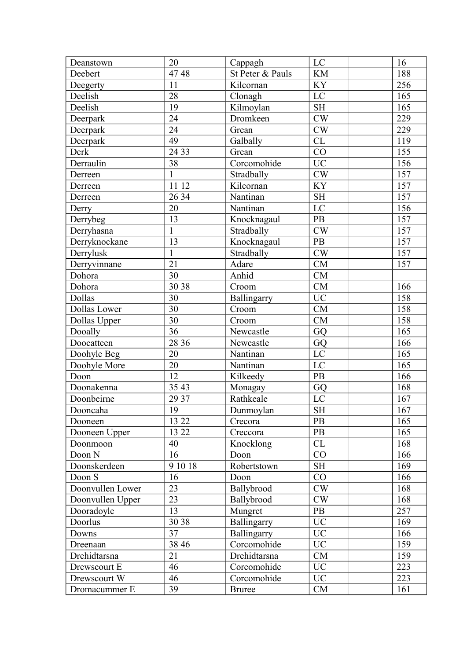| Deanstown        | 20           | Cappagh          | LC                     | 16  |
|------------------|--------------|------------------|------------------------|-----|
| Deebert          | 4748         | St Peter & Pauls | <b>KM</b>              | 188 |
| Deegerty         | 11           | Kilcornan        | KY                     | 256 |
| Deelish          | 28           | Clonagh          | LC                     | 165 |
| Deelish          | 19           | Kilmoylan        | <b>SH</b>              | 165 |
| Deerpark         | 24           | Dromkeen         | CW                     | 229 |
| Deerpark         | 24           | Grean            | CW                     | 229 |
| Deerpark         | 49           | Galbally         | CL                     | 119 |
| Derk             | 24 33        | Grean            | CO                     | 155 |
| Derraulin        | 38           | Corcomohide      | <b>UC</b>              | 156 |
| Derreen          | $\mathbf{1}$ | Stradbally       | CW                     | 157 |
| Derreen          | 11 12        | Kilcornan        | KY                     | 157 |
| Derreen          | 26 34        | Nantinan         | $\operatorname{SH}$    | 157 |
| Derry            | 20           | Nantinan         | LC                     | 156 |
| Derrybeg         | 13           | Knocknagaul      | PB                     | 157 |
| Derryhasna       | $\mathbf{1}$ | Stradbally       | $\mathrm{CW}$          | 157 |
| Derryknockane    | 13           | Knocknagaul      | PB                     | 157 |
| Derrylusk        | $\mathbf{1}$ | Stradbally       | CW                     | 157 |
| Derryvinnane     | 21           | Adare            | CM                     | 157 |
| Dohora           | 30           | Anhid            | CM                     |     |
| Dohora           | 30 38        | Croom            | CM                     | 166 |
| Dollas           | 30           | Ballingarry      | <b>UC</b>              | 158 |
| Dollas Lower     | 30           | Croom            | CM                     | 158 |
| Dollas Upper     | 30           | Croom            | CM                     | 158 |
| Dooally          | 36           | Newcastle        | GQ                     | 165 |
| Doocatteen       | 28 36        | Newcastle        | GQ                     | 166 |
| Doohyle Beg      | 20           | Nantinan         | LC                     | 165 |
| Doohyle More     | 20           | Nantinan         | LC                     | 165 |
| Doon             | 12           | Kilkeedy         | PB                     | 166 |
| Doonakenna       | 35 43        | Monagay          | GQ                     | 168 |
| Doonbeirne       | 29 37        | Rathkeale        | LC                     | 167 |
| Dooncaha         | 19           | Dunmoylan        | $\overline{\text{SH}}$ | 167 |
| Dooneen          | 13 22        | Crecora          | PB                     | 165 |
| Dooneen Upper    | 13 22        | Creccora         | PB                     | 165 |
| Doonmoon         | 40           | Knocklong        | CL                     | 168 |
| Doon N           | 16           | Doon             | CO                     | 166 |
| Doonskerdeen     | 9 10 18      | Robertstown      | <b>SH</b>              | 169 |
| Doon S           | 16           | Doon             | CO                     | 166 |
| Doonvullen Lower | 23           | Ballybrood       | CW                     | 168 |
| Doonvullen Upper | 23           | Ballybrood       | CW                     | 168 |
| Dooradoyle       | 13           | Mungret          | PB                     | 257 |
| Doorlus          | 30 38        | Ballingarry      | UC                     | 169 |
| Downs            | 37           | Ballingarry      | <b>UC</b>              | 166 |
| Dreenaan         | 38 46        | Corcomohide      | <b>UC</b>              | 159 |
| Drehidtarsna     | 21           | Drehidtarsna     | CM                     | 159 |
| Drewscourt E     | 46           | Corcomohide      | <b>UC</b>              | 223 |
| Drewscourt W     | 46           | Corcomohide      | UC                     | 223 |
| Dromacummer E    | 39           | <b>Bruree</b>    | CM                     | 161 |
|                  |              |                  |                        |     |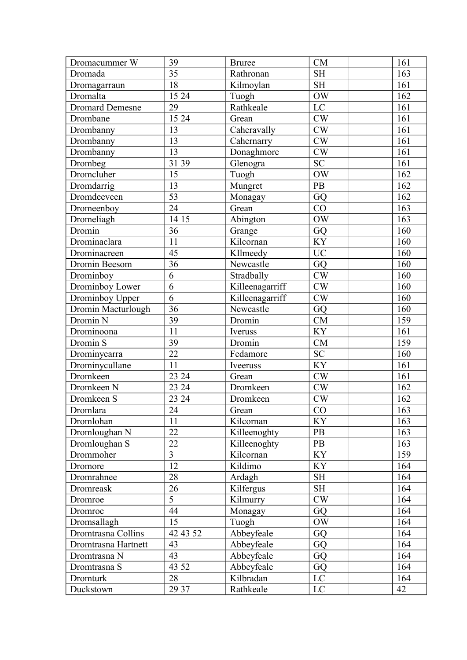| Dromacummer W          | 39              | <b>Bruree</b>   | CM                  | 161            |
|------------------------|-----------------|-----------------|---------------------|----------------|
| Dromada                | 35              | Rathronan       | <b>SH</b>           | 163            |
| Dromagarraun           | 18              | Kilmoylan       | <b>SH</b>           | 161            |
| Dromalta               | 15 24           | Tuogh           | <b>OW</b>           | 162            |
| <b>Dromard Demesne</b> | $\overline{29}$ | Rathkeale       | LC                  | 161            |
| Drombane               | 15 24           | Grean           | CW                  | 161            |
| Drombanny              | 13              | Caheravally     | CW                  | 161            |
| Drombanny              | 13              | Cahernarry      | $\mathrm{CW}$       | 161            |
| Drombanny              | 13              | Donaghmore      | CW                  | 161            |
| Drombeg                | 31 39           | Glenogra        | $\overline{SC}$     | 161            |
| Dromcluher             | 15              | Tuogh           | OW                  | 162            |
| Dromdarrig             | 13              | Mungret         | PB                  | 162            |
| Dromdeeveen            | $\overline{53}$ | Monagay         | GQ                  | 162            |
| Dromeenboy             | 24              | Grean           | CO                  | 163            |
| Dromeliagh             | 14 15           | Abington        | <b>OW</b>           | 163            |
| Dromin                 | 36              | Grange          | GQ                  | 160            |
| Drominaclara           | 11              | Kilcornan       | <b>KY</b>           | 160            |
| Drominacreen           | 45              | KIlmeedy        | <b>UC</b>           | 160            |
| Dromin Beesom          | 36              | Newcastle       | GQ                  | 160            |
| Drominboy              | $\overline{6}$  | Stradbally      | $\mathrm{CW}$       | 160            |
| Drominboy Lower        | $\overline{6}$  | Killeenagarriff | CW                  | 160            |
| Drominboy Upper        | 6               | Killeenagarriff | $\mathrm{CW}$       | 160            |
| Dromin Macturlough     | 36              | Newcastle       | GQ                  | 160            |
| Dromin N               | 39              | Dromin          | ${\rm CM}$          | 159            |
| Drominoona             | 11              | Iveruss         | KY                  | 161            |
| Dromin S               | 39              | Dromin          | CM                  | 159            |
| Drominycarra           | 22              | Fedamore        | <b>SC</b>           | 160            |
| Drominycullane         | 11              | Iveeruss        | <b>KY</b>           | 161            |
| Dromkeen               | 23 24           | Grean           | CW                  | <sup>161</sup> |
| Dromkeen N             | 23 24           | Dromkeen        | $\mathrm{CW}$       | 162            |
| Dromkeen S             | 23 24           | Dromkeen        | CW                  | 162            |
| Dromlara               | 24              | Grean           | CO                  | 163            |
| Dromlohan              | 11              | Kilcornan       | <b>KY</b>           | 163            |
| Dromloughan N          | 22              | Killeenoghty    | PB                  | 163            |
| Dromloughan S          | 22              | Killeenoghty    | PB                  | 163            |
| Drommoher              | $\overline{3}$  | Kilcornan       | <b>KY</b>           | 159            |
| Dromore                | 12              | Kildimo         | <b>KY</b>           | 164            |
| Dromrahnee             | 28              | Ardagh          | <b>SH</b>           | 164            |
| Dromreask              | 26              | Kilfergus       | $\operatorname{SH}$ | 164            |
| Dromroe                | $\overline{5}$  | Kilmurry        | CW                  | 164            |
| Dromroe                | 44              | Monagay         | GQ                  | 164            |
| Dromsallagh            | 15              | Tuogh           | OW                  | 164            |
| Dromtrasna Collins     | 42 43 52        | Abbeyfeale      | GQ                  | 164            |
| Dromtrasna Hartnett    | 43              | Abbeyfeale      | GQ                  | 164            |
| Dromtrasna N           | 43              | Abbeyfeale      | GQ                  | 164            |
| Dromtrasna S           | 43 52           | Abbeyfeale      | GQ                  | 164            |
| Dromturk               | 28              | Kilbradan       | $\rm LC$            | 164            |
| Duckstown              | 29 37           | Rathkeale       | LC                  | 42             |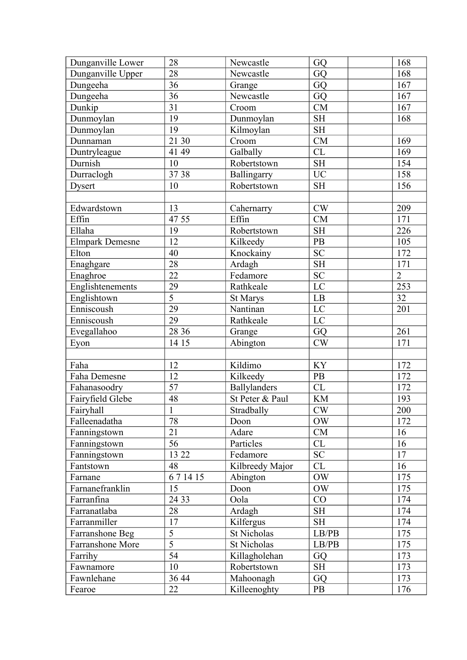| Dunganville Lower      | 28              | Newcastle           | GQ                         | 168              |
|------------------------|-----------------|---------------------|----------------------------|------------------|
| Dunganville Upper      | 28              | Newcastle           | GQ                         | 168              |
| Dungeeha               | 36              | Grange              | GQ                         | 167              |
| Dungeeha               | 36              | Newcastle           | GQ                         | 167              |
| Dunkip                 | $\overline{31}$ | Croom               | <b>CM</b>                  | 167              |
| Dunmoylan              | 19              | Dunmoylan           | <b>SH</b>                  | 168              |
| Dunmoylan              | 19              | Kilmoylan           | <b>SH</b>                  |                  |
| Dunnaman               | 21 30           | Croom               | CM                         | 169              |
| Duntryleague           | 41 49           | Galbally            | CL                         | 169              |
| Durnish                | 10              | Robertstown         | <b>SH</b>                  | 154              |
| Durraclogh             | 3738            | Ballingarry         | <b>UC</b>                  | 158              |
| <b>Dysert</b>          | 10              | Robertstown         | <b>SH</b>                  | 156              |
|                        |                 |                     |                            |                  |
| Edwardstown            | 13              | Cahernarry          | CW                         | 209              |
| Effin                  | 47 55           | Effin               | <b>CM</b>                  | 171              |
| Ellaha                 | 19              | Robertstown         | <b>SH</b>                  | 226              |
| <b>Elmpark Demesne</b> | 12              | Kilkeedy            | <b>PB</b>                  | 105              |
| Elton                  | 40              | Knockainy           | <b>SC</b>                  | 172              |
| Enaghgare              | 28              | Ardagh              | <b>SH</b>                  | 171              |
| Enaghroe               | 22              | Fedamore            | ${\rm SC}$                 | $\overline{2}$   |
| Englishtenements       | 29              | Rathkeale           | $\overline{LC}$            | $\overline{253}$ |
| Englishtown            | $\overline{5}$  | St Marys            | LB                         | 32               |
| Enniscoush             | 29              | Nantinan            | $\mathbf{LC}$              | 201              |
| Enniscoush             | 29              | Rathkeale           | LC                         |                  |
| Evegallahoo            | 28 36           | Grange              | GQ                         | 261              |
| Eyon                   | 14 15           | Abington            | CW                         | 171              |
|                        |                 |                     |                            |                  |
| Faha                   | 12              | Kildimo             | <b>KY</b>                  | 172              |
| Faha Demesne           | 12              | Kilkeedy            | <b>PB</b>                  | 172              |
| Fahanasoodry           | 57              | <b>Ballylanders</b> | ${\rm CL}$                 | 172              |
| Fairyfield Glebe       | 48              | St Peter & Paul     | $\mathop{\rm KM}\nolimits$ | 193              |
| Fairyhall              | $\overline{1}$  | Stradbally          | CW                         | 200              |
| Falleenadatha          | 78              | Doon                | <b>OW</b>                  | 172              |
| Fanningstown           | 21              | Adare               | CM                         | 16               |
| Fanningstown           | 56              | Particles           | CL                         | 16               |
| Fanningstown           | 13 22           | Fedamore            | SC                         | 17               |
| Fantstown              | 48              | Kilbreedy Major     | CL                         | 16               |
| Farnane                | 671415          | Abington            | <b>OW</b>                  | 175              |
| Farnanefranklin        | 15              | Doon                | <b>OW</b>                  | 175              |
| Farranfina             | 24 33           | Oola                | CO                         | 174              |
| Farranatlaba           | 28              | Ardagh              | <b>SH</b>                  | 174              |
| Farranmiller           | 17              | Kilfergus           | $\operatorname{SH}$        | 174              |
| Farranshone Beg        | $\overline{5}$  | St Nicholas         | LB/PB                      | 175              |
| Farranshone More       | $\overline{5}$  | St Nicholas         | LB/PB                      | 175              |
| Farrihy                | 54              | Killagholehan       | GQ                         | 173              |
| Fawnamore              | 10              | Robertstown         | <b>SH</b>                  | 173              |
| Fawnlehane             | 36 44           | Mahoonagh           | GQ                         | 173              |
| Fearoe                 | 22              | Killeenoghty        | PB                         | 176              |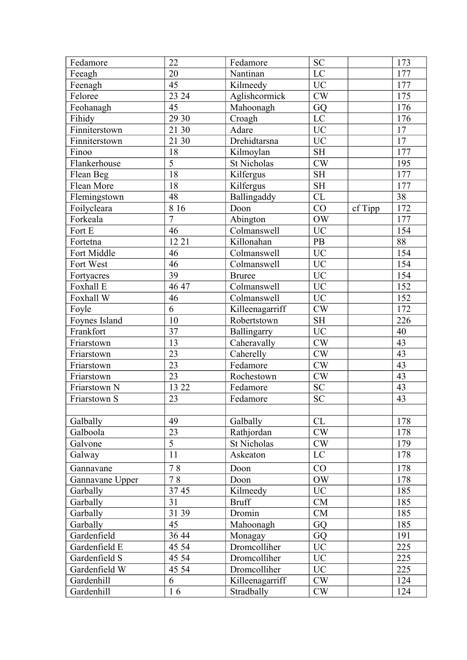| Fedamore        | 22              | Fedamore        | <b>SC</b>     |         | 173             |
|-----------------|-----------------|-----------------|---------------|---------|-----------------|
| Feeagh          | 20              | Nantinan        | LC            |         | 177             |
| Feenagh         | 45              | Kilmeedy        | <b>UC</b>     |         | 177             |
| Feloree         | 23 24           | Aglishcormick   | CW            |         | 175             |
| Feohanagh       | 45              | Mahoonagh       | GQ            |         | 176             |
| Fihidy          | 29 30           | Croagh          | LC            |         | 176             |
| Finniterstown   | 21 30           | Adare           | <b>UC</b>     |         | $17$            |
| Finniterstown   | 21 30           | Drehidtarsna    | <b>UC</b>     |         | $17\,$          |
| Finoo           | 18              | Kilmoylan       | <b>SH</b>     |         | 177             |
| Flankerhouse    | $\overline{5}$  | St Nicholas     | CW            |         | 195             |
| Flean Beg       | 18              | Kilfergus       | <b>SH</b>     |         | 177             |
| Flean More      | 18              | Kilfergus       | <b>SH</b>     |         | 177             |
| Flemingstown    | 48              | Ballingaddy     | CL            |         | 38              |
| Foilycleara     | 8 1 6           | Doon            | CO            | cf Tipp | 172             |
| Forkeala        | $\overline{7}$  | Abington        | <b>OW</b>     |         | 177             |
| Fort E          | 46              | Colmanswell     | <b>UC</b>     |         | 154             |
| Fortetna        | 12 21           | Killonahan      | PB            |         | 88              |
| Fort Middle     | 46              | Colmanswell     | $\rm UC$      |         | 154             |
| Fort West       | $\overline{46}$ | Colmanswell     | UC            |         | 154             |
| Fortyacres      | 39              | <b>Bruree</b>   | <b>UC</b>     |         | 154             |
| Foxhall E       | 46 47           | Colmanswell     | $\rm UC$      |         | 152             |
| Foxhall W       | 46              | Colmanswell     | <b>UC</b>     |         | 152             |
| Foyle           | 6               | Killeenagarriff | $\mathrm{CW}$ |         | 172             |
| Foynes Island   | 10              | Robertstown     | <b>SH</b>     |         | 226             |
| Frankfort       | 37              | Ballingarry     | $\rm UC$      |         | 40              |
| Friarstown      | 13              | Caheravally     | $\mathrm{CW}$ |         | 43              |
| Friarstown      | 23              | Caherelly       | CW            |         | 43              |
| Friarstown      | 23              | Fedamore        | CW            |         | $\overline{43}$ |
| Friarstown      | 23              | Rochestown      | $\mathrm{CW}$ |         | 43              |
| Friarstown N    | 13 22           | Fedamore        | SC            |         | 43              |
| Friarstown S    | 23              | Fedamore        | SC            |         | 43              |
|                 |                 |                 |               |         |                 |
| Galbally        | 49              | Galbally        | CL            |         | 178             |
| Galboola        | 23              | Rathjordan      | $\mathrm{CW}$ |         | 178             |
| Galvone         | $\overline{5}$  | St Nicholas     | <b>CW</b>     |         | 179             |
| Galway          | 11              | Askeaton        | $\rm LC$      |         | 178             |
| Gannavane       | 78              | Doon            | CO            |         | 178             |
| Gannavane Upper | 78              | Doon            | $\rm{OW}$     |         | 178             |
| Garbally        | 3745            | Kilmeedy        | <b>UC</b>     |         | 185             |
| Garbally        | 31              | <b>Bruff</b>    | ${\rm CM}$    |         | 185             |
| Garbally        | 31 39           | Dromin          | CM            |         | 185             |
| Garbally        | 45              | Mahoonagh       | GQ            |         | 185             |
| Gardenfield     | 36 44           | Monagay         | GQ            |         | 191             |
| Gardenfield E   | 45 54           | Dromcolliher    | <b>UC</b>     |         | 225             |
| Gardenfield S   | 45 54           | Dromcolliher    | $\rm UC$      |         | 225             |
| Gardenfield W   | 45 54           | Dromcolliher    | <b>UC</b>     |         | 225             |
| Gardenhill      | 6               | Killeenagarriff | CW            |         | 124             |
| Gardenhill      | 16              | Stradbally      | CW            |         | 124             |
|                 |                 |                 |               |         |                 |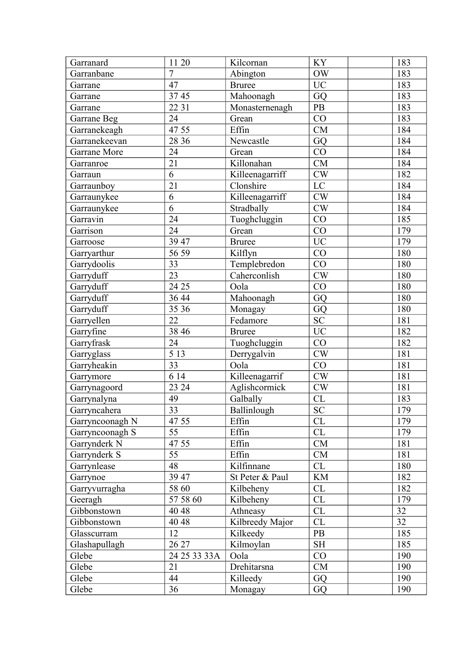| <b>OW</b><br>Garranbane<br>$\overline{7}$<br>Abington<br>183<br>47<br><b>UC</b><br>183<br><b>Bruree</b><br>Garrane<br>3745<br>Mahoonagh<br>GQ<br>183<br>Garrane<br>22 31<br>PB<br>183<br>Monasternenagh<br>Garrane<br>CO<br>24<br>183<br>Garrane Beg<br>Grean<br>47 55<br>Effin<br>CM<br>184<br>Garranekeagh<br>28 36<br>GQ<br>184<br>Garranekeevan<br>Newcastle<br>Garrane More<br>24<br>CO<br>184<br>Grean<br>21<br>Killonahan<br><b>CM</b><br>184<br>Garranroe<br>6<br>Killeenagarriff<br>CW<br>182<br>Garraun<br>21<br>Clonshire<br>LC<br>184<br>Garraunboy<br>Killeenagarriff<br>CW<br>6<br>184<br>Garraunykee<br>6<br>Stradbally<br>Garraunykee<br>CW<br>184<br>24<br>Tuoghcluggin<br>CO<br>185<br>Garravin<br>Garrison<br>24<br>CO<br>179<br>Grean<br><b>UC</b><br>39 47<br>179<br><b>Bruree</b><br>Garroose<br>56 59<br>CO<br>180<br>Garryarthur<br>Kilflyn<br>Garrydoolis<br>33<br>Templebredon<br>CO<br>180<br>23<br>CW<br>Garryduff<br>Caherconlish<br>180<br>24 25<br>CO<br>Garryduff<br>180<br>Oola<br>Garryduff<br>Mahoonagh<br>GQ<br>180<br>36 44<br>35 36<br>180<br>Garryduff<br>GQ<br>Monagay<br><b>SC</b><br>Garryellen<br>22<br>Fedamore<br>181<br><b>UC</b><br>Garryfine<br>38 46<br>182<br><b>Bruree</b><br>24<br>CO<br>182<br>Garryfrask<br>Tuoghcluggin<br>$\overline{5}$ 13<br>Garryglass<br>Derrygalvin<br>CW<br>181<br>$\overline{33}$<br>CO<br>Garryheakin<br>181<br>Oola<br>614<br>CW<br>Killeenagarrif<br>181<br>Garrymore<br>23 24<br>Aglishcormick<br>$\mathrm{CW}$<br>181<br>Garrynagoord<br>49<br>$\ensuremath{\text{CL}}\xspace$<br>Galbally<br>183<br>Garrynalyna<br>$\overline{33}$<br>Ballinlough<br>$\overline{SC}$<br>179<br>Garryncahera<br>47 55<br>Effin<br>CL<br>179<br>Garryncoonagh N<br>55<br>CL<br>Effin<br>179<br>Garryncoonagh S<br>Garrynderk N<br>47 55<br>Effin<br>${\rm CM}$<br>181<br>55<br>Garrynderk S<br>Effin<br>CM<br>181<br>Garrynlease<br>48<br>Kilfinnane<br>180<br>CL<br>39 47<br>KM<br>182<br>St Peter & Paul<br>Garrynoe<br>58 60<br>CL<br>182<br>Garryvurragha<br>Kilbeheny<br>Kilbeheny<br>CL<br>57 58 60<br>179<br>Geeragh<br>32<br>40 48<br>CL<br>Gibbonstown<br>Athneasy<br>32<br>CL<br>40 48<br>Kilbreedy Major<br>Gibbonstown<br>Glasscurram<br>12<br>Kilkeedy<br>PB<br>185<br>$\operatorname{SH}$<br>185<br>26 27<br>Glashapullagh<br>Kilmoylan<br>Glebe<br>CO<br>Oola<br>190<br>24 25 33 33A<br>Drehitarsna<br>CM<br>190<br>Glebe<br>21<br>44<br>Killeedy<br>GQ<br>190<br>Glebe<br>36<br>Glebe<br>GQ<br>190<br>Monagay | Garranard | 11 20 | Kilcornan | <b>KY</b> | 183 |
|--------------------------------------------------------------------------------------------------------------------------------------------------------------------------------------------------------------------------------------------------------------------------------------------------------------------------------------------------------------------------------------------------------------------------------------------------------------------------------------------------------------------------------------------------------------------------------------------------------------------------------------------------------------------------------------------------------------------------------------------------------------------------------------------------------------------------------------------------------------------------------------------------------------------------------------------------------------------------------------------------------------------------------------------------------------------------------------------------------------------------------------------------------------------------------------------------------------------------------------------------------------------------------------------------------------------------------------------------------------------------------------------------------------------------------------------------------------------------------------------------------------------------------------------------------------------------------------------------------------------------------------------------------------------------------------------------------------------------------------------------------------------------------------------------------------------------------------------------------------------------------------------------------------------------------------------------------------------------------------------------------------------------------------------------------------------------------------------------------------------------------------------------------------------------------------------------------------------------------------------------------------------------------------------------------------------------------------------------------------------------------------------------------------------------------------------------------------------------------------------------|-----------|-------|-----------|-----------|-----|
|                                                                                                                                                                                                                                                                                                                                                                                                                                                                                                                                                                                                                                                                                                                                                                                                                                                                                                                                                                                                                                                                                                                                                                                                                                                                                                                                                                                                                                                                                                                                                                                                                                                                                                                                                                                                                                                                                                                                                                                                                                                                                                                                                                                                                                                                                                                                                                                                                                                                                                  |           |       |           |           |     |
|                                                                                                                                                                                                                                                                                                                                                                                                                                                                                                                                                                                                                                                                                                                                                                                                                                                                                                                                                                                                                                                                                                                                                                                                                                                                                                                                                                                                                                                                                                                                                                                                                                                                                                                                                                                                                                                                                                                                                                                                                                                                                                                                                                                                                                                                                                                                                                                                                                                                                                  |           |       |           |           |     |
|                                                                                                                                                                                                                                                                                                                                                                                                                                                                                                                                                                                                                                                                                                                                                                                                                                                                                                                                                                                                                                                                                                                                                                                                                                                                                                                                                                                                                                                                                                                                                                                                                                                                                                                                                                                                                                                                                                                                                                                                                                                                                                                                                                                                                                                                                                                                                                                                                                                                                                  |           |       |           |           |     |
|                                                                                                                                                                                                                                                                                                                                                                                                                                                                                                                                                                                                                                                                                                                                                                                                                                                                                                                                                                                                                                                                                                                                                                                                                                                                                                                                                                                                                                                                                                                                                                                                                                                                                                                                                                                                                                                                                                                                                                                                                                                                                                                                                                                                                                                                                                                                                                                                                                                                                                  |           |       |           |           |     |
|                                                                                                                                                                                                                                                                                                                                                                                                                                                                                                                                                                                                                                                                                                                                                                                                                                                                                                                                                                                                                                                                                                                                                                                                                                                                                                                                                                                                                                                                                                                                                                                                                                                                                                                                                                                                                                                                                                                                                                                                                                                                                                                                                                                                                                                                                                                                                                                                                                                                                                  |           |       |           |           |     |
|                                                                                                                                                                                                                                                                                                                                                                                                                                                                                                                                                                                                                                                                                                                                                                                                                                                                                                                                                                                                                                                                                                                                                                                                                                                                                                                                                                                                                                                                                                                                                                                                                                                                                                                                                                                                                                                                                                                                                                                                                                                                                                                                                                                                                                                                                                                                                                                                                                                                                                  |           |       |           |           |     |
|                                                                                                                                                                                                                                                                                                                                                                                                                                                                                                                                                                                                                                                                                                                                                                                                                                                                                                                                                                                                                                                                                                                                                                                                                                                                                                                                                                                                                                                                                                                                                                                                                                                                                                                                                                                                                                                                                                                                                                                                                                                                                                                                                                                                                                                                                                                                                                                                                                                                                                  |           |       |           |           |     |
|                                                                                                                                                                                                                                                                                                                                                                                                                                                                                                                                                                                                                                                                                                                                                                                                                                                                                                                                                                                                                                                                                                                                                                                                                                                                                                                                                                                                                                                                                                                                                                                                                                                                                                                                                                                                                                                                                                                                                                                                                                                                                                                                                                                                                                                                                                                                                                                                                                                                                                  |           |       |           |           |     |
|                                                                                                                                                                                                                                                                                                                                                                                                                                                                                                                                                                                                                                                                                                                                                                                                                                                                                                                                                                                                                                                                                                                                                                                                                                                                                                                                                                                                                                                                                                                                                                                                                                                                                                                                                                                                                                                                                                                                                                                                                                                                                                                                                                                                                                                                                                                                                                                                                                                                                                  |           |       |           |           |     |
|                                                                                                                                                                                                                                                                                                                                                                                                                                                                                                                                                                                                                                                                                                                                                                                                                                                                                                                                                                                                                                                                                                                                                                                                                                                                                                                                                                                                                                                                                                                                                                                                                                                                                                                                                                                                                                                                                                                                                                                                                                                                                                                                                                                                                                                                                                                                                                                                                                                                                                  |           |       |           |           |     |
|                                                                                                                                                                                                                                                                                                                                                                                                                                                                                                                                                                                                                                                                                                                                                                                                                                                                                                                                                                                                                                                                                                                                                                                                                                                                                                                                                                                                                                                                                                                                                                                                                                                                                                                                                                                                                                                                                                                                                                                                                                                                                                                                                                                                                                                                                                                                                                                                                                                                                                  |           |       |           |           |     |
|                                                                                                                                                                                                                                                                                                                                                                                                                                                                                                                                                                                                                                                                                                                                                                                                                                                                                                                                                                                                                                                                                                                                                                                                                                                                                                                                                                                                                                                                                                                                                                                                                                                                                                                                                                                                                                                                                                                                                                                                                                                                                                                                                                                                                                                                                                                                                                                                                                                                                                  |           |       |           |           |     |
|                                                                                                                                                                                                                                                                                                                                                                                                                                                                                                                                                                                                                                                                                                                                                                                                                                                                                                                                                                                                                                                                                                                                                                                                                                                                                                                                                                                                                                                                                                                                                                                                                                                                                                                                                                                                                                                                                                                                                                                                                                                                                                                                                                                                                                                                                                                                                                                                                                                                                                  |           |       |           |           |     |
|                                                                                                                                                                                                                                                                                                                                                                                                                                                                                                                                                                                                                                                                                                                                                                                                                                                                                                                                                                                                                                                                                                                                                                                                                                                                                                                                                                                                                                                                                                                                                                                                                                                                                                                                                                                                                                                                                                                                                                                                                                                                                                                                                                                                                                                                                                                                                                                                                                                                                                  |           |       |           |           |     |
|                                                                                                                                                                                                                                                                                                                                                                                                                                                                                                                                                                                                                                                                                                                                                                                                                                                                                                                                                                                                                                                                                                                                                                                                                                                                                                                                                                                                                                                                                                                                                                                                                                                                                                                                                                                                                                                                                                                                                                                                                                                                                                                                                                                                                                                                                                                                                                                                                                                                                                  |           |       |           |           |     |
|                                                                                                                                                                                                                                                                                                                                                                                                                                                                                                                                                                                                                                                                                                                                                                                                                                                                                                                                                                                                                                                                                                                                                                                                                                                                                                                                                                                                                                                                                                                                                                                                                                                                                                                                                                                                                                                                                                                                                                                                                                                                                                                                                                                                                                                                                                                                                                                                                                                                                                  |           |       |           |           |     |
|                                                                                                                                                                                                                                                                                                                                                                                                                                                                                                                                                                                                                                                                                                                                                                                                                                                                                                                                                                                                                                                                                                                                                                                                                                                                                                                                                                                                                                                                                                                                                                                                                                                                                                                                                                                                                                                                                                                                                                                                                                                                                                                                                                                                                                                                                                                                                                                                                                                                                                  |           |       |           |           |     |
|                                                                                                                                                                                                                                                                                                                                                                                                                                                                                                                                                                                                                                                                                                                                                                                                                                                                                                                                                                                                                                                                                                                                                                                                                                                                                                                                                                                                                                                                                                                                                                                                                                                                                                                                                                                                                                                                                                                                                                                                                                                                                                                                                                                                                                                                                                                                                                                                                                                                                                  |           |       |           |           |     |
|                                                                                                                                                                                                                                                                                                                                                                                                                                                                                                                                                                                                                                                                                                                                                                                                                                                                                                                                                                                                                                                                                                                                                                                                                                                                                                                                                                                                                                                                                                                                                                                                                                                                                                                                                                                                                                                                                                                                                                                                                                                                                                                                                                                                                                                                                                                                                                                                                                                                                                  |           |       |           |           |     |
|                                                                                                                                                                                                                                                                                                                                                                                                                                                                                                                                                                                                                                                                                                                                                                                                                                                                                                                                                                                                                                                                                                                                                                                                                                                                                                                                                                                                                                                                                                                                                                                                                                                                                                                                                                                                                                                                                                                                                                                                                                                                                                                                                                                                                                                                                                                                                                                                                                                                                                  |           |       |           |           |     |
|                                                                                                                                                                                                                                                                                                                                                                                                                                                                                                                                                                                                                                                                                                                                                                                                                                                                                                                                                                                                                                                                                                                                                                                                                                                                                                                                                                                                                                                                                                                                                                                                                                                                                                                                                                                                                                                                                                                                                                                                                                                                                                                                                                                                                                                                                                                                                                                                                                                                                                  |           |       |           |           |     |
|                                                                                                                                                                                                                                                                                                                                                                                                                                                                                                                                                                                                                                                                                                                                                                                                                                                                                                                                                                                                                                                                                                                                                                                                                                                                                                                                                                                                                                                                                                                                                                                                                                                                                                                                                                                                                                                                                                                                                                                                                                                                                                                                                                                                                                                                                                                                                                                                                                                                                                  |           |       |           |           |     |
|                                                                                                                                                                                                                                                                                                                                                                                                                                                                                                                                                                                                                                                                                                                                                                                                                                                                                                                                                                                                                                                                                                                                                                                                                                                                                                                                                                                                                                                                                                                                                                                                                                                                                                                                                                                                                                                                                                                                                                                                                                                                                                                                                                                                                                                                                                                                                                                                                                                                                                  |           |       |           |           |     |
|                                                                                                                                                                                                                                                                                                                                                                                                                                                                                                                                                                                                                                                                                                                                                                                                                                                                                                                                                                                                                                                                                                                                                                                                                                                                                                                                                                                                                                                                                                                                                                                                                                                                                                                                                                                                                                                                                                                                                                                                                                                                                                                                                                                                                                                                                                                                                                                                                                                                                                  |           |       |           |           |     |
|                                                                                                                                                                                                                                                                                                                                                                                                                                                                                                                                                                                                                                                                                                                                                                                                                                                                                                                                                                                                                                                                                                                                                                                                                                                                                                                                                                                                                                                                                                                                                                                                                                                                                                                                                                                                                                                                                                                                                                                                                                                                                                                                                                                                                                                                                                                                                                                                                                                                                                  |           |       |           |           |     |
|                                                                                                                                                                                                                                                                                                                                                                                                                                                                                                                                                                                                                                                                                                                                                                                                                                                                                                                                                                                                                                                                                                                                                                                                                                                                                                                                                                                                                                                                                                                                                                                                                                                                                                                                                                                                                                                                                                                                                                                                                                                                                                                                                                                                                                                                                                                                                                                                                                                                                                  |           |       |           |           |     |
|                                                                                                                                                                                                                                                                                                                                                                                                                                                                                                                                                                                                                                                                                                                                                                                                                                                                                                                                                                                                                                                                                                                                                                                                                                                                                                                                                                                                                                                                                                                                                                                                                                                                                                                                                                                                                                                                                                                                                                                                                                                                                                                                                                                                                                                                                                                                                                                                                                                                                                  |           |       |           |           |     |
|                                                                                                                                                                                                                                                                                                                                                                                                                                                                                                                                                                                                                                                                                                                                                                                                                                                                                                                                                                                                                                                                                                                                                                                                                                                                                                                                                                                                                                                                                                                                                                                                                                                                                                                                                                                                                                                                                                                                                                                                                                                                                                                                                                                                                                                                                                                                                                                                                                                                                                  |           |       |           |           |     |
|                                                                                                                                                                                                                                                                                                                                                                                                                                                                                                                                                                                                                                                                                                                                                                                                                                                                                                                                                                                                                                                                                                                                                                                                                                                                                                                                                                                                                                                                                                                                                                                                                                                                                                                                                                                                                                                                                                                                                                                                                                                                                                                                                                                                                                                                                                                                                                                                                                                                                                  |           |       |           |           |     |
|                                                                                                                                                                                                                                                                                                                                                                                                                                                                                                                                                                                                                                                                                                                                                                                                                                                                                                                                                                                                                                                                                                                                                                                                                                                                                                                                                                                                                                                                                                                                                                                                                                                                                                                                                                                                                                                                                                                                                                                                                                                                                                                                                                                                                                                                                                                                                                                                                                                                                                  |           |       |           |           |     |
|                                                                                                                                                                                                                                                                                                                                                                                                                                                                                                                                                                                                                                                                                                                                                                                                                                                                                                                                                                                                                                                                                                                                                                                                                                                                                                                                                                                                                                                                                                                                                                                                                                                                                                                                                                                                                                                                                                                                                                                                                                                                                                                                                                                                                                                                                                                                                                                                                                                                                                  |           |       |           |           |     |
|                                                                                                                                                                                                                                                                                                                                                                                                                                                                                                                                                                                                                                                                                                                                                                                                                                                                                                                                                                                                                                                                                                                                                                                                                                                                                                                                                                                                                                                                                                                                                                                                                                                                                                                                                                                                                                                                                                                                                                                                                                                                                                                                                                                                                                                                                                                                                                                                                                                                                                  |           |       |           |           |     |
|                                                                                                                                                                                                                                                                                                                                                                                                                                                                                                                                                                                                                                                                                                                                                                                                                                                                                                                                                                                                                                                                                                                                                                                                                                                                                                                                                                                                                                                                                                                                                                                                                                                                                                                                                                                                                                                                                                                                                                                                                                                                                                                                                                                                                                                                                                                                                                                                                                                                                                  |           |       |           |           |     |
|                                                                                                                                                                                                                                                                                                                                                                                                                                                                                                                                                                                                                                                                                                                                                                                                                                                                                                                                                                                                                                                                                                                                                                                                                                                                                                                                                                                                                                                                                                                                                                                                                                                                                                                                                                                                                                                                                                                                                                                                                                                                                                                                                                                                                                                                                                                                                                                                                                                                                                  |           |       |           |           |     |
|                                                                                                                                                                                                                                                                                                                                                                                                                                                                                                                                                                                                                                                                                                                                                                                                                                                                                                                                                                                                                                                                                                                                                                                                                                                                                                                                                                                                                                                                                                                                                                                                                                                                                                                                                                                                                                                                                                                                                                                                                                                                                                                                                                                                                                                                                                                                                                                                                                                                                                  |           |       |           |           |     |
|                                                                                                                                                                                                                                                                                                                                                                                                                                                                                                                                                                                                                                                                                                                                                                                                                                                                                                                                                                                                                                                                                                                                                                                                                                                                                                                                                                                                                                                                                                                                                                                                                                                                                                                                                                                                                                                                                                                                                                                                                                                                                                                                                                                                                                                                                                                                                                                                                                                                                                  |           |       |           |           |     |
|                                                                                                                                                                                                                                                                                                                                                                                                                                                                                                                                                                                                                                                                                                                                                                                                                                                                                                                                                                                                                                                                                                                                                                                                                                                                                                                                                                                                                                                                                                                                                                                                                                                                                                                                                                                                                                                                                                                                                                                                                                                                                                                                                                                                                                                                                                                                                                                                                                                                                                  |           |       |           |           |     |
|                                                                                                                                                                                                                                                                                                                                                                                                                                                                                                                                                                                                                                                                                                                                                                                                                                                                                                                                                                                                                                                                                                                                                                                                                                                                                                                                                                                                                                                                                                                                                                                                                                                                                                                                                                                                                                                                                                                                                                                                                                                                                                                                                                                                                                                                                                                                                                                                                                                                                                  |           |       |           |           |     |
|                                                                                                                                                                                                                                                                                                                                                                                                                                                                                                                                                                                                                                                                                                                                                                                                                                                                                                                                                                                                                                                                                                                                                                                                                                                                                                                                                                                                                                                                                                                                                                                                                                                                                                                                                                                                                                                                                                                                                                                                                                                                                                                                                                                                                                                                                                                                                                                                                                                                                                  |           |       |           |           |     |
|                                                                                                                                                                                                                                                                                                                                                                                                                                                                                                                                                                                                                                                                                                                                                                                                                                                                                                                                                                                                                                                                                                                                                                                                                                                                                                                                                                                                                                                                                                                                                                                                                                                                                                                                                                                                                                                                                                                                                                                                                                                                                                                                                                                                                                                                                                                                                                                                                                                                                                  |           |       |           |           |     |
|                                                                                                                                                                                                                                                                                                                                                                                                                                                                                                                                                                                                                                                                                                                                                                                                                                                                                                                                                                                                                                                                                                                                                                                                                                                                                                                                                                                                                                                                                                                                                                                                                                                                                                                                                                                                                                                                                                                                                                                                                                                                                                                                                                                                                                                                                                                                                                                                                                                                                                  |           |       |           |           |     |
|                                                                                                                                                                                                                                                                                                                                                                                                                                                                                                                                                                                                                                                                                                                                                                                                                                                                                                                                                                                                                                                                                                                                                                                                                                                                                                                                                                                                                                                                                                                                                                                                                                                                                                                                                                                                                                                                                                                                                                                                                                                                                                                                                                                                                                                                                                                                                                                                                                                                                                  |           |       |           |           |     |
|                                                                                                                                                                                                                                                                                                                                                                                                                                                                                                                                                                                                                                                                                                                                                                                                                                                                                                                                                                                                                                                                                                                                                                                                                                                                                                                                                                                                                                                                                                                                                                                                                                                                                                                                                                                                                                                                                                                                                                                                                                                                                                                                                                                                                                                                                                                                                                                                                                                                                                  |           |       |           |           |     |
|                                                                                                                                                                                                                                                                                                                                                                                                                                                                                                                                                                                                                                                                                                                                                                                                                                                                                                                                                                                                                                                                                                                                                                                                                                                                                                                                                                                                                                                                                                                                                                                                                                                                                                                                                                                                                                                                                                                                                                                                                                                                                                                                                                                                                                                                                                                                                                                                                                                                                                  |           |       |           |           |     |
|                                                                                                                                                                                                                                                                                                                                                                                                                                                                                                                                                                                                                                                                                                                                                                                                                                                                                                                                                                                                                                                                                                                                                                                                                                                                                                                                                                                                                                                                                                                                                                                                                                                                                                                                                                                                                                                                                                                                                                                                                                                                                                                                                                                                                                                                                                                                                                                                                                                                                                  |           |       |           |           |     |
|                                                                                                                                                                                                                                                                                                                                                                                                                                                                                                                                                                                                                                                                                                                                                                                                                                                                                                                                                                                                                                                                                                                                                                                                                                                                                                                                                                                                                                                                                                                                                                                                                                                                                                                                                                                                                                                                                                                                                                                                                                                                                                                                                                                                                                                                                                                                                                                                                                                                                                  |           |       |           |           |     |
|                                                                                                                                                                                                                                                                                                                                                                                                                                                                                                                                                                                                                                                                                                                                                                                                                                                                                                                                                                                                                                                                                                                                                                                                                                                                                                                                                                                                                                                                                                                                                                                                                                                                                                                                                                                                                                                                                                                                                                                                                                                                                                                                                                                                                                                                                                                                                                                                                                                                                                  |           |       |           |           |     |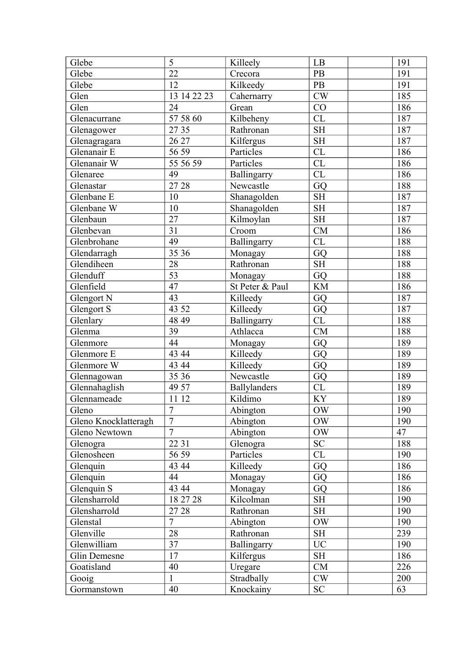| Glebe                | 5                          | Killeely        | LB                     | 191            |
|----------------------|----------------------------|-----------------|------------------------|----------------|
| Glebe                | 22                         | Crecora         | PB                     | 191            |
| Glebe                | 12                         | Kilkeedy        | $\mathbf{PB}$          | 191            |
| Glen                 | 13 14 22 23                | Cahernarry      | CW                     | 185            |
| Glen                 | 24                         | Grean           | CO                     | 186            |
| Glenacurrane         | 57 58 60                   | Kilbeheny       | CL                     | 187            |
| Glenagower           | 27 35                      | Rathronan       | <b>SH</b>              | 187            |
| Glenagragara         | 26 27                      | Kilfergus       | $\operatorname{SH}$    | 187            |
| Glenanair E          | 56 59                      | Particles       | CL                     | 186            |
| Glenanair W          | $\frac{1}{555659}$         | Particles       | CL                     | 186            |
| Glenaree             | 49                         | Ballingarry     | CL                     | 186            |
| Glenastar            | 27 28                      | Newcastle       | GQ                     | 188            |
| Glenbane E           | 10                         | Shanagolden     | <b>SH</b>              | 187            |
| Glenbane W           | 10                         | Shanagolden     | <b>SH</b>              | 187            |
| Glenbaun             | $\overline{27}$            | Kilmoylan       | SH                     | 187            |
| Glenbevan            | 31                         | Croom           | CM                     | 186            |
| Glenbrohane          | 49                         | Ballingarry     | CL                     | 188            |
| Glendarragh          | 35 36                      | Monagay         | GQ                     | 188            |
| Glendiheen           | 28                         | Rathronan       | <b>SH</b>              | 188            |
| Glenduff             | 53                         | Monagay         | GQ                     | 188            |
| Glenfield            | 47                         | St Peter & Paul | <b>KM</b>              | 186            |
| Glengort N           | 43                         | Killeedy        | GQ                     | 187            |
| Glengort S           | 43 52                      | Killeedy        | GQ                     | 187            |
| Glenlary             | 48 49                      | Ballingarry     | CL                     | 188            |
| Glenma               | 39                         | Athlacca        | CM                     | 188            |
| Glenmore             | 44                         | Monagay         | GQ                     | 189            |
| Glenmore E           | 43 44                      | Killeedy        | GQ                     | 189            |
| Glenmore W           | 43 44                      | Killeedy        | GQ                     | 189            |
| Glennagowan          | 35 36                      | Newcastle       | $\overline{G}Q$        | <sup>189</sup> |
| Glennahaglish        | 49 57                      | Ballylanders    | CL                     | 189            |
| Glennameade          | 11 12                      | Kildimo         | KY                     | 189            |
| Gleno                | $\overline{ }$<br>$\prime$ | Abington        | $\overline{\text{OW}}$ | 190            |
| Gleno Knocklatteragh | $\overline{7}$             | Abington        | <b>OW</b>              | 190            |
| Gleno Newtown        | $\overline{7}$             | Abington        | <b>OW</b>              | 47             |
| Glenogra             | 22 31                      | Glenogra        | <b>SC</b>              | 188            |
| Glenosheen           | 56 59                      | Particles       | CL                     | 190            |
| Glenquin             | 43 44                      | Killeedy        | GQ                     | 186            |
| Glenquin             | 44                         | Monagay         | GQ                     | 186            |
| Glenquin S           | 43 44                      | Monagay         | GQ                     | 186            |
| Glensharrold         | 18 27 28                   | Kilcolman       | <b>SH</b>              | 190            |
| Glensharrold         | 27 28                      | Rathronan       | $\operatorname{SH}$    | 190            |
| Glenstal             | $\overline{7}$             | Abington        | <b>OW</b>              | 190            |
| Glenville            | 28                         | Rathronan       | <b>SH</b>              | 239            |
| Glenwilliam          | 37                         | Ballingarry     | <b>UC</b>              | 190            |
| Glin Demesne         | 17                         | Kilfergus       | <b>SH</b>              | 186            |
| Goatisland           | 40                         | Uregare         | CM                     | 226            |
| Gooig                | $\mathbf{1}$               | Stradbally      | CW                     | 200            |
| Gormanstown          | 40                         | Knockainy       | <b>SC</b>              | 63             |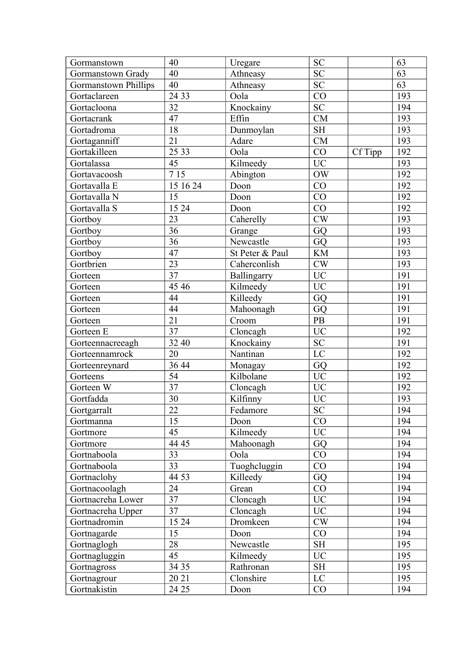| Gormanstown                 | 40              | Uregare         | <b>SC</b>                  |         | 63  |
|-----------------------------|-----------------|-----------------|----------------------------|---------|-----|
| Gormanstown Grady           | 40              | Athneasy        | ${\rm SC}$                 |         | 63  |
| <b>Gormanstown Phillips</b> | 40              | Athneasy        | <b>SC</b>                  |         | 63  |
| Gortaclareen                | 24 33           | Oola            | CO                         |         | 193 |
| Gortacloona                 | 32              | Knockainy       | $\overline{SC}$            |         | 194 |
| Gortacrank                  | 47              | Effin           | ${\rm CM}$                 |         | 193 |
| Gortadroma                  | 18              | Dunmoylan       | <b>SH</b>                  |         | 193 |
| Gortaganniff                | 21              | Adare           | CM                         |         | 193 |
| Gortakilleen                | 25 33           | Oola            | CO                         | Cf Tipp | 192 |
| Gortalassa                  | 45              | Kilmeedy        | <b>UC</b>                  |         | 193 |
| Gortavacoosh                | 7 1 5           | Abington        | $\rm{OW}$                  |         | 192 |
| Gortavalla E                | 15 16 24        | Doon            | CO                         |         | 192 |
| Gortavalla N                | 15              | Doon            | CO                         |         | 192 |
| Gortavalla S                | 15 24           | Doon            | CO                         |         | 192 |
| Gortboy                     | 23              | Caherelly       | CW                         |         | 193 |
| Gortboy                     | 36              | Grange          | GQ                         |         | 193 |
| Gortboy                     | 36              | Newcastle       | GQ                         |         | 193 |
| Gortboy                     | 47              | St Peter & Paul | $\mathop{\rm KM}\nolimits$ |         | 193 |
| Gortbrien                   | 23              | Caherconlish    | CW                         |         | 193 |
| Gorteen                     | 37              | Ballingarry     | $\rm UC$                   |         | 191 |
| Gorteen                     | 45 46           | Kilmeedy        | $\overline{UC}$            |         | 191 |
| Gorteen                     | 44              | Killeedy        | GQ                         |         | 191 |
| Gorteen                     | 44              | Mahoonagh       | GQ                         |         | 191 |
| Gorteen                     | 21              | Croom           | PB                         |         | 191 |
| Gorteen E                   | 37              | Cloncagh        | <b>UC</b>                  |         | 192 |
| Gorteennacreeagh            | 32 40           | Knockainy       | ${\rm SC}$                 |         | 191 |
| Gorteennamrock              | 20              | Nantinan        | LC                         |         | 192 |
| Gorteenreynard              | 36 44           | Monagay         | GQ                         |         | 192 |
| Gorteens                    | $\overline{54}$ | Kilbolane       | $\overline{UC}$            |         | 192 |
| Gorteen W                   | 37              | Cloncagh        | $\rm UC$                   |         | 192 |
| Gortfadda                   | 30              | Kilfinny        | <b>UC</b>                  |         | 193 |
| Gortgarralt                 | $\overline{22}$ | Fedamore        | SC                         |         | 194 |
| Gortmanna                   | 15              | Doon            | CO                         |         | 194 |
| Gortmore                    | 45              | Kilmeedy        | $\rm UC$                   |         | 194 |
| Gortmore                    | 44 45           | Mahoonagh       | GQ                         |         | 194 |
| Gortnaboola                 | 33              | Oola            | CO                         |         | 194 |
| Gortnaboola                 | 33              | Tuoghcluggin    | CO                         |         | 194 |
| Gortnaclohy                 | 44 53           | Killeedy        | GQ                         |         | 194 |
| Gortnacoolagh               | 24              | Grean           | CO                         |         | 194 |
| Gortnacreha Lower           | 37              | Cloncagh        | <b>UC</b>                  |         | 194 |
| Gortnacreha Upper           | 37              | Cloncagh        | <b>UC</b>                  |         | 194 |
| Gortnadromin                | 1524            | Dromkeen        | $\mathrm{CW}$              |         | 194 |
| Gortnagarde                 | 15              | Doon            | CO                         |         | 194 |
| Gortnaglogh                 | 28              | Newcastle       | $\operatorname{SH}$        |         | 195 |
| Gortnagluggin               | 45              | Kilmeedy        | <b>UC</b>                  |         | 195 |
| Gortnagross                 | 34 35           | Rathronan       | <b>SH</b>                  |         | 195 |
| Gortnagrour                 | 20 21           | Clonshire       | $\rm LC$                   |         | 195 |
| Gortnakistin                | 24 25           | Doon            | CO                         |         | 194 |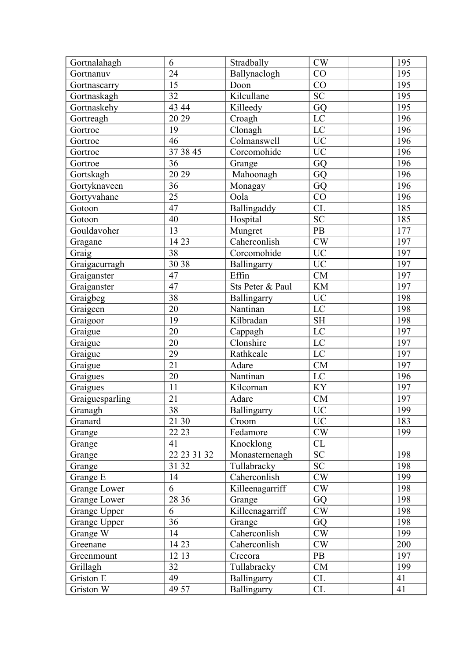| Gortnalahagh        | 6               | Stradbally       | CW                  | 195 |
|---------------------|-----------------|------------------|---------------------|-----|
| Gortnanuv           | 24              | Ballynaclogh     | CO                  | 195 |
| Gortnascarry        | 15              | Doon             | CO                  | 195 |
| Gortnaskagh         | 32              | Kilcullane       | <b>SC</b>           | 195 |
| Gortnaskehy         | 43 44           | Killeedy         | GQ                  | 195 |
| Gortreagh           | 20 29           | Croagh           | LC                  | 196 |
| Gortroe             | 19              | Clonagh          | LC                  | 196 |
| Gortroe             | 46              | Colmanswell      | <b>UC</b>           | 196 |
| Gortroe             | 37 38 45        | Corcomohide      | <b>UC</b>           | 196 |
| Gortroe             | 36              | Grange           | GQ                  | 196 |
| Gortskagh           | 20 29           | Mahoonagh        | GQ                  | 196 |
| Gortyknaveen        | 36              | Monagay          | GQ                  | 196 |
| Gortyvahane         | $\overline{25}$ | Oola             | CO                  | 196 |
| Gotoon              | 47              | Ballingaddy      | CL                  | 185 |
| Gotoon              | 40              | Hospital         | $S\overline{C}$     | 185 |
| Gouldavoher         | 13              | Mungret          | $\rm{PB}$           | 177 |
| Gragane             | 14 23           | Caherconlish     | $\mathrm{CW}$       | 197 |
| Graig               | 38              | Corcomohide      | UC                  | 197 |
| Graigacurragh       | 30 38           | Ballingarry      | <b>UC</b>           | 197 |
| Graiganster         | 47              | Effin            | CM                  | 197 |
| Graiganster         | 47              | Sts Peter & Paul | <b>KM</b>           | 197 |
| Graigbeg            | 38              | Ballingarry      | <b>UC</b>           | 198 |
| Graigeen            | 20              | Nantinan         | $\rm LC$            | 198 |
| Graigoor            | 19              | Kilbradan        | $\operatorname{SH}$ | 198 |
| Graigue             | 20              | Cappagh          | $\rm LC$            | 197 |
| Graigue             | 20              | Clonshire        | LC                  | 197 |
| Graigue             | 29              | Rathkeale        | LC                  | 197 |
| Graigue             | 21              | Adare            | ${\rm CM}$          | 197 |
| Graigues            | 20              | Nantinan         | $\rm LC$            | 196 |
| Graigues            | 11              | Kilcornan        | KY                  | 197 |
| Graiguesparling     | 21              | Adare            | CM                  | 197 |
| Granagh             | $\overline{38}$ | Ballingarry      | $\overline{UC}$     | 199 |
| Granard             | 21 30           | Croom            | <b>UC</b>           | 183 |
| Grange              | 22 23           | Fedamore         | CW                  | 199 |
| Grange              | 41              | Knocklong        | CL                  |     |
| Grange              | 22 23 31 32     | Monasternenagh   | SC                  | 198 |
| Grange              | 31 32           | Tullabracky      | <b>SC</b>           | 198 |
| Grange E            | 14              | Caherconlish     | CW                  | 199 |
| Grange Lower        | 6               | Killeenagarriff  | CW                  | 198 |
| <b>Grange Lower</b> | 28 36           | Grange           | GQ                  | 198 |
| Grange Upper        | 6               | Killeenagarriff  | CW                  | 198 |
| Grange Upper        | 36              | Grange           | GQ                  | 198 |
| Grange W            | 14              | Caherconlish     | CW                  | 199 |
| Greenane            | 14 23           | Caherconlish     | CW                  | 200 |
| Greenmount          | 12 13           | Crecora          | PB                  | 197 |
| Grillagh            | 32              | Tullabracky      | CM                  | 199 |
| Griston E           | 49              | Ballingarry      | CL                  | 41  |
| Griston W           | 49 57           | Ballingarry      | CL                  | 41  |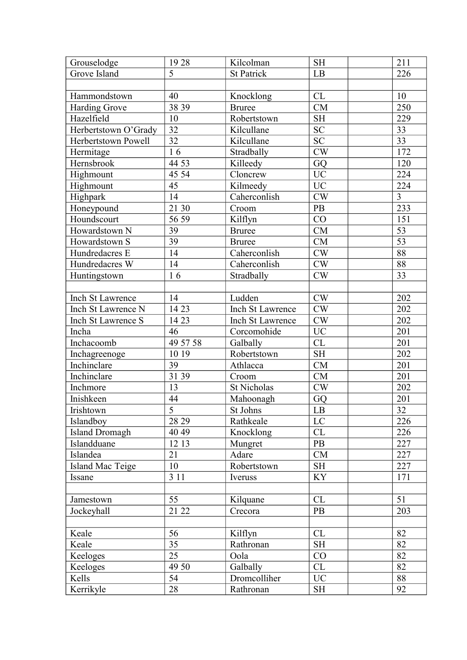| Grouselodge           | 1928            | Kilcolman          | <b>SH</b>       | 211             |
|-----------------------|-----------------|--------------------|-----------------|-----------------|
| Grove Island          | 5               | <b>St Patrick</b>  | LB              | 226             |
|                       |                 |                    |                 |                 |
| Hammondstown          | 40              | Knocklong          | CL              | 10              |
| <b>Harding Grove</b>  | 38 39           | <b>Bruree</b>      | <b>CM</b>       | 250             |
| Hazelfield            | 10              | Robertstown        | <b>SH</b>       | 229             |
| Herbertstown O'Grady  | 32              | Kilcullane         | ${\rm SC}$      | 33              |
| Herbertstown Powell   | $\overline{32}$ | Kilcullane         | $\overline{SC}$ | $\overline{33}$ |
| Hermitage             | 16              | Stradbally         | CW              | 172             |
| Hernsbrook            | 44 53           | Killeedy           | GQ              | 120             |
| Highmount             | 45 54           | Cloncrew           | $\rm UC$        | 224             |
| Highmount             | 45              | Kilmeedy           | <b>UC</b>       | 224             |
| Highpark              | 14              | Caherconlish       | $\mathrm{CW}$   | $\overline{3}$  |
| Honeypound            | 21 30           | Croom              | <b>PB</b>       | 233             |
| Houndscourt           | 56 59           | Kilflyn            | CO              | 151             |
| Howardstown N         | 39              | <b>Bruree</b>      | CM              | 53              |
| Howardstown S         | 39              | <b>Bruree</b>      | <b>CM</b>       | $\overline{53}$ |
| Hundredacres E        | 14              | Caherconlish       | $\mathrm{CW}$   | 88              |
| Hundredacres W        | 14              | Caherconlish       | CW              | $\overline{88}$ |
| Huntingstown          | 16              | Stradbally         | CW              | 33              |
|                       |                 |                    |                 |                 |
| Inch St Lawrence      | 14              | Ludden             | CW              | 202             |
| Inch St Lawrence N    | 14 23           | Inch St Lawrence   | CW              | 202             |
| Inch St Lawrence S    | 14 23           | Inch St Lawrence   | CW              | 202             |
| Incha                 | 46              | Corcomohide        | <b>UC</b>       | 201             |
| Inchacoomb            | 49 57 58        | Galbally           | CL              | 201             |
| Inchagreenoge         | 10 19           | Robertstown        | <b>SH</b>       | 202             |
| Inchinclare           | 39              | Athlacca           | CM              | 201             |
| Inchinclare           | 31 39           | Croom              | CM              | 201             |
| Inchmore              | 13              | <b>St Nicholas</b> | CW              | 202             |
| Inishkeen             | 44              | Mahoonagh          | GQ              | 201             |
| Irishtown             | $\overline{5}$  | St Johns           | $\rm LB$        | $\overline{32}$ |
| Islandboy             | 28 29           | Rathkeale          | LC              | 226             |
| <b>Island Dromagh</b> | 40 49           | Knocklong          | CL              | 226             |
| Islandduane           | 12 13           | Mungret            | <b>PB</b>       | 227             |
| Islandea              | 21              | Adare              | CM              | 227             |
| Island Mac Teige      | 10              | Robertstown        | <b>SH</b>       | 227             |
| Issane                | 3 1 1           | Iveruss            | <b>KY</b>       | 171             |
|                       |                 |                    |                 |                 |
| Jamestown             | 55              | Kilquane           | CL              | 51              |
| Jockeyhall            | 21 22           | Crecora            | PB              | 203             |
|                       |                 |                    |                 |                 |
| Keale                 | 56              | Kilflyn            | CL              | 82              |
| Keale                 | 35              | Rathronan          | <b>SH</b>       | 82              |
| Keeloges              | 25              | Oola               | CO              | 82              |
| Keeloges              | 49 50           | Galbally           | CL              | 82              |
| Kells                 | 54              | Dromcolliher       | <b>UC</b>       | 88              |
| Kerrikyle             | 28              | Rathronan          | <b>SH</b>       | 92              |
|                       |                 |                    |                 |                 |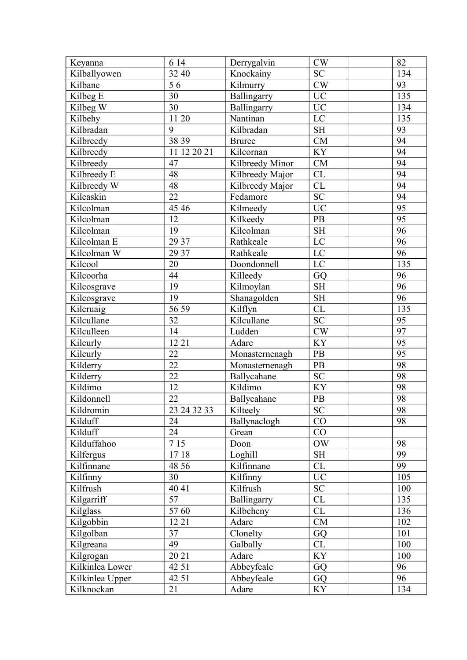| Keyanna         | 6 14        | Derrygalvin     | CW                  | 82              |
|-----------------|-------------|-----------------|---------------------|-----------------|
| Kilballyowen    | 32 40       | Knockainy       | ${\rm SC}$          | 134             |
| Kilbane         | 56          | Kilmurry        | $\mathrm{CW}$       | 93              |
| Kilbeg E        | 30          | Ballingarry     | <b>UC</b>           | 135             |
| Kilbeg W        | 30          | Ballingarry     | <b>UC</b>           | 134             |
| Kilbehy         | 11 20       | Nantinan        | LC                  | 135             |
| Kilbradan       | 9           | Kilbradan       | <b>SH</b>           | 93              |
| Kilbreedy       | 38 39       | <b>Bruree</b>   | ${\rm CM}$          | 94              |
| Kilbreedy       | 11 12 20 21 | Kilcornan       | <b>KY</b>           | 94              |
| Kilbreedy       | 47          | Kilbreedy Minor | CM                  | 94              |
| Kilbreedy E     | 48          | Kilbreedy Major | CL                  | 94              |
| Kilbreedy W     | 48          | Kilbreedy Major | CL                  | 94              |
| Kilcaskin       | 22          | Fedamore        | <b>SC</b>           | 94              |
| Kilcolman       | 45 46       | Kilmeedy        | <b>UC</b>           | $\overline{95}$ |
| Kilcolman       | 12          | Kilkeedy        | PB                  | 95              |
| Kilcolman       | 19          | Kilcolman       | <b>SH</b>           | 96              |
| Kilcolman E     | 29 37       | Rathkeale       | LC                  | 96              |
| Kilcolman W     | 29 37       | Rathkeale       | LC                  | 96              |
| Kilcool         | 20          | Doondonnell     | LC                  | 135             |
| Kilcoorha       | 44          | Killeedy        | GQ                  | 96              |
| Kilcosgrave     | 19          | Kilmoylan       | <b>SH</b>           | $\overline{96}$ |
| Kilcosgrave     | 19          | Shanagolden     | <b>SH</b>           | 96              |
| Kilcruaig       | 56 59       | Kilflyn         | CL                  | 135             |
| Kilcullane      | 32          | Kilcullane      | <b>SC</b>           | 95              |
| Kilculleen      | 14          | Ludden          | CW                  | 97              |
| Kilcurly        | 12 21       | Adare           | <b>KY</b>           | 95              |
| Kilcurly        | 22          | Monasternenagh  | PB                  | $\overline{95}$ |
| Kilderry        | 22          | Monasternenagh  | PB                  | 98              |
| Kilderry        | 22          | Ballycahane     | <b>SC</b>           | 98              |
| Kildimo         | 12          | Kildimo         | KY                  | 98              |
| Kildonnell      | 22          | Ballycahane     | PB                  | 98              |
| Kildromin       | 23 24 32 33 | Kilteely        | <b>SC</b>           | 98              |
| Kilduff         | 24          | Ballynaclogh    | CO                  | 98              |
| Kilduff         | 24          | Grean           | CO                  |                 |
| Kilduffahoo     | 7 15        | Doon            | <b>OW</b>           | 98              |
| Kilfergus       | 1718        | Loghill         | $\operatorname{SH}$ | 99              |
| Kilfinnane      | 48 56       | Kilfinnane      | CL                  | 99              |
| Kilfinny        | 30          | Kilfinny        | <b>UC</b>           | 105             |
| Kilfrush        | 40 41       | Kilfrush        | ${\rm SC}$          | 100             |
| Kilgarriff      | 57          | Ballingarry     | CL                  | 135             |
| Kilglass        | 5760        | Kilbeheny       | CL                  | 136             |
| Kilgobbin       | 12 21       | Adare           | CM                  | 102             |
| Kilgolban       | 37          | Clonelty        | GQ                  | 101             |
| Kilgreana       | 49          | Galbally        | CL                  | 100             |
| Kilgrogan       | 20 21       | Adare           | KY                  | 100             |
| Kilkinlea Lower | 42 51       | Abbeyfeale      | GQ                  | 96              |
| Kilkinlea Upper | 42 51       | Abbeyfeale      | GQ                  | 96              |
| Kilknockan      | 21          | Adare           | KY                  | 134             |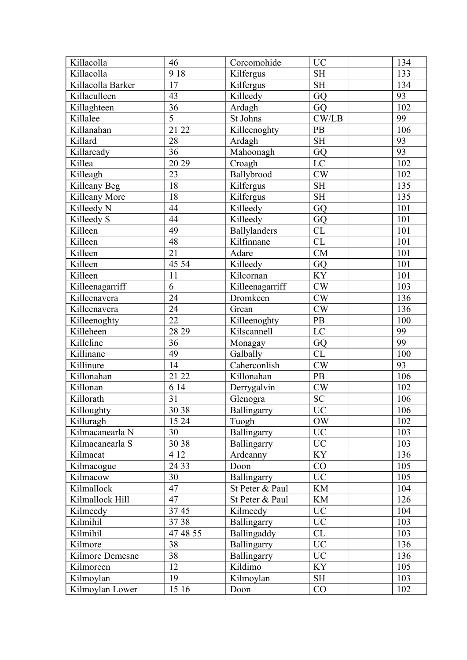| Killacolla        | 46                  | Corcomohide     | <b>UC</b>       | 134 |
|-------------------|---------------------|-----------------|-----------------|-----|
| Killacolla        | 918                 | Kilfergus       | <b>SH</b>       | 133 |
| Killacolla Barker | 17                  | Kilfergus       | <b>SH</b>       | 134 |
| Killaculleen      | 43                  | Killeedy        | GQ              | 93  |
| Killaghteen       | 36                  | Ardagh          | GQ              | 102 |
| Killalee          | $\overline{5}$      | St Johns        | CW/LB           | 99  |
| Killanahan        | $\overline{2}1\ 22$ | Killeenoghty    | PB              | 106 |
| Killard           | 28                  | Ardagh          | <b>SH</b>       | 93  |
| Killaready        | 36                  | Mahoonagh       | GQ              | 93  |
| Killea            | 20 29               | Croagh          | LC              | 102 |
| Killeagh          | 23                  | Ballybrood      | CW              | 102 |
| Killeany Beg      | 18                  | Kilfergus       | <b>SH</b>       | 135 |
| Killeany More     | 18                  | Kilfergus       | SH              | 135 |
| Killeedy N        | 44                  | Killeedy        | GQ              | 101 |
| Killeedy S        | 44                  | Killeedy        | GQ              | 101 |
| Killeen           | 49                  | Ballylanders    | CL              | 101 |
| Killeen           | 48                  | Kilfinnane      | CL              | 101 |
| Killeen           | 21                  | Adare           | CM              | 101 |
| Killeen           | 45 54               | Killeedy        | GQ              | 101 |
| Killeen           | 11                  | Kilcornan       | <b>KY</b>       | 101 |
| Killeenagarriff   | 6                   | Killeenagarriff | $\mathrm{CW}$   | 103 |
| Killeenavera      | 24                  | Dromkeen        | $\mathrm{CW}$   | 136 |
| Killeenavera      | 24                  | Grean           | CW              | 136 |
| Killeenoghty      | 22                  | Killeenoghty    | PB              | 100 |
| Killeheen         | 28 29               | Kilscannell     | LC              | 99  |
| Killeline         | 36                  | Monagay         | GQ              | 99  |
| Killinane         | 49                  | Galbally        | <b>CL</b>       | 100 |
| Killinure         | 14                  | Caherconlish    | CW              | 93  |
| Killonahan        | 21 22               | Killonahan      | PB              | 106 |
| Killonan          | 6 14                | Derrygalvin     | CW              | 102 |
| Killorath         | 31                  | Glenogra        | <b>SC</b>       | 106 |
| Killoughty        | $\frac{1}{30}$ 38   | Ballingarry     | $\overline{UC}$ | 106 |
| Killuragh         | 15 24               | Tuogh           | OW              | 102 |
| Kilmacanearla N   | 30                  | Ballingarry     | <b>UC</b>       | 103 |
| Kilmacanearla S   | 30 38               | Ballingarry     | <b>UC</b>       | 103 |
| Kilmacat          | 4 1 2               | Ardcanny        | KY              | 136 |
| Kilmacogue        | 24 33               | Doon            | CO              | 105 |
| Kilmacow          | 30                  | Ballingarry     | <b>UC</b>       | 105 |
| Kilmallock        | 47                  | St Peter & Paul | <b>KM</b>       | 104 |
| Kilmallock Hill   | 47                  | St Peter & Paul | <b>KM</b>       | 126 |
| Kilmeedy          | 3745                | Kilmeedy        | <b>UC</b>       | 104 |
| Kilmihil          | 3738                | Ballingarry     | <b>UC</b>       | 103 |
| Kilmihil          | 47 48 55            | Ballingaddy     | CL              | 103 |
| Kilmore           | 38                  | Ballingarry     | <b>UC</b>       | 136 |
| Kilmore Demesne   | 38                  | Ballingarry     | <b>UC</b>       | 136 |
| Kilmoreen         | 12                  | Kildimo         | <b>KY</b>       | 105 |
| Kilmoylan         | 19                  | Kilmoylan       | <b>SH</b>       | 103 |
| Kilmoylan Lower   | 15 16               | Doon            | CO              | 102 |
|                   |                     |                 |                 |     |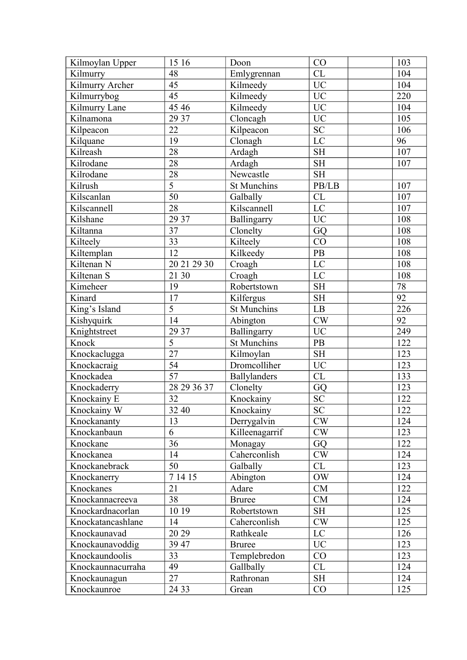| Kilmoylan Upper   | 15 16           | Doon               | CO                     | 103 |
|-------------------|-----------------|--------------------|------------------------|-----|
| Kilmurry          | 48              | Emlygrennan        | CL                     | 104 |
| Kilmurry Archer   | 45              | Kilmeedy           | <b>UC</b>              | 104 |
| Kilmurrybog       | 45              | Kilmeedy           | <b>UC</b>              | 220 |
| Kilmurry Lane     | 45 46           | Kilmeedy           | <b>UC</b>              | 104 |
| Kilnamona         | 29 37           | Cloncagh           | <b>UC</b>              | 105 |
| Kilpeacon         | 22              | Kilpeacon          | SC                     | 106 |
| Kilquane          | 19              | Clonagh            | $\overline{\text{LC}}$ | 96  |
| Kilreash          | 28              | Ardagh             | <b>SH</b>              | 107 |
| Kilrodane         | 28              | Ardagh             | <b>SH</b>              | 107 |
| Kilrodane         | 28              | Newcastle          | <b>SH</b>              |     |
| Kilrush           | $\overline{5}$  | St Munchins        | PB/LB                  | 107 |
| Kilscanlan        | $\overline{50}$ | Galbally           | CL                     | 107 |
| Kilscannell       | 28              | Kilscannell        | $\mathbf{LC}$          | 107 |
| Kilshane          | 29 37           | Ballingarry        | <b>UC</b>              | 108 |
| Kiltanna          | 37              | Clonelty           | GQ                     | 108 |
| Kilteely          | 33              | Kilteely           | CO                     | 108 |
| Kiltemplan        | 12              | Kilkeedy           | $\rm{PB}$              | 108 |
| Kiltenan N        | 20 21 29 30     | Croagh             | LC                     | 108 |
| Kiltenan S        | 21 30           | Croagh             | LC                     | 108 |
| Kimeheer          | 19              | Robertstown        | $\operatorname{SH}$    | 78  |
| Kinard            | 17              | Kilfergus          | <b>SH</b>              | 92  |
| King's Island     | $\overline{5}$  | <b>St Munchins</b> | $\mathbf{L}\mathbf{B}$ | 226 |
| Kishyquirk        | 14              | Abington           | CW                     | 92  |
| Knightstreet      | 29 37           | Ballingarry        | <b>UC</b>              | 249 |
| Knock             | 5               | <b>St Munchins</b> | PB                     | 122 |
| Knockaclugga      | $\overline{27}$ | Kilmoylan          | <b>SH</b>              | 123 |
| Knockacraig       | 54              | Dromcolliher       | <b>UC</b>              | 123 |
| Knockadea         | $\overline{57}$ | Ballylanders       | CL                     | 133 |
| Knockaderry       | 28 29 36 37     | Clonelty           | GQ                     | 123 |
| Knockainy E       | 32              | Knockainy          | <b>SC</b>              | 122 |
| Knockainy W       | 32 40           | Knockainy          | <b>SC</b>              | 122 |
| Knockananty       | 13              | Derrygalvin        | CW                     | 124 |
| Knockanbaun       | 6               | Killeenagarrif     | CW                     | 123 |
| Knockane          | 36              | Monagay            | GQ                     | 122 |
| Knockanea         | 14              | Caherconlish       | CW                     | 124 |
| Knockanebrack     | 50              | Galbally           | CL                     | 123 |
| Knockanerry       | 7 14 15         | Abington           | <b>OW</b>              | 124 |
| Knockanes         | 21              | Adare              | <b>CM</b>              | 122 |
| Knockannacreeva   | 38              | <b>Bruree</b>      | CM                     | 124 |
| Knockardnacorlan  | 10 19           | Robertstown        | <b>SH</b>              | 125 |
| Knockatancashlane | 14              | Caherconlish       | CW                     | 125 |
| Knockaunavad      | 20 29           | Rathkeale          | LC                     | 126 |
| Knockaunavoddig   | 39 47           | <b>Bruree</b>      | <b>UC</b>              | 123 |
| Knockaundoolis    | 33              | Templebredon       | CO                     | 123 |
| Knockaunnacurraha | 49              | Gallbally          | CL                     | 124 |
| Knockaunagun      | 27              | Rathronan          | SH                     | 124 |
| Knockaunroe       | 24 33           | Grean              | CO                     | 125 |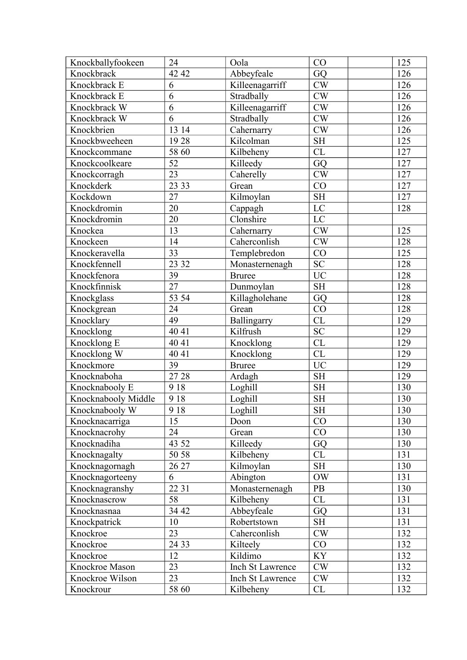| Knockballyfookeen   | 24    | Oola             | CO                  | 125 |
|---------------------|-------|------------------|---------------------|-----|
| Knockbrack          | 42 42 | Abbeyfeale       | GQ                  | 126 |
| Knockbrack E        | 6     | Killeenagarriff  | CW                  | 126 |
| Knockbrack E        | 6     | Stradbally       | CW                  | 126 |
| Knockbrack W        | 6     | Killeenagarriff  | CW                  | 126 |
| Knockbrack W        | 6     | Stradbally       | CW                  | 126 |
| Knockbrien          | 13 14 | Cahernarry       | CW                  | 126 |
| Knockbweeheen       | 1928  | Kilcolman        | SH                  | 125 |
| Knockcommane        | 58 60 | Kilbeheny        | <b>CL</b>           | 127 |
| Knockcoolkeare      | 52    | Killeedy         | GQ                  | 127 |
| Knockcorragh        | 23    | Caherelly        | $\mathrm{CW}$       | 127 |
| Knockderk           | 23 33 | Grean            | CO                  | 127 |
| Kockdown            | 27    | Kilmoylan        | $\operatorname{SH}$ | 127 |
| Knockdromin         | 20    | Cappagh          | LC                  | 128 |
| Knockdromin         | 20    | Clonshire        | LC                  |     |
| Knockea             | 13    | Cahernarry       | $\mathrm{CW}$       | 125 |
| Knockeen            | 14    | Caherconlish     | CW                  | 128 |
| Knockeravella       | 33    | Templebredon     | CO                  | 125 |
| Knockfennell        | 23 32 | Monasternenagh   | <b>SC</b>           | 128 |
| Knockfenora         | 39    | <b>Bruree</b>    | <b>UC</b>           | 128 |
| Knockfinnisk        | 27    | Dunmoylan        | <b>SH</b>           | 128 |
| Knockglass          | 53 54 | Killagholehane   | GQ                  | 128 |
| Knockgrean          | 24    | Grean            | CO                  | 128 |
| Knocklary           | 49    | Ballingarry      | CL                  | 129 |
| Knocklong           | 40 41 | Kilfrush         | <b>SC</b>           | 129 |
| Knocklong E         | 40 41 | Knocklong        | CL                  | 129 |
| Knocklong W         | 40 41 | Knocklong        | CL                  | 129 |
| Knockmore           | 39    | <b>Bruree</b>    | <b>UC</b>           | 129 |
| Knocknaboha         | 27 28 | Ardagh           | <b>SH</b>           | 129 |
| Knocknabooly E      | 918   | Loghill          | <b>SH</b>           | 130 |
| Knocknabooly Middle | 918   | Loghill          | <b>SH</b>           | 130 |
| Knocknabooly W      | 9 1 8 | Loghill          | <b>SH</b>           | 130 |
| Knocknacarriga      | 15    | Doon             | CO                  | 130 |
| Knocknacrohy        | 24    | Grean            | CO                  | 130 |
| Knocknadiha         | 43 52 | Killeedy         | GQ                  | 130 |
| Knocknagalty        | 50 58 | Kilbeheny        | CL                  | 131 |
| Knocknagornagh      | 26 27 | Kilmoylan        | <b>SH</b>           | 130 |
| Knocknagorteeny     | 6     | Abington         | <b>OW</b>           | 131 |
| Knocknagranshy      | 22 31 | Monasternenagh   | PB                  | 130 |
| Knocknascrow        | 58    | Kilbeheny        | CL                  | 131 |
| Knocknasnaa         | 34 42 | Abbeyfeale       | GQ                  | 131 |
| Knockpatrick        | 10    | Robertstown      | <b>SH</b>           | 131 |
| Knockroe            | 23    | Caherconlish     | CW                  | 132 |
| Knockroe            | 24 33 | Kilteely         | CO                  | 132 |
| Knockroe            | 12    | Kildimo          | <b>KY</b>           | 132 |
| Knockroe Mason      | 23    | Inch St Lawrence | CW                  | 132 |
| Knockroe Wilson     | 23    | Inch St Lawrence | CW                  | 132 |
| Knockrour           | 58 60 | Kilbeheny        | CL                  | 132 |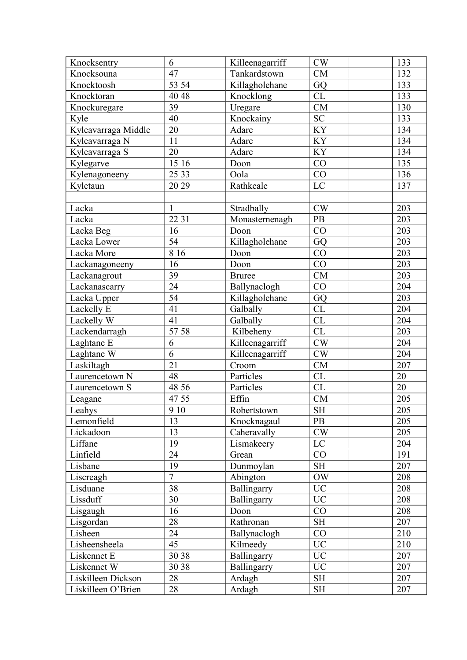| Knocksentry         | 6              | Killeenagarriff | CW                  | 133 |
|---------------------|----------------|-----------------|---------------------|-----|
| Knocksouna          | 47             | Tankardstown    | CM                  | 132 |
| Knocktoosh          | 53 54          | Killagholehane  | GQ                  | 133 |
| Knocktoran          | 40 48          | Knocklong       | CL                  | 133 |
| Knockuregare        | 39             | Uregare         | <b>CM</b>           | 130 |
| Kyle                | 40             | Knockainy       | ${\rm SC}$          | 133 |
| Kyleavarraga Middle | 20             | Adare           | KY                  | 134 |
| Kyleavarraga N      | 11             | Adare           | KY                  | 134 |
| Kyleavarraga S      | 20             | Adare           | <b>KY</b>           | 134 |
| Kylegarve           | 15 16          | Doon            | CO                  | 135 |
| Kylenagoneeny       | 25 33          | Oola            | CO                  | 136 |
| Kyletaun            | 20 29          | Rathkeale       | $\rm LC$            | 137 |
|                     |                |                 |                     |     |
| Lacka               | 1              | Stradbally      | CW                  | 203 |
| Lacka               | 22 31          | Monasternenagh  | PB                  | 203 |
| Lacka Beg           | 16             | Doon            | CO                  | 203 |
| Lacka Lower         | 54             | Killagholehane  | GQ                  | 203 |
| Lacka More          | 8 1 6          | Doon            | CO                  | 203 |
| Lackanagoneeny      | 16             | Doon            | CO                  | 203 |
| Lackanagrout        | 39             | <b>Bruree</b>   | CM                  | 203 |
| Lackanascarry       | 24             | Ballynaclogh    | CO                  | 204 |
| Lacka Upper         | 54             | Killagholehane  | GQ                  | 203 |
| Lackelly E          | 41             | Galbally        | CL                  | 204 |
| Lackelly W          | 41             | Galbally        | CL                  | 204 |
| Lackendarragh       | 57 58          | Kilbeheny       | CL                  | 203 |
| Laghtane E          | 6              | Killeenagarriff | CW                  | 204 |
| Laghtane W          | $\overline{6}$ | Killeenagarriff | CW                  | 204 |
| Laskiltagh          | 21             | Croom           | CM                  | 207 |
| Laurencetown N      | 48             | Particles       | CL                  | 20  |
| Laurencetown S      | 48 56          | Particles       | CL                  | 20  |
| Leagane             | 47 55          | Effin           | CM                  | 205 |
| Leahys              | 9 10           | Robertstown     | SH                  | 205 |
| Lemonfield          | 13             | Knocknagaul     | PB                  | 205 |
| Lickadoon           | 13             | Caheravally     | CW                  | 205 |
| Liffane             | 19             | Lismakeery      | LC                  | 204 |
| Linfield            | 24             | Grean           | CO                  | 191 |
| Lisbane             | 19             | Dunmoylan       | <b>SH</b>           | 207 |
| Liscreagh           | $\overline{7}$ | Abington        | <b>OW</b>           | 208 |
| Lisduane            | 38             | Ballingarry     | UC <sup>1</sup>     | 208 |
| Lissduff            | 30             | Ballingarry     | <b>UC</b>           | 208 |
| Lisgaugh            | 16             | Doon            | CO                  | 208 |
| Lisgordan           | 28             | Rathronan       | <b>SH</b>           | 207 |
| Lisheen             | 24             | Ballynaclogh    | CO                  | 210 |
| Lisheensheela       | 45             | Kilmeedy        | <b>UC</b>           | 210 |
| Liskennet E         | 30 38          | Ballingarry     | <b>UC</b>           | 207 |
| Liskennet W         | 30 38          | Ballingarry     | <b>UC</b>           | 207 |
| Liskilleen Dickson  | 28             | Ardagh          | $\operatorname{SH}$ | 207 |
| Liskilleen O'Brien  | 28             | Ardagh          | <b>SH</b>           | 207 |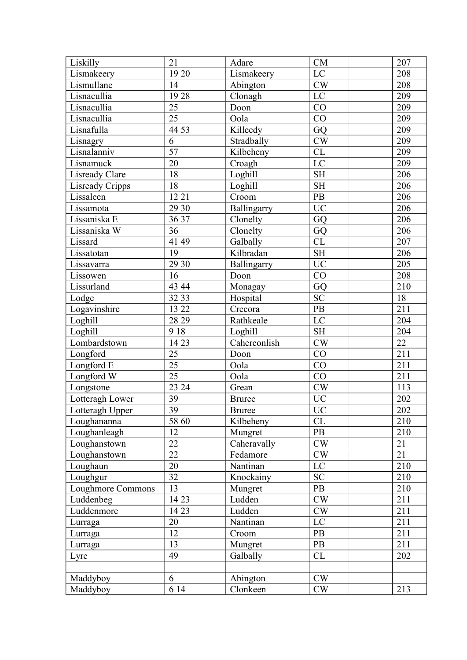| Liskilly          | 21              | Adare         | <b>CM</b>                         | 207              |
|-------------------|-----------------|---------------|-----------------------------------|------------------|
| Lismakeery        | 19 20           | Lismakeery    | LC                                | 208              |
| Lismullane        | 14              | Abington      | $\mathrm{CW}$                     | 208              |
| Lisnacullia       | 1928            | Clonagh       | LC                                | 209              |
| Lisnacullia       | $\overline{25}$ | Doon          | CO                                | 209              |
| Lisnacullia       | 25              | Oola          | CO                                | 209              |
| Lisnafulla        | 44 53           | Killeedy      | GQ                                | 209              |
| Lisnagry          | 6               | Stradbally    | $\mathrm{CW}$                     | 209              |
| Lisnalanniv       | 57              | Kilbeheny     | CL                                | 209              |
| Lisnamuck         | 20              | Croagh        | LC                                | 209              |
| Lisready Clare    | 18              | Loghill       | <b>SH</b>                         | 206              |
| Lisready Cripps   | 18              | Loghill       | <b>SH</b>                         | 206              |
| Lissaleen         | 12 21           | Croom         | $\rm{PB}$                         | 206              |
| Lissamota         | 29 30           | Ballingarry   | <b>UC</b>                         | 206              |
| Lissaniska E      | 36 37           | Clonelty      | GQ                                | 206              |
| Lissaniska W      | 36              | Clonelty      | GQ                                | 206              |
| Lissard           | 41 49           | Galbally      | CL                                | 207              |
| Lissatotan        | 19              | Kilbradan     | $\ensuremath{\mathrm{SH}}\xspace$ | 206              |
| Lissavarra        | 29 30           | Ballingarry   | <b>UC</b>                         | 205              |
| Lissowen          | 16              | Doon          | CO                                | 208              |
| Lissurland        | 43 44           | Monagay       | GQ                                | 210              |
| Lodge             | 32 33           | Hospital      | $\ensuremath{\mathbf{SC}}$        | 18               |
| Logavinshire      | 13 22           | Crecora       | $\mathbf{PB}$                     | 211              |
| Loghill           | 28 29           | Rathkeale     | LC                                | 204              |
| Loghill           | 9 1 8           | Loghill       | <b>SH</b>                         | 204              |
| Lombardstown      | 14 23           | Caherconlish  | $\mathrm{CW}$                     | 22               |
| Longford          | 25              | Doon          | CO                                | 211              |
| Longford E        | 25              | Oola          | CO                                | 211              |
|                   | 25              | Oola          | CO                                | $\overline{2}11$ |
| Longford W        |                 | Grean         |                                   |                  |
| Longstone         | 23 24           |               | CW                                | 113              |
| Lotteragh Lower   | 39              | <b>Bruree</b> | <b>UC</b>                         | 202              |
| Lotteragh Upper   | $\overline{39}$ | Bruree        | $\overline{UC}$                   | 202              |
| Loughananna       | 58 60           | Kilbeheny     | CL                                | 210              |
| Loughanleagh      | 12              | Mungret       | PB                                | 210              |
| Loughanstown      | 22              | Caheravally   | CW                                | 21               |
| Loughanstown      | 22              | Fedamore      | $\mathrm{CW}$                     | 21               |
| Loughaun          | 20              | Nantinan      | LC                                | 210              |
| Loughgur          | 32              | Knockainy     | <b>SC</b>                         | 210              |
| Loughmore Commons | 13              | Mungret       | PB                                | 210              |
| Luddenbeg         | 14 23           | Ludden        | CW                                | 211              |
| Luddenmore        | 14 23           | Ludden        | CW                                | 211              |
| Lurraga           | 20              | Nantinan      | $\rm LC$                          | 211              |
| Lurraga           | 12              | Croom         | <b>PB</b>                         | 211              |
| Lurraga           | 13              | Mungret       | PB                                | 211              |
| Lyre              | 49              | Galbally      | CL                                | 202              |
|                   |                 |               |                                   |                  |
| Maddyboy          | 6               | Abington      | CW                                |                  |
| Maddyboy          | 6 14            | Clonkeen      | CW                                | 213              |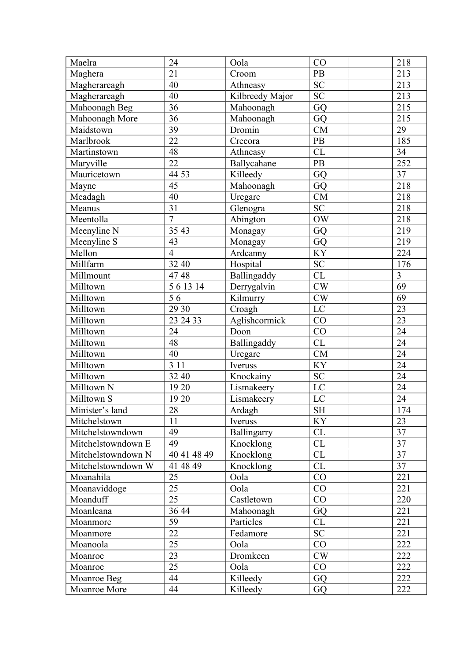| Maelra             | 24                  | Oola            | CO                     | 218             |
|--------------------|---------------------|-----------------|------------------------|-----------------|
| Maghera            | 21                  | Croom           | PB                     | 213             |
| Magherareagh       | 40                  | Athneasy        | $\overline{SC}$        | 213             |
| Magherareagh       | 40                  | Kilbreedy Major | <b>SC</b>              | 213             |
| Mahoonagh Beg      | 36                  | Mahoonagh       | GQ                     | 215             |
| Mahoonagh More     | 36                  | Mahoonagh       | GQ                     | 215             |
| Maidstown          | 39                  | Dromin          | <b>CM</b>              | 29              |
| Marlbrook          | 22                  | Crecora         | $\rm{PB}$              | 185             |
| Martinstown        | 48                  | Athneasy        | CL                     | 34              |
| Maryville          | 22                  | Ballycahane     | PB                     | 252             |
| Mauricetown        | 44 53               | Killeedy        | GQ                     | 37              |
| Mayne              | 45                  | Mahoonagh       | GQ                     | 218             |
| Meadagh            | 40                  | Uregare         | CM                     | 218             |
| Meanus             | 31                  | Glenogra        | <b>SC</b>              | 218             |
| Meentolla          | $\overline{7}$      | Abington        | <b>OW</b>              | 218             |
| Meenyline N        | 35 43               | Monagay         | GQ                     | 219             |
| Meenyline S        | 43                  | Monagay         | GQ                     | 219             |
| Mellon             | $\overline{4}$      | Ardcanny        | KY                     | 224             |
| Millfarm           | 32 40               | Hospital        | <b>SC</b>              | 176             |
| Millmount          | 4748                | Ballingaddy     | <b>CL</b>              | $\overline{3}$  |
| Milltown           | $\overline{56}1314$ | Derrygalvin     | CW                     | $\overline{69}$ |
| Milltown           | 56                  | Kilmurry        | CW                     | 69              |
| Milltown           | 29 30               | Croagh          | LC                     | 23              |
| Milltown           | 23 24 33            | Aglishcormick   | CO                     | 23              |
| Milltown           | 24                  | Doon            | CO                     | 24              |
| Milltown           | 48                  | Ballingaddy     | CL                     | 24              |
| Milltown           | 40                  | Uregare         | <b>CM</b>              | 24              |
| Milltown           | 3 1 1               | Iveruss         | KY                     | $\overline{24}$ |
| Milltown           | 32 40               | Knockainy       | $\overline{SC}$        | $\overline{24}$ |
| Milltown N         | 19 20               | Lismakeery      | $\rm LC$               | 24              |
| Milltown S         | 19 20               | Lismakeery      | LC                     | 24              |
| Minister's land    | 28                  | Ardagh          | $\overline{\text{SH}}$ | 174             |
| Mitchelstown       | 11                  | Iveruss         | <b>KY</b>              | 23              |
| Mitchelstowndown   | 49                  | Ballingarry     | CL                     | 37              |
| Mitchelstowndown E | 49                  | Knocklong       | CL                     | 37              |
| Mitchelstowndown N | 40 41 48 49         | Knocklong       | CL                     | $\overline{37}$ |
| Mitchelstowndown W | 41 48 49            | Knocklong       | CL                     | 37              |
| Moanahila          | 25                  | Oola            | CO                     | 221             |
| Moanaviddoge       | 25                  | Oola            | CO                     | 221             |
| Moanduff           | 25                  | Castletown      | CO                     | 220             |
| Moanleana          | 36 44               | Mahoonagh       | GQ                     | 221             |
| Moanmore           | 59                  | Particles       | CL                     | 221             |
| Moanmore           | 22                  | Fedamore        | <b>SC</b>              | 221             |
| Moanoola           | 25                  | Oola            | CO                     | 222             |
| Moanroe            | 23                  | Dromkeen        | CW                     | 222             |
| Moanroe            | 25                  | Oola            | CO                     | 222             |
| Moanroe Beg        | 44                  | Killeedy        | GQ                     | 222             |
| Moanroe More       | 44                  | Killeedy        | GQ                     | 222             |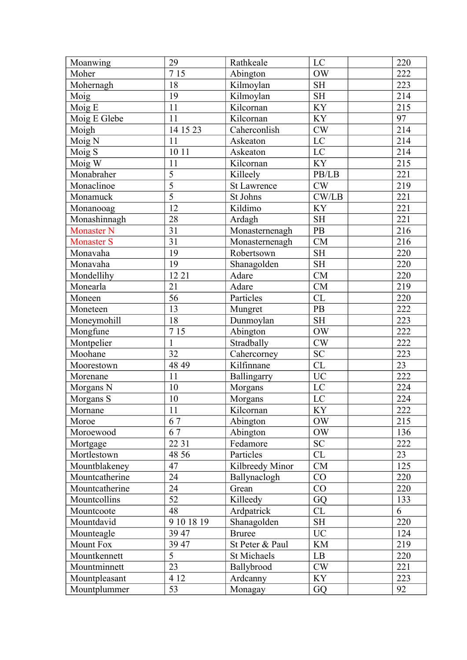| Moanwing             | 29              | Rathkeale          | LC                     | 220              |
|----------------------|-----------------|--------------------|------------------------|------------------|
| Moher                | 715             | Abington           | <b>OW</b>              | 222              |
| Mohernagh            | 18              | Kilmoylan          | <b>SH</b>              | 223              |
| Moig                 | 19              | Kilmoylan          | <b>SH</b>              | 214              |
| Moig E               | 11              | Kilcornan          | KY                     | 215              |
| Moig E Glebe         | 11              | Kilcornan          | <b>KY</b>              | 97               |
| Moigh                | 14 15 23        | Caherconlish       | CW                     | 214              |
| Moig N               | 11              | Askeaton           | $\overline{LC}$        | $\overline{214}$ |
| Moig S               | 10 11           | Askeaton           | LC                     | 214              |
| Moig W               | 11              | Kilcornan          | KY                     | 215              |
| Monabraher           | $\overline{5}$  | Killeely           | PB/LB                  | 221              |
| Monaclinoe           | $\overline{5}$  | <b>St Lawrence</b> | CW                     | 219              |
| Monamuck             | $\overline{5}$  | St Johns           | CW/LB                  | 221              |
| Monanooag            | 12              | Kildimo            | <b>KY</b>              | 221              |
| Monashinnagh         | 28              | Ardagh             | $\operatorname{SH}$    | 221              |
| <b>Monaster N</b>    | 31              | Monasternenagh     | PB                     | 216              |
| <b>Monaster S</b>    | 31              | Monasternenagh     | CM                     | 216              |
| Monavaha             | 19              | Robertsown         | $\operatorname{SH}$    | 220              |
| Monavaha             | 19              | Shanagolden        | <b>SH</b>              | 220              |
| Mondellihy           | 12 21           | Adare              | <b>CM</b>              | 220              |
| Monearla             | 21              | Adare              | <b>CM</b>              | 219              |
| Moneen               | 56              | Particles          | CL                     | 220              |
| Moneteen             | 13              | Mungret            | PB                     | 222              |
| Moneymohill          | 18              | Dunmoylan          | <b>SH</b>              | 223              |
| Mongfune             | 7 15            | Abington           | <b>OW</b>              | 222              |
| Montpelier           | $\mathbf{1}$    | Stradbally         | $\mathrm{CW}$          | 222              |
| Moohane              | 32              | Cahercorney        | <b>SC</b>              | 223              |
| Moorestown           | 48 49           | Kilfinnane         | $\overline{\text{CL}}$ | 23               |
| Morenane             | 11              | Ballingarry        | $\overline{UC}$        | 222              |
| Morgans <sub>N</sub> | 10              | Morgans            | $\rm LC$               | 224              |
| Morgans S            | $10\,$          | Morgans            | LC                     | 224              |
| Mornane              | $\overline{11}$ | Kilcornan          | $\overline{KY}$        | $\overline{222}$ |
| Moroe                | 67              | Abington           | <b>OW</b>              | 215              |
| Moroewood            | 67              | Abington           | OW                     | 136              |
| Mortgage             | 22 31           | Fedamore           | <b>SC</b>              | 222              |
| Mortlestown          | 48 56           | Particles          | CL                     | 23               |
| Mountblakeney        | 47              | Kilbreedy Minor    | CM                     | 125              |
| Mountcatherine       | 24              | Ballynaclogh       | CO                     | 220              |
| Mountcatherine       | 24              | Grean              | CO                     | 220              |
| Mountcollins         | 52              | Killeedy           | GQ                     | 133              |
| Mountcoote           | 48              | Ardpatrick         | CL                     | 6                |
| Mountdavid           | 9 10 18 19      | Shanagolden        | <b>SH</b>              | 220              |
| Mounteagle           | 39 47           | <b>Bruree</b>      | <b>UC</b>              | 124              |
| <b>Mount Fox</b>     | 39 47           | St Peter & Paul    | <b>KM</b>              | 219              |
| Mountkennett         | $\overline{5}$  | <b>St Michaels</b> | LB                     | 220              |
| Mountminnett         | 23              | Ballybrood         | CW                     | 221              |
| Mountpleasant        | 4 12            | Ardcanny           | KY                     | 223              |
| Mountplummer         | 53              | Monagay            | GQ                     | 92               |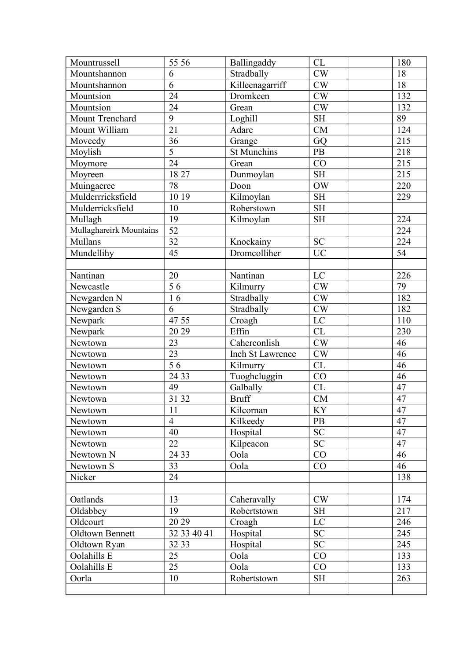| Mountrussell            | 55 56           | Ballingaddy      | CL                  | 180             |
|-------------------------|-----------------|------------------|---------------------|-----------------|
| Mountshannon            | 6               | Stradbally       | CW                  | 18              |
| Mountshannon            | 6               | Killeenagarriff  | CW                  | 18              |
| Mountsion               | 24              | Dromkeen         | CW                  | 132             |
| Mountsion               | 24              | Grean            | CW                  | 132             |
| Mount Trenchard         | 9               | Loghill          | <b>SH</b>           | 89              |
| Mount William           | $\overline{21}$ | Adare            | CM                  | 124             |
| Moveedy                 | 36              | Grange           | GQ                  | 215             |
| Moylish                 | $\overline{5}$  | St Munchins      | <b>PB</b>           | 218             |
| Moymore                 | $\overline{24}$ | Grean            | CO                  | 215             |
| Moyreen                 | 18 27           | Dunmoylan        | <b>SH</b>           | 215             |
| Muingacree              | 78              | Doon             | <b>OW</b>           | 220             |
| Mulderrricksfield       | 10 19           | Kilmoylan        | $\operatorname{SH}$ | 229             |
| Mulderricksfield        | 10              | Roberstown       | <b>SH</b>           |                 |
| Mullagh                 | 19              | Kilmoylan        | <b>SH</b>           | 224             |
| Mullaghareirk Mountains | 52              |                  |                     | 224             |
| Mullans                 | 32              | Knockainy        | ${\rm SC}$          | 224             |
| Mundellihy              | 45              | Dromcolliher     | <b>UC</b>           | 54              |
|                         |                 |                  |                     |                 |
| Nantinan                | 20              | Nantinan         | LC                  | 226             |
| Newcastle               | $\overline{56}$ | Kilmurry         | CW                  | 79              |
| Newgarden N             | 16              | Stradbally       | CW                  | 182             |
| Newgarden S             | 6               | Stradbally       | CW                  | 182             |
| Newpark                 | 47 55           | Croagh           | LC                  | 110             |
| Newpark                 | 20 29           | Effin            | CL                  | 230             |
| Newtown                 | 23              | Caherconlish     | CW                  | 46              |
| Newtown                 | 23              | Inch St Lawrence | $\mathrm{CW}$       | 46              |
| Newtown                 | $\overline{56}$ | Kilmurry         | CL                  | 46              |
| Newtown                 | 24 33           | Tuoghcluggin     | $\overline{CO}$     | 46              |
| Newtown                 | 49              | Galbally         | CL                  | 47              |
| Newtown                 | 31 32           | <b>Bruff</b>     | CM                  | 47              |
| Newtown                 | 11              | Kilcornan        | <b>KY</b>           | $\overline{47}$ |
| Newtown                 | $\overline{4}$  | Kilkeedy         | <b>PB</b>           | 47              |
| Newtown                 | 40              | Hospital         | ${\rm SC}$          | 47              |
| Newtown                 | 22              | Kilpeacon        | <b>SC</b>           | 47              |
| Newtown N               | 24 33           | Oola             | CO                  | 46              |
| Newtown S               | 33              | Oola             | CO                  | 46              |
| Nicker                  | 24              |                  |                     | 138             |
|                         |                 |                  |                     |                 |
| Oatlands                | 13              | Caheravally      | CW                  | 174             |
| Oldabbey                | 19              | Robertstown      | <b>SH</b>           | 217             |
| Oldcourt                | 20 29           | Croagh           | $\rm LC$            | 246             |
| Oldtown Bennett         | 32 33 40 41     | Hospital         | <b>SC</b>           | 245             |
| Oldtown Ryan            | 32 33           | Hospital         | <b>SC</b>           | 245             |
| Oolahills E             | 25              | Oola             | CO                  | 133             |
| Oolahills E             | 25              | Oola             | CO                  | 133             |
| Oorla                   | 10              | Robertstown      | $\operatorname{SH}$ | 263             |
|                         |                 |                  |                     |                 |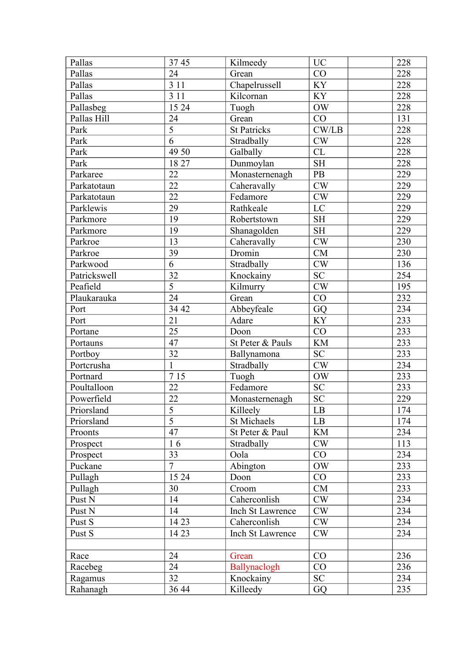| Pallas            | 3745           | Kilmeedy           | <b>UC</b>           | 228 |
|-------------------|----------------|--------------------|---------------------|-----|
| Pallas            | 24             | Grean              | CO                  | 228 |
| Pallas            | 3 1 1          | Chapelrussell      | KY                  | 228 |
| Pallas            | 3 1 1          | Kilcornan          | <b>KY</b>           | 228 |
| Pallasbeg         | 15 24          | Tuogh              | <b>OW</b>           | 228 |
| Pallas Hill       | 24             | Grean              | CO                  | 131 |
| Park              | $\overline{5}$ | <b>St Patricks</b> | CW/LB               | 228 |
| Park              | $\overline{6}$ | Stradbally         | CW                  | 228 |
| Park              | 49 50          | Galbally           | CL                  | 228 |
| Park              | 1827           | Dunmoylan          | <b>SH</b>           | 228 |
| Parkaree          | 22             | Monasternenagh     | PB                  | 229 |
| Parkatotaun       | 22             | Caheravally        | CW                  | 229 |
| Parkatotaun       | 22             | Fedamore           | $\mathrm{CW}$       | 229 |
| Parklewis         | 29             | Rathkeale          | LC                  | 229 |
| Parkmore          | 19             | Robertstown        | $\operatorname{SH}$ | 229 |
| Parkmore          | 19             | Shanagolden        | $\operatorname{SH}$ | 229 |
| Parkroe           | 13             | Caheravally        | CW                  | 230 |
| Parkroe           | 39             | Dromin             | CM                  | 230 |
| Parkwood          | $\overline{6}$ | Stradbally         | CW                  | 136 |
| Patrickswell      | 32             | Knockainy          | <b>SC</b>           | 254 |
| Peafield          | $\overline{5}$ | Kilmurry           | CW                  | 195 |
| Plaukarauka       | 24             | Grean              | CO                  | 232 |
| Port              | 34 42          | Abbeyfeale         | GQ                  | 234 |
| Port              | 21             | Adare              | KY                  | 233 |
| Portane           | 25             | Doon               | CO                  | 233 |
| Portauns          | 47             | St Peter & Pauls   | <b>KM</b>           | 233 |
| Portboy           | 32             | Ballynamona        | <b>SC</b>           | 233 |
| Portcrusha        | $\mathbf{1}$   | Stradbally         | CW                  | 234 |
| Portnard          | 715            | Tuogh              | $\rm{OW}$           | 233 |
| Poultalloon       | 22             | Fedamore           | SC                  | 233 |
| Powerfield        | 22             | Monasternenagh     | <b>SC</b>           | 229 |
| Priorsland        | $\overline{5}$ | Killeely           | $\overline{LB}$     | 174 |
| Priorsland        | $\overline{5}$ | St Michaels        | LB                  | 174 |
| Proonts           | 47             | St Peter & Paul    | KM                  | 234 |
| Prospect          | 16             | Stradbally         | CW                  | 113 |
| Prospect          | 33             | Oola               | CO                  | 234 |
| Puckane           | $\overline{7}$ | Abington           | <b>OW</b>           | 233 |
| Pullagh           | 15 24          | Doon               | CO                  | 233 |
| Pullagh           | 30             | Croom              | CM                  | 233 |
| Pust <sub>N</sub> | 14             | Caherconlish       | CW                  | 234 |
| Pust <sub>N</sub> | 14             | Inch St Lawrence   | CW                  | 234 |
| Pust S            | 14 23          | Caherconlish       | CW                  | 234 |
| Pust S            | 14 23          | Inch St Lawrence   | CW                  | 234 |
|                   |                |                    |                     |     |
| Race              | 24             | Grean              | CO                  | 236 |
| Racebeg           | 24             | Ballynaclogh       | CO                  | 236 |
| Ragamus           | 32             | Knockainy          | <b>SC</b>           | 234 |
| Rahanagh          | 36 44          | Killeedy           | GQ                  | 235 |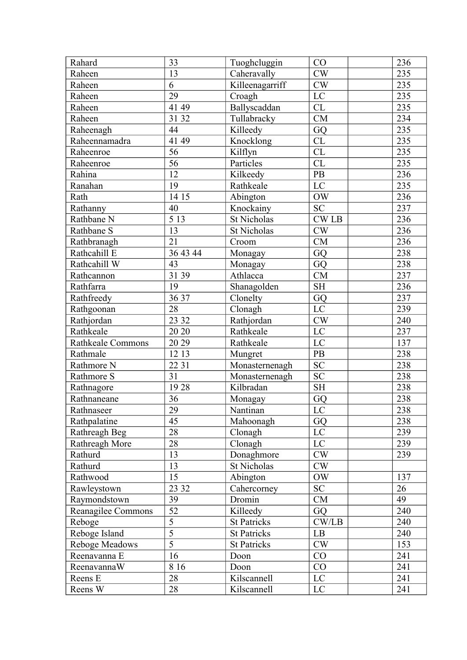| Rahard                   | 33               | Tuoghcluggin       | CO              | 236 |
|--------------------------|------------------|--------------------|-----------------|-----|
| Raheen                   | 13               | Caheravally        | CW              | 235 |
| Raheen                   | 6                | Killeenagarriff    | CW              | 235 |
| Raheen                   | 29               | Croagh             | LC              | 235 |
| Raheen                   | 41 49            | Ballyscaddan       | CL              | 235 |
| Raheen                   | 31 32            | Tullabracky        | CM              | 234 |
| Raheenagh                | 44               | Killeedy           | GQ              | 235 |
| Raheennamadra            | 41 49            | Knocklong          | CL              | 235 |
| Raheenroe                | 56               | Kilflyn            | CL              | 235 |
| Raheenroe                | $\overline{56}$  | Particles          | CL              | 235 |
| Rahina                   | 12               | Kilkeedy           | PB              | 236 |
| Ranahan                  | 19               | Rathkeale          | LC              | 235 |
| Rath                     | 14 15            | Abington           | <b>OW</b>       | 236 |
| Rathanny                 | 40               | Knockainy          | <b>SC</b>       | 237 |
| Rathbane N               | $\overline{513}$ | St Nicholas        | <b>CWLB</b>     | 236 |
| Rathbane S               | 13               | <b>St Nicholas</b> | CW              | 236 |
| Rathbranagh              | 21               | Croom              | CM              | 236 |
| Rathcahill E             | 36 43 44         | Monagay            | GQ              | 238 |
| Rathcahill W             | 43               | Monagay            | GQ              | 238 |
| Rathcannon               | 31 39            | Athlacca           | <b>CM</b>       | 237 |
| Rathfarra                | 19               | Shanagolden        | <b>SH</b>       | 236 |
| Rathfreedy               | 36 37            | Clonelty           | GQ              | 237 |
| Rathgoonan               | 28               | Clonagh            | $\rm LC$        | 239 |
| Rathjordan               | 23 32            | Rathjordan         | CW              | 240 |
| Rathkeale                | 20 20            | Rathkeale          | LC              | 237 |
| <b>Rathkeale Commons</b> | 20 29            | Rathkeale          | LC              | 137 |
| Rathmale                 | 12 13            | Mungret            | PB              | 238 |
| Rathmore N               | 22 31            | Monasternenagh     | <b>SC</b>       | 238 |
| Rathmore S               | 31               | Monasternenagh     | $\overline{SC}$ | 238 |
| Rathnagore               | 1928             | Kilbradan          | <b>SH</b>       | 238 |
| Rathnaneane              | 36               | Monagay            | GQ              | 238 |
| Rathnaseer               | $\overline{29}$  | Nantinan           | $\overline{LC}$ | 238 |
| Rathpalatine             | 45               | Mahoonagh          | GQ              | 238 |
| Rathreagh Beg            | 28               | Clonagh            | LC              | 239 |
| Rathreagh More           | 28               | Clonagh            | LC              | 239 |
| Rathurd                  | 13               | Donaghmore         | CW              | 239 |
| Rathurd                  | 13               | St Nicholas        | CW              |     |
| Rathwood                 | 15               | Abington           | <b>OW</b>       | 137 |
| Rawleystown              | 23 32            | Cahercorney        | ${\rm SC}$      | 26  |
| Raymondstown             | 39               | Dromin             | CM              | 49  |
| Reanagilee Commons       | $\overline{52}$  | Killeedy           | GQ              | 240 |
| Reboge                   | $\overline{5}$   | <b>St Patricks</b> | CW/LB           | 240 |
| Reboge Island            | $\overline{5}$   | <b>St Patricks</b> | LB              | 240 |
| Reboge Meadows           | $\overline{5}$   | <b>St Patricks</b> | CW              | 153 |
| Reenavanna E             | 16               | Doon               | CO              | 241 |
| ReenavannaW              | 8 1 6            | Doon               | CO              | 241 |
| Reens E                  | 28               | Kilscannell        | $\rm LC$        | 241 |
| Reens W                  | 28               | Kilscannell        | LC              | 241 |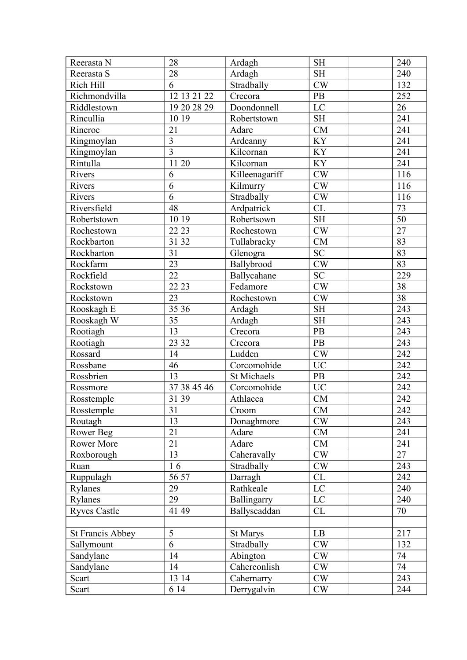| Reerasta N              | 28              | Ardagh              | <b>SH</b>           | 240              |
|-------------------------|-----------------|---------------------|---------------------|------------------|
| Reerasta S              | 28              | Ardagh              | <b>SH</b>           | 240              |
| Rich Hill               | 6               | Stradbally          | CW                  | 132              |
| Richmondvilla           | 12 13 21 22     | Crecora             | PB                  | 252              |
| Riddlestown             | 19 20 28 29     | Doondonnell         | LC                  | 26               |
| Rincullia               | 10 19           | Robertstown         | $\operatorname{SH}$ | 241              |
| Rineroe                 | 21              | Adare               | CM                  | 241              |
| Ringmoylan              | $\overline{3}$  | Ardcanny            | KY                  | 241              |
| Ringmoylan              | $\overline{3}$  | Kilcornan           | <b>KY</b>           | 241              |
| Rintulla                | 1120            | Kilcornan           | KY                  | 241              |
| Rivers                  | 6               | Killeenagariff      | CW                  | 116              |
| Rivers                  | $\overline{6}$  | Kilmurry            | CW                  | 116              |
| Rivers                  | 6               | Stradbally          | CW                  | $\overline{116}$ |
| Riversfield             | 48              | Ardpatrick          | CL                  | 73               |
| Robertstown             | 10 19           | Robertsown          | <b>SH</b>           | $\overline{50}$  |
| Rochestown              | 22 23           | Rochestown          | CW                  | $\overline{27}$  |
| Rockbarton              | 31 32           | Tullabracky         | CM                  | 83               |
| Rockbarton              | 31              | Glenogra            | <b>SC</b>           | 83               |
| Rockfarm                | 23              | Ballybrood          | CW                  | $\overline{83}$  |
| Rockfield               | 22              | Ballycahane         | <b>SC</b>           | 229              |
| Rockstown               | 22 23           | Fedamore            | CW                  | 38               |
| Rockstown               | 23              | Rochestown          | CW                  | 38               |
| Rooskagh E              | 35 36           | Ardagh              | <b>SH</b>           | 243              |
| Rooskagh W              | 35              | Ardagh              | <b>SH</b>           | 243              |
| Rootiagh                | 13              | Crecora             | PB                  | 243              |
| Rootiagh                | 23 32           | Crecora             | PB                  | 243              |
| Rossard                 | 14              | Ludden              | CW                  | 242              |
| Rossbane                | 46              | Corcomohide         | <b>UC</b>           | 242              |
| Rossbrien               | 13              | <b>St Michaels</b>  | PB                  | 242              |
| Rossmore                | 37 38 45 46     | Corcomohide         | <b>UC</b>           | 242              |
| Rosstemple              | 31 39           | Athlacca            | CM                  | 242              |
| Rosstemple              | $\overline{31}$ | $\overline{C}$ room | CM                  | $\overline{242}$ |
| Routagh                 | 13              | Donaghmore          | CW                  | 243              |
| Rower Beg               | 21              | Adare               | CM                  | 241              |
| Rower More              | 21              | Adare               | CM                  | 241              |
| Roxborough              | 13              | Caheravally         | CW                  | 27               |
| Ruan                    | 16              | Stradbally          | $\mathrm{CW}$       | 243              |
| Ruppulagh               | 56 57           | Darragh             | CL                  | 242              |
| Rylanes                 | 29              | Rathkeale           | $\rm LC$            | 240              |
| Rylanes                 | 29              | Ballingarry         | LC                  | 240              |
| <b>Ryves Castle</b>     | 41 49           | Ballyscaddan        | CL                  | 70               |
|                         |                 |                     |                     |                  |
| <b>St Francis Abbey</b> | 5               | St Marys            | LB                  | 217              |
| Sallymount              | 6               | Stradbally          | CW                  | 132              |
| Sandylane               | 14              | Abington            | <b>CW</b>           | 74               |
| Sandylane               | 14              | Caherconlish        | CW                  | 74               |
| Scart                   | 13 14           | Cahernarry          | CW                  | 243              |
| Scart                   | 6 14            | Derrygalvin         | <b>CW</b>           | 244              |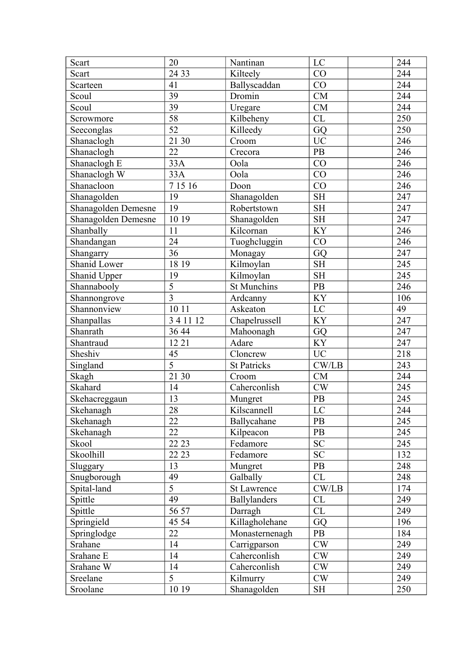| LC<br>Scart<br>20<br>Nantinan                                                 | 244              |
|-------------------------------------------------------------------------------|------------------|
| 24 33<br>CO<br>Scart<br>Kilteely                                              | 244              |
| 41<br>CO<br>Scarteen<br>Ballyscaddan                                          | 244              |
| Dromin<br>39<br><b>CM</b><br>Scoul                                            | 244              |
| 39<br>Scoul<br><b>CM</b><br>Uregare                                           | 244              |
| 58<br>Kilbeheny<br>CL<br>Scrowmore                                            | 250              |
| $\overline{52}$<br>GQ<br>Killeedy<br>Seeconglas                               | 250              |
| $\overline{UC}$<br>21 30<br>Croom<br>Shanaclogh                               | 246              |
| Shanaclogh<br>22<br>Crecora<br><b>PB</b>                                      | 246              |
| 33A<br>CO<br>Shanaclogh E<br>Oola                                             | 246              |
| 33A<br>CO<br>Shanaclogh W<br>Oola                                             | 246              |
| 7 15 16<br>Shanacloon<br>CO<br>Doon                                           | 246              |
| <b>SH</b><br>Shanagolden<br>19<br>Shanagolden                                 | 247              |
| Shanagolden Demesne<br>19<br>Robertstown<br><b>SH</b>                         | 247              |
| 10 19<br><b>SH</b><br>Shanagolden Demesne<br>Shanagolden                      | 247              |
| Shanbally<br>11<br>Kilcornan<br>KY                                            | 246              |
| Shandangan<br>24<br>Tuoghcluggin<br>CO                                        | 246              |
| 36<br>GQ<br>Shangarry<br>Monagay                                              | 247              |
| Shanid Lower<br>Kilmoylan<br><b>SH</b><br>18 19                               | 245              |
| <b>SH</b><br>19<br>Shanid Upper<br>Kilmoylan                                  | 245              |
| $\overline{5}$<br>PB<br>Shannabooly<br><b>St Munchins</b>                     | 246              |
| $\overline{3}$<br><b>KY</b><br>Shannongrove<br>Ardcanny                       | 106              |
| 10 11<br>LC<br>Shannonview<br>Askeaton                                        | 49               |
| 3 4 11 12<br><b>KY</b><br>Shanpallas<br>Chapelrussell                         | 247              |
| Shanrath<br>36 44<br>Mahoonagh<br>GQ                                          | 247              |
| KY<br>12 21<br>Shantraud<br>Adare                                             | 247              |
| <b>UC</b><br>45<br>Sheshiv<br>Cloncrew                                        | 218              |
| $\overline{5}$<br>$\mathrm{CW}/\mathrm{LB}$<br><b>St Patricks</b><br>Singland | 243              |
| 21 30<br>CM<br>Skagh<br>Croom                                                 | 244              |
| Skahard<br>Caherconlish<br>CW<br>14                                           | 245              |
| 13<br>PB<br>Skehacreggaun<br>Mungret                                          | 245              |
| Kilscannell<br>28<br>$\overline{LC}$<br>Skehanagh                             | $\overline{244}$ |
| 22<br><b>PB</b><br>Ballycahane<br>Skehanagh                                   | 245              |
| 22<br>Kilpeacon<br>PB<br>Skehanagh                                            | 245              |
| Fedamore<br><b>SC</b><br>Skool<br>22 23                                       | 245              |
| Skoolhill<br>22 23<br><b>SC</b><br>Fedamore                                   | 132              |
| 13<br>Mungret<br>PB<br>Sluggary                                               | 248              |
| Galbally<br>Snugborough<br>49<br>CL                                           | 248              |
| $\overline{5}$<br>CW/LB<br>Spital-land<br><b>St Lawrence</b>                  | 174              |
| 49<br>CL<br><b>Ballylanders</b><br>Spittle                                    | 249              |
| Spittle<br>56 57<br>CL<br>Darragh                                             | 249              |
| Springield<br>Killagholehane<br>45 54<br>GQ                                   | 196              |
| 22<br>Monasternenagh<br><b>PB</b><br>Springlodge                              | 184              |
| 14<br>CW<br>Srahane<br>Carrigparson                                           | 249              |
| 14<br>Caherconlish<br>Srahane E<br>CW                                         | 249              |
| 14<br>Srahane W<br>Caherconlish<br>CW                                         | 249              |
| $\overline{5}$<br>CW<br>Sreelane<br>Kilmurry                                  | 249              |
| 10 19<br>Shanagolden<br>Sroolane<br><b>SH</b>                                 | 250              |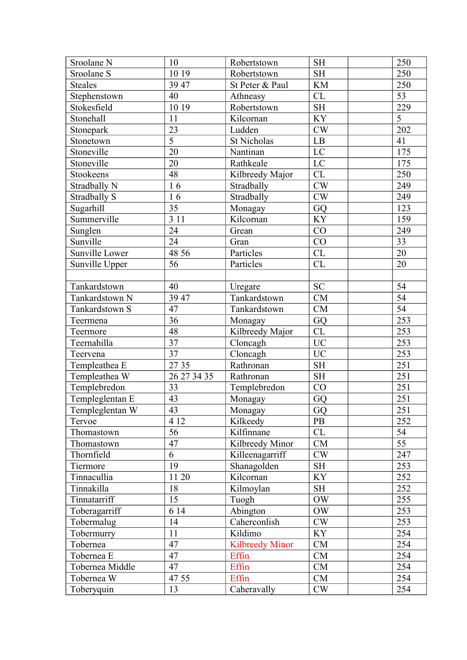| Sroolane N      | 10              | Robertstown            | <b>SH</b>     | 250             |
|-----------------|-----------------|------------------------|---------------|-----------------|
| Sroolane S      | 10 19           | Robertstown            | <b>SH</b>     | 250             |
| <b>Steales</b>  | 39 47           | St Peter & Paul        | <b>KM</b>     | 250             |
| Stephenstown    | 40              | Athneasy               | CL            | 53              |
| Stokesfield     | 10 19           | Robertstown            | <b>SH</b>     | 229             |
| Stonehall       | 11              | Kilcornan              | <b>KY</b>     | 5               |
| Stonepark       | $\overline{23}$ | Ludden                 | CW            | 202             |
| Stonetown       | $\overline{5}$  | <b>St Nicholas</b>     | ${\rm LB}$    | 41              |
| Stoneville      | 20              | Nantinan               | LC            | 175             |
| Stoneville      | 20              | Rathkeale              | LC            | 175             |
| Stookeens       | 48              | Kilbreedy Major        | CL            | 250             |
| Stradbally N    | 16              | Stradbally             | CW            | 249             |
| Stradbally S    | 16              | Stradbally             | $\mathrm{CW}$ | 249             |
| Sugarhill       | 35              | Monagay                | GQ            | 123             |
| Summerville     | 3 1 1           | Kilcornan              | <b>KY</b>     | 159             |
| Sunglen         | 24              | Grean                  | CO            | 249             |
| Sunville        | 24              | Gran                   | CO            | 33              |
| Sunville Lower  | 48 56           | Particles              | CL            | 20              |
| Sunville Upper  | 56              | Particles              | <b>CL</b>     | 20              |
|                 |                 |                        |               |                 |
| Tankardstown    | 40              | Uregare                | ${\rm SC}$    | 54              |
| Tankardstown N  | 39 47           | Tankardstown           | CM            | $\overline{54}$ |
| Tankardstown S  | 47              | Tankardstown           | CM            | $\overline{54}$ |
| Teermena        | 36              | Monagay                | GQ            | 253             |
| Teermore        | 48              | Kilbreedy Major        | CL            | 253             |
| Teernahilla     | 37              | Cloncagh               | <b>UC</b>     | 253             |
| Teervena        | $\overline{37}$ | Cloncagh               | <b>UC</b>     | 253             |
| Templeathea E   | 27 35           | Rathronan              | <b>SH</b>     | 251             |
| Templeathea W   | 26 27 34 35     | Rathronan              | <b>SH</b>     | 251             |
| Templebredon    | 33              | Templebredon           | CO            | 251             |
| Templeglentan E | 43              | Monagay                | GQ            | 251             |
| Templeglentan W | $\overline{43}$ | Monagay                | GQ            | 251             |
| Tervoe          | 4 1 2           | Kilkeedy               | PB            | 252             |
| Thomastown      | $\overline{56}$ | Kilfinnane             | CL            | 54              |
| Thomastown      | 47              | Kilbreedy Minor        | CM            | $\overline{55}$ |
| Thornfield      | 6               | Killeenagarriff        | CW            | 247             |
| Tiermore        | 19              | Shanagolden            | <b>SH</b>     | 253             |
| Tinnacullia     | 11 20           | Kilcornan              | <b>KY</b>     | 252             |
| Tinnakilla      | 18              | Kilmoylan              | <b>SH</b>     | 252             |
| Tinnatarriff    | 15              | Tuogh                  | <b>OW</b>     | 255             |
| Toberagarriff   | 6 14            | Abington               | $\rm{OW}$     | 253             |
| Tobermalug      | 14              | Caherconlish           | CW            | 253             |
| Tobermurry      | 11              | Kildimo                | <b>KY</b>     | 254             |
| Tobernea        | 47              | <b>Kilbreedy Minor</b> | CM            | 254             |
| Tobernea E      | 47              | Effin                  | CM            | 254             |
| Tobernea Middle | 47              | Effin                  | CM            | 254             |
| Tobernea W      | 47 55           | Effin                  | CM            | 254             |
| Toberyquin      | 13              | Caheravally            | <b>CW</b>     | 254             |
|                 |                 |                        |               |                 |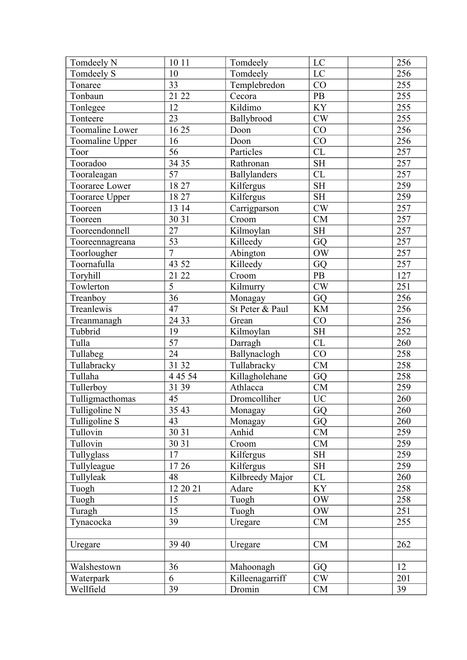| Tomdeely N      | 10 11           | Tomdeely        | LC                  | 256     |
|-----------------|-----------------|-----------------|---------------------|---------|
| Tomdeely S      | 10              | Tomdeely        | LC                  | 256     |
| Tonaree         | 33              | Templebredon    | CO                  | 255     |
| Tonbaun         | 21 22           | Cecora          | PB                  | 255     |
| Tonlegee        | 12              | Kildimo         | KY                  | 255     |
| Tonteere        | 23              | Ballybrood      | CW                  | 255     |
| Toomaline Lower | 16 25           | Doon            | CO                  | 256     |
| Toomaline Upper | 16              | Doon            | CO                  | 256     |
| Toor            | 56              | Particles       | CL                  | 257     |
| Tooradoo        | 3435            | Rathronan       | <b>SH</b>           | 257     |
| Tooraleagan     | $\overline{57}$ | Ballylanders    | CL                  | 257     |
| Tooraree Lower  | 1827            | Kilfergus       | <b>SH</b>           | 259     |
| Tooraree Upper  | 18 27           | Kilfergus       | $\operatorname{SH}$ | 259     |
| Tooreen         | 13 14           | Carrigparson    | CW                  | 257     |
| Tooreen         | 30 31           | Croom           | <b>CM</b>           | 257     |
| Tooreendonnell  | 27              | Kilmoylan       | <b>SH</b>           | 257     |
| Tooreennagreana | 53              | Killeedy        | GQ                  | 257     |
| Toorlougher     | $\overline{7}$  | Abington        | <b>OW</b>           | 257     |
| Toornafulla     | 43 52           | Killeedy        | GQ                  | 257     |
| Toryhill        | 21 22           | Croom           | PB                  | 127     |
| Towlerton       | $\overline{5}$  | Kilmurry        | $\mathrm{CW}$       | 251     |
| Treanboy        | $\overline{36}$ | Monagay         | GQ                  | 256     |
| Treanlewis      | 47              | St Peter & Paul | <b>KM</b>           | 256     |
| Treanmanagh     | 24 33           | Grean           | CO                  | 256     |
| Tubbrid         | 19              | Kilmoylan       | <b>SH</b>           | 252     |
| Tulla           | 57              | Darragh         | CL                  | 260     |
| Tullabeg        | $\overline{24}$ | Ballynaclogh    | CO                  | 258     |
| Tullabracky     | 31 32           | Tullabracky     | <b>CM</b>           | 258     |
| Tullaha         | 4 4 5 5 4       | Killagholehane  | GQ                  | 258     |
| Tullerboy       | 31 39           | Athlacca        | <b>CM</b>           | 259     |
| Tulligmacthomas | 45              | Dromcolliher    | <b>UC</b>           | $260\,$ |
| Tulligoline N   | 3543            | Monagay         | GQ                  | 260     |
| Tulligoline S   | 43              | Monagay         | GQ                  | 260     |
| Tullovin        | 30 31           | Anhid           | CM                  | 259     |
| Tullovin        | 30 31           | Croom           | CM                  | 259     |
| Tullyglass      | 17              | Kilfergus       | <b>SH</b>           | 259     |
| Tullyleague     | 1726            | Kilfergus       | <b>SH</b>           | 259     |
| Tullyleak       | 48              | Kilbreedy Major | CL                  | 260     |
| Tuogh           | 12 20 21        | Adare           | <b>KY</b>           | 258     |
| Tuogh           | 15              | Tuogh           | <b>OW</b>           | 258     |
| Turagh          | 15              | Tuogh           | <b>OW</b>           | 251     |
| Tynacocka       | 39              | Uregare         | CM                  | 255     |
|                 |                 |                 |                     |         |
| Uregare         | 39 40           | Uregare         | CM                  | 262     |
|                 |                 |                 |                     |         |
| Walshestown     | 36              | Mahoonagh       | GQ                  | 12      |
| Waterpark       | 6               | Killeenagarriff | CW                  | 201     |
| Wellfield       | 39              | Dromin          | CM                  | 39      |